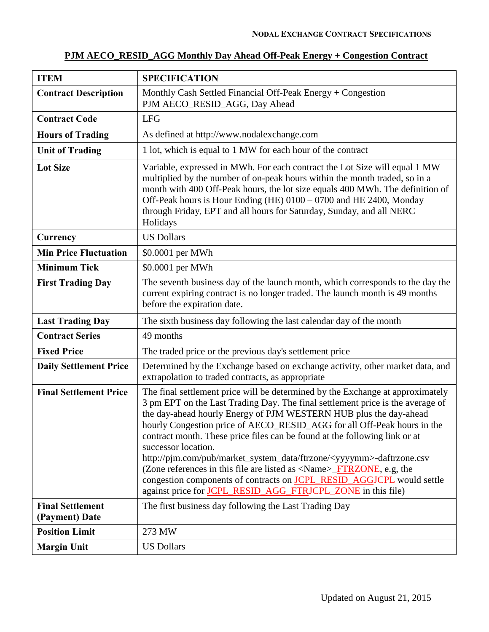#### **ITEM SPECIFICATION Contract Description** | Monthly Cash Settled Financial Off-Peak Energy + Congestion PJM AECO\_RESID\_AGG, Day Ahead **Contract Code** LFG **Hours of Trading** As defined at http://www.nodalexchange.com Unit of Trading 1 lot, which is equal to 1 MW for each hour of the contract Lot Size Variable, expressed in MWh. For each contract the Lot Size will equal 1 MW multiplied by the number of on-peak hours within the month traded, so in a month with 400 Off-Peak hours, the lot size equals 400 MWh. The definition of Off-Peak hours is Hour Ending (HE) 0100 – 0700 and HE 2400, Monday through Friday, EPT and all hours for Saturday, Sunday, and all NERC Holidays **Currency** US Dollars **Min Price Fluctuation** \ \$0.0001 per MWh **Minimum Tick**  $\vert$  \$0.0001 per MWh **First Trading Day** The seventh business day of the launch month, which corresponds to the day the current expiring contract is no longer traded. The launch month is 49 months before the expiration date. **Last Trading Day** The sixth business day following the last calendar day of the month **Contract Series** 49 months **Fixed Price** The traded price or the previous day's settlement price **Daily Settlement Price** Determined by the Exchange based on exchange activity, other market data, and extrapolation to traded contracts, as appropriate **Final Settlement Price** The final settlement price will be determined by the Exchange at approximately 3 pm EPT on the Last Trading Day. The final settlement price is the average of the day-ahead hourly Energy of PJM WESTERN HUB plus the day-ahead hourly Congestion price of AECO\_RESID\_AGG for all Off-Peak hours in the contract month. These price files can be found at the following link or at successor location. http://pjm.com/pub/market\_system\_data/ftrzone/<yyyymm>-daftrzone.csv (Zone references in this file are listed as  $\langle$ Name $\rangle$  FTRZONE, e.g, the congestion components of contracts on **JCPL\_RESID\_AGGJCPL** would settle against price for JCPL\_RESID\_AGG\_FTRJCPL\_ZONE in this file) **Final Settlement (Payment) Date** The first business day following the Last Trading Day **Position Limit** 273 MW **Margin Unit** US Dollars

#### **PJM AECO\_RESID\_AGG Monthly Day Ahead Off-Peak Energy + Congestion Contract**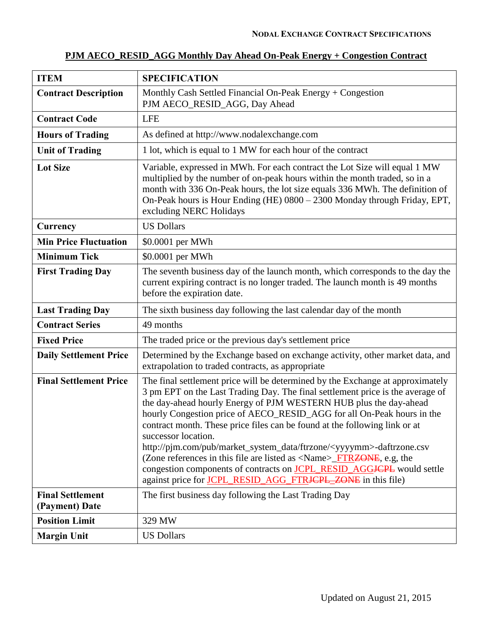| <b>ITEM</b>                               | <b>SPECIFICATION</b>                                                                                                                                                                                                                                                                                                                                                                                                                                                                                                                                                                                                                                                                                                                                                          |
|-------------------------------------------|-------------------------------------------------------------------------------------------------------------------------------------------------------------------------------------------------------------------------------------------------------------------------------------------------------------------------------------------------------------------------------------------------------------------------------------------------------------------------------------------------------------------------------------------------------------------------------------------------------------------------------------------------------------------------------------------------------------------------------------------------------------------------------|
| <b>Contract Description</b>               | Monthly Cash Settled Financial On-Peak Energy + Congestion<br>PJM AECO_RESID_AGG, Day Ahead                                                                                                                                                                                                                                                                                                                                                                                                                                                                                                                                                                                                                                                                                   |
| <b>Contract Code</b>                      | <b>LFE</b>                                                                                                                                                                                                                                                                                                                                                                                                                                                                                                                                                                                                                                                                                                                                                                    |
| <b>Hours of Trading</b>                   | As defined at http://www.nodalexchange.com                                                                                                                                                                                                                                                                                                                                                                                                                                                                                                                                                                                                                                                                                                                                    |
| <b>Unit of Trading</b>                    | 1 lot, which is equal to 1 MW for each hour of the contract                                                                                                                                                                                                                                                                                                                                                                                                                                                                                                                                                                                                                                                                                                                   |
| <b>Lot Size</b>                           | Variable, expressed in MWh. For each contract the Lot Size will equal 1 MW<br>multiplied by the number of on-peak hours within the month traded, so in a<br>month with 336 On-Peak hours, the lot size equals 336 MWh. The definition of<br>On-Peak hours is Hour Ending (HE) 0800 - 2300 Monday through Friday, EPT,<br>excluding NERC Holidays                                                                                                                                                                                                                                                                                                                                                                                                                              |
| Currency                                  | <b>US Dollars</b>                                                                                                                                                                                                                                                                                                                                                                                                                                                                                                                                                                                                                                                                                                                                                             |
| <b>Min Price Fluctuation</b>              | \$0.0001 per MWh                                                                                                                                                                                                                                                                                                                                                                                                                                                                                                                                                                                                                                                                                                                                                              |
| <b>Minimum Tick</b>                       | \$0.0001 per MWh                                                                                                                                                                                                                                                                                                                                                                                                                                                                                                                                                                                                                                                                                                                                                              |
| <b>First Trading Day</b>                  | The seventh business day of the launch month, which corresponds to the day the<br>current expiring contract is no longer traded. The launch month is 49 months<br>before the expiration date.                                                                                                                                                                                                                                                                                                                                                                                                                                                                                                                                                                                 |
| <b>Last Trading Day</b>                   | The sixth business day following the last calendar day of the month                                                                                                                                                                                                                                                                                                                                                                                                                                                                                                                                                                                                                                                                                                           |
| <b>Contract Series</b>                    | 49 months                                                                                                                                                                                                                                                                                                                                                                                                                                                                                                                                                                                                                                                                                                                                                                     |
| <b>Fixed Price</b>                        | The traded price or the previous day's settlement price                                                                                                                                                                                                                                                                                                                                                                                                                                                                                                                                                                                                                                                                                                                       |
| <b>Daily Settlement Price</b>             | Determined by the Exchange based on exchange activity, other market data, and<br>extrapolation to traded contracts, as appropriate                                                                                                                                                                                                                                                                                                                                                                                                                                                                                                                                                                                                                                            |
| <b>Final Settlement Price</b>             | The final settlement price will be determined by the Exchange at approximately<br>3 pm EPT on the Last Trading Day. The final settlement price is the average of<br>the day-ahead hourly Energy of PJM WESTERN HUB plus the day-ahead<br>hourly Congestion price of AECO_RESID_AGG for all On-Peak hours in the<br>contract month. These price files can be found at the following link or at<br>successor location.<br>http://pjm.com/pub/market_system_data/ftrzone/ <yyyymm>-daftrzone.csv<br/>(Zone references in this file are listed as <math>\langle</math>Name<math>\rangle</math>_FTRZONE, e.g, the<br/>congestion components of contracts on <b>JCPL_RESID_AGGJCPL</b> would settle<br/>against price for <b>JCPL RESID AGG FTRJCPL_ZONE</b> in this file)</yyyymm> |
| <b>Final Settlement</b><br>(Payment) Date | The first business day following the Last Trading Day                                                                                                                                                                                                                                                                                                                                                                                                                                                                                                                                                                                                                                                                                                                         |
| <b>Position Limit</b>                     | 329 MW                                                                                                                                                                                                                                                                                                                                                                                                                                                                                                                                                                                                                                                                                                                                                                        |
| <b>Margin Unit</b>                        | <b>US Dollars</b>                                                                                                                                                                                                                                                                                                                                                                                                                                                                                                                                                                                                                                                                                                                                                             |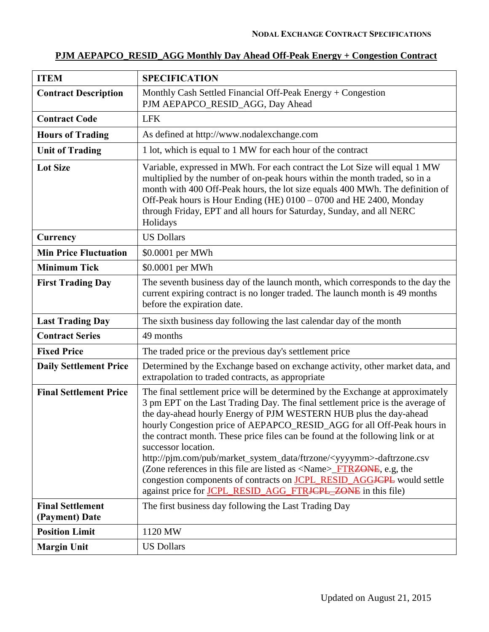# **PJM AEPAPCO\_RESID\_AGG Monthly Day Ahead Off-Peak Energy + Congestion Contract**

| <b>ITEM</b>                               | <b>SPECIFICATION</b>                                                                                                                                                                                                                                                                                                                                                                                                                                                                                                                                                                                                                                                                                                                                                                             |
|-------------------------------------------|--------------------------------------------------------------------------------------------------------------------------------------------------------------------------------------------------------------------------------------------------------------------------------------------------------------------------------------------------------------------------------------------------------------------------------------------------------------------------------------------------------------------------------------------------------------------------------------------------------------------------------------------------------------------------------------------------------------------------------------------------------------------------------------------------|
| <b>Contract Description</b>               | Monthly Cash Settled Financial Off-Peak Energy $+$ Congestion<br>PJM AEPAPCO_RESID_AGG, Day Ahead                                                                                                                                                                                                                                                                                                                                                                                                                                                                                                                                                                                                                                                                                                |
| <b>Contract Code</b>                      | <b>LFK</b>                                                                                                                                                                                                                                                                                                                                                                                                                                                                                                                                                                                                                                                                                                                                                                                       |
| <b>Hours of Trading</b>                   | As defined at http://www.nodalexchange.com                                                                                                                                                                                                                                                                                                                                                                                                                                                                                                                                                                                                                                                                                                                                                       |
| <b>Unit of Trading</b>                    | 1 lot, which is equal to 1 MW for each hour of the contract                                                                                                                                                                                                                                                                                                                                                                                                                                                                                                                                                                                                                                                                                                                                      |
| <b>Lot Size</b>                           | Variable, expressed in MWh. For each contract the Lot Size will equal 1 MW<br>multiplied by the number of on-peak hours within the month traded, so in a<br>month with 400 Off-Peak hours, the lot size equals 400 MWh. The definition of<br>Off-Peak hours is Hour Ending (HE) 0100 - 0700 and HE 2400, Monday<br>through Friday, EPT and all hours for Saturday, Sunday, and all NERC<br>Holidays                                                                                                                                                                                                                                                                                                                                                                                              |
| Currency                                  | <b>US Dollars</b>                                                                                                                                                                                                                                                                                                                                                                                                                                                                                                                                                                                                                                                                                                                                                                                |
| <b>Min Price Fluctuation</b>              | \$0.0001 per MWh                                                                                                                                                                                                                                                                                                                                                                                                                                                                                                                                                                                                                                                                                                                                                                                 |
| <b>Minimum Tick</b>                       | \$0.0001 per MWh                                                                                                                                                                                                                                                                                                                                                                                                                                                                                                                                                                                                                                                                                                                                                                                 |
| <b>First Trading Day</b>                  | The seventh business day of the launch month, which corresponds to the day the<br>current expiring contract is no longer traded. The launch month is 49 months<br>before the expiration date.                                                                                                                                                                                                                                                                                                                                                                                                                                                                                                                                                                                                    |
| <b>Last Trading Day</b>                   | The sixth business day following the last calendar day of the month                                                                                                                                                                                                                                                                                                                                                                                                                                                                                                                                                                                                                                                                                                                              |
| <b>Contract Series</b>                    | 49 months                                                                                                                                                                                                                                                                                                                                                                                                                                                                                                                                                                                                                                                                                                                                                                                        |
| <b>Fixed Price</b>                        | The traded price or the previous day's settlement price                                                                                                                                                                                                                                                                                                                                                                                                                                                                                                                                                                                                                                                                                                                                          |
| <b>Daily Settlement Price</b>             | Determined by the Exchange based on exchange activity, other market data, and<br>extrapolation to traded contracts, as appropriate                                                                                                                                                                                                                                                                                                                                                                                                                                                                                                                                                                                                                                                               |
| <b>Final Settlement Price</b>             | The final settlement price will be determined by the Exchange at approximately<br>3 pm EPT on the Last Trading Day. The final settlement price is the average of<br>the day-ahead hourly Energy of PJM WESTERN HUB plus the day-ahead<br>hourly Congestion price of AEPAPCO_RESID_AGG for all Off-Peak hours in<br>the contract month. These price files can be found at the following link or at<br>successor location.<br>http://pim.com/pub/market_system_data/ftrzone/ <yyyymm>-daftrzone.csv<br/>(Zone references in this file are listed as <math>\langle</math>Name<math>\rangle</math>_FTRZONE, e.g, the<br/>congestion components of contracts on <b>JCPL_RESID_AGG<del>JCPL</del></b> would settle<br/>against price for JCPL_RESID_AGG_FTR<del>JCPL_ZONE</del> in this file)</yyyymm> |
| <b>Final Settlement</b><br>(Payment) Date | The first business day following the Last Trading Day                                                                                                                                                                                                                                                                                                                                                                                                                                                                                                                                                                                                                                                                                                                                            |
| <b>Position Limit</b>                     | 1120 MW                                                                                                                                                                                                                                                                                                                                                                                                                                                                                                                                                                                                                                                                                                                                                                                          |
| <b>Margin Unit</b>                        | <b>US Dollars</b>                                                                                                                                                                                                                                                                                                                                                                                                                                                                                                                                                                                                                                                                                                                                                                                |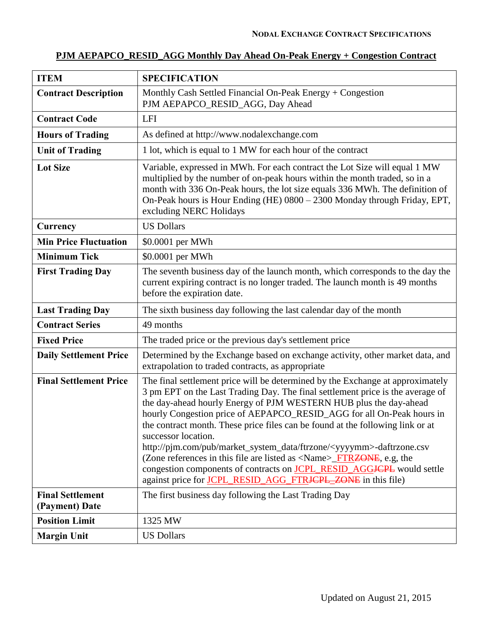# **PJM AEPAPCO\_RESID\_AGG Monthly Day Ahead On-Peak Energy + Congestion Contract**

| <b>ITEM</b>                               | <b>SPECIFICATION</b>                                                                                                                                                                                                                                                                                                                                                                                                                                                                                                                                                                                                                                                                                                                                             |
|-------------------------------------------|------------------------------------------------------------------------------------------------------------------------------------------------------------------------------------------------------------------------------------------------------------------------------------------------------------------------------------------------------------------------------------------------------------------------------------------------------------------------------------------------------------------------------------------------------------------------------------------------------------------------------------------------------------------------------------------------------------------------------------------------------------------|
| <b>Contract Description</b>               | Monthly Cash Settled Financial On-Peak Energy + Congestion<br>PJM AEPAPCO_RESID_AGG, Day Ahead                                                                                                                                                                                                                                                                                                                                                                                                                                                                                                                                                                                                                                                                   |
| <b>Contract Code</b>                      | <b>LFI</b>                                                                                                                                                                                                                                                                                                                                                                                                                                                                                                                                                                                                                                                                                                                                                       |
| <b>Hours of Trading</b>                   | As defined at http://www.nodalexchange.com                                                                                                                                                                                                                                                                                                                                                                                                                                                                                                                                                                                                                                                                                                                       |
| <b>Unit of Trading</b>                    | 1 lot, which is equal to 1 MW for each hour of the contract                                                                                                                                                                                                                                                                                                                                                                                                                                                                                                                                                                                                                                                                                                      |
| <b>Lot Size</b>                           | Variable, expressed in MWh. For each contract the Lot Size will equal 1 MW<br>multiplied by the number of on-peak hours within the month traded, so in a<br>month with 336 On-Peak hours, the lot size equals 336 MWh. The definition of<br>On-Peak hours is Hour Ending (HE) 0800 - 2300 Monday through Friday, EPT,<br>excluding NERC Holidays                                                                                                                                                                                                                                                                                                                                                                                                                 |
| Currency                                  | <b>US Dollars</b>                                                                                                                                                                                                                                                                                                                                                                                                                                                                                                                                                                                                                                                                                                                                                |
| <b>Min Price Fluctuation</b>              | \$0.0001 per MWh                                                                                                                                                                                                                                                                                                                                                                                                                                                                                                                                                                                                                                                                                                                                                 |
| <b>Minimum Tick</b>                       | \$0.0001 per MWh                                                                                                                                                                                                                                                                                                                                                                                                                                                                                                                                                                                                                                                                                                                                                 |
| <b>First Trading Day</b>                  | The seventh business day of the launch month, which corresponds to the day the<br>current expiring contract is no longer traded. The launch month is 49 months<br>before the expiration date.                                                                                                                                                                                                                                                                                                                                                                                                                                                                                                                                                                    |
| <b>Last Trading Day</b>                   | The sixth business day following the last calendar day of the month                                                                                                                                                                                                                                                                                                                                                                                                                                                                                                                                                                                                                                                                                              |
| <b>Contract Series</b>                    | 49 months                                                                                                                                                                                                                                                                                                                                                                                                                                                                                                                                                                                                                                                                                                                                                        |
| <b>Fixed Price</b>                        | The traded price or the previous day's settlement price                                                                                                                                                                                                                                                                                                                                                                                                                                                                                                                                                                                                                                                                                                          |
| <b>Daily Settlement Price</b>             | Determined by the Exchange based on exchange activity, other market data, and<br>extrapolation to traded contracts, as appropriate                                                                                                                                                                                                                                                                                                                                                                                                                                                                                                                                                                                                                               |
| <b>Final Settlement Price</b>             | The final settlement price will be determined by the Exchange at approximately<br>3 pm EPT on the Last Trading Day. The final settlement price is the average of<br>the day-ahead hourly Energy of PJM WESTERN HUB plus the day-ahead<br>hourly Congestion price of AEPAPCO_RESID_AGG for all On-Peak hours in<br>the contract month. These price files can be found at the following link or at<br>successor location.<br>http://pjm.com/pub/market_system_data/ftrzone/ <yyyymm>-daftrzone.csv<br/>(Zone references in this file are listed as <name>_FTR<del>ZONE</del>, e.g, the<br/>congestion components of contracts on <b>JCPL_RESID_AGG<del>JCPL</del></b> would settle<br/>against price for JCPL_RESID_AGG_FTRJCPL_ZONE in this file)</name></yyyymm> |
| <b>Final Settlement</b><br>(Payment) Date | The first business day following the Last Trading Day                                                                                                                                                                                                                                                                                                                                                                                                                                                                                                                                                                                                                                                                                                            |
| <b>Position Limit</b>                     | 1325 MW                                                                                                                                                                                                                                                                                                                                                                                                                                                                                                                                                                                                                                                                                                                                                          |
| <b>Margin Unit</b>                        | <b>US Dollars</b>                                                                                                                                                                                                                                                                                                                                                                                                                                                                                                                                                                                                                                                                                                                                                |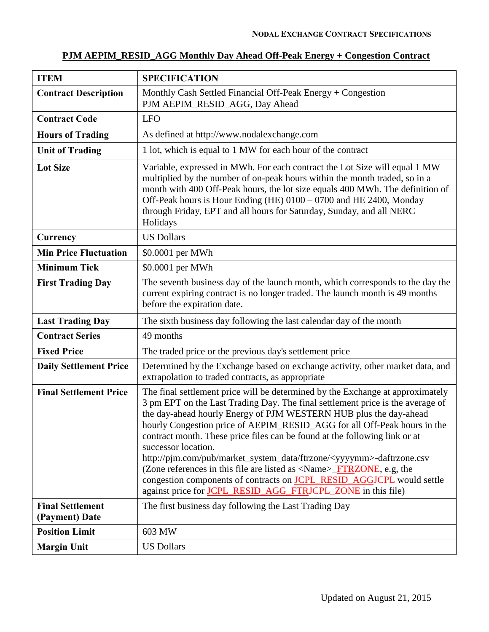| <b>ITEM</b>                               | <b>SPECIFICATION</b>                                                                                                                                                                                                                                                                                                                                                                                                                                                                                                                                                                                                                                                                                                                                 |
|-------------------------------------------|------------------------------------------------------------------------------------------------------------------------------------------------------------------------------------------------------------------------------------------------------------------------------------------------------------------------------------------------------------------------------------------------------------------------------------------------------------------------------------------------------------------------------------------------------------------------------------------------------------------------------------------------------------------------------------------------------------------------------------------------------|
| <b>Contract Description</b>               | Monthly Cash Settled Financial Off-Peak Energy + Congestion<br>PJM AEPIM_RESID_AGG, Day Ahead                                                                                                                                                                                                                                                                                                                                                                                                                                                                                                                                                                                                                                                        |
| <b>Contract Code</b>                      | <b>LFO</b>                                                                                                                                                                                                                                                                                                                                                                                                                                                                                                                                                                                                                                                                                                                                           |
| <b>Hours of Trading</b>                   | As defined at http://www.nodalexchange.com                                                                                                                                                                                                                                                                                                                                                                                                                                                                                                                                                                                                                                                                                                           |
| <b>Unit of Trading</b>                    | 1 lot, which is equal to 1 MW for each hour of the contract                                                                                                                                                                                                                                                                                                                                                                                                                                                                                                                                                                                                                                                                                          |
| <b>Lot Size</b>                           | Variable, expressed in MWh. For each contract the Lot Size will equal 1 MW<br>multiplied by the number of on-peak hours within the month traded, so in a<br>month with 400 Off-Peak hours, the lot size equals 400 MWh. The definition of<br>Off-Peak hours is Hour Ending (HE) 0100 - 0700 and HE 2400, Monday<br>through Friday, EPT and all hours for Saturday, Sunday, and all NERC<br>Holidays                                                                                                                                                                                                                                                                                                                                                  |
| Currency                                  | <b>US Dollars</b>                                                                                                                                                                                                                                                                                                                                                                                                                                                                                                                                                                                                                                                                                                                                    |
| <b>Min Price Fluctuation</b>              | \$0.0001 per MWh                                                                                                                                                                                                                                                                                                                                                                                                                                                                                                                                                                                                                                                                                                                                     |
| <b>Minimum Tick</b>                       | \$0.0001 per MWh                                                                                                                                                                                                                                                                                                                                                                                                                                                                                                                                                                                                                                                                                                                                     |
| <b>First Trading Day</b>                  | The seventh business day of the launch month, which corresponds to the day the<br>current expiring contract is no longer traded. The launch month is 49 months<br>before the expiration date.                                                                                                                                                                                                                                                                                                                                                                                                                                                                                                                                                        |
| <b>Last Trading Day</b>                   | The sixth business day following the last calendar day of the month                                                                                                                                                                                                                                                                                                                                                                                                                                                                                                                                                                                                                                                                                  |
| <b>Contract Series</b>                    | 49 months                                                                                                                                                                                                                                                                                                                                                                                                                                                                                                                                                                                                                                                                                                                                            |
| <b>Fixed Price</b>                        | The traded price or the previous day's settlement price                                                                                                                                                                                                                                                                                                                                                                                                                                                                                                                                                                                                                                                                                              |
| <b>Daily Settlement Price</b>             | Determined by the Exchange based on exchange activity, other market data, and<br>extrapolation to traded contracts, as appropriate                                                                                                                                                                                                                                                                                                                                                                                                                                                                                                                                                                                                                   |
| <b>Final Settlement Price</b>             | The final settlement price will be determined by the Exchange at approximately<br>3 pm EPT on the Last Trading Day. The final settlement price is the average of<br>the day-ahead hourly Energy of PJM WESTERN HUB plus the day-ahead<br>hourly Congestion price of AEPIM_RESID_AGG for all Off-Peak hours in the<br>contract month. These price files can be found at the following link or at<br>successor location.<br>http://pjm.com/pub/market_system_data/ftrzone/ <yyyymm>-daftrzone.csv<br/>(Zone references in this file are listed as <name>_FTR<del>ZONE</del>, e.g, the<br/>congestion components of contracts on <b>JCPL_RESID_AGGJCPL</b> would settle<br/>against price for JCPL_RESID_AGG_FTRJCPL_ZONE in this file)</name></yyyymm> |
| <b>Final Settlement</b><br>(Payment) Date | The first business day following the Last Trading Day                                                                                                                                                                                                                                                                                                                                                                                                                                                                                                                                                                                                                                                                                                |
| <b>Position Limit</b>                     | 603 MW                                                                                                                                                                                                                                                                                                                                                                                                                                                                                                                                                                                                                                                                                                                                               |
| <b>Margin Unit</b>                        | <b>US Dollars</b>                                                                                                                                                                                                                                                                                                                                                                                                                                                                                                                                                                                                                                                                                                                                    |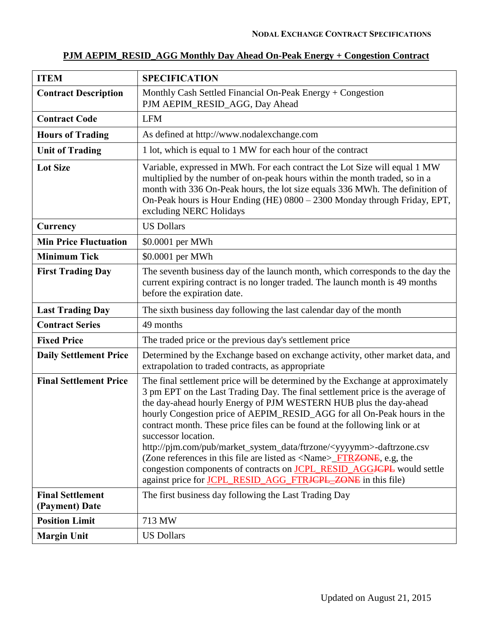|  |  |  | PJM AEPIM RESID AGG Monthly Day Ahead On-Peak Energy + Congestion Contract |  |
|--|--|--|----------------------------------------------------------------------------|--|
|--|--|--|----------------------------------------------------------------------------|--|

| <b>ITEM</b>                               | <b>SPECIFICATION</b>                                                                                                                                                                                                                                                                                                                                                                                                                                                                                                                                                                                                                                                                                                                                                           |
|-------------------------------------------|--------------------------------------------------------------------------------------------------------------------------------------------------------------------------------------------------------------------------------------------------------------------------------------------------------------------------------------------------------------------------------------------------------------------------------------------------------------------------------------------------------------------------------------------------------------------------------------------------------------------------------------------------------------------------------------------------------------------------------------------------------------------------------|
| <b>Contract Description</b>               | Monthly Cash Settled Financial On-Peak Energy + Congestion<br>PJM AEPIM_RESID_AGG, Day Ahead                                                                                                                                                                                                                                                                                                                                                                                                                                                                                                                                                                                                                                                                                   |
| <b>Contract Code</b>                      | <b>LFM</b>                                                                                                                                                                                                                                                                                                                                                                                                                                                                                                                                                                                                                                                                                                                                                                     |
| <b>Hours of Trading</b>                   | As defined at http://www.nodalexchange.com                                                                                                                                                                                                                                                                                                                                                                                                                                                                                                                                                                                                                                                                                                                                     |
| <b>Unit of Trading</b>                    | 1 lot, which is equal to 1 MW for each hour of the contract                                                                                                                                                                                                                                                                                                                                                                                                                                                                                                                                                                                                                                                                                                                    |
| <b>Lot Size</b>                           | Variable, expressed in MWh. For each contract the Lot Size will equal 1 MW<br>multiplied by the number of on-peak hours within the month traded, so in a<br>month with 336 On-Peak hours, the lot size equals 336 MWh. The definition of<br>On-Peak hours is Hour Ending (HE) 0800 - 2300 Monday through Friday, EPT,<br>excluding NERC Holidays                                                                                                                                                                                                                                                                                                                                                                                                                               |
| <b>Currency</b>                           | <b>US Dollars</b>                                                                                                                                                                                                                                                                                                                                                                                                                                                                                                                                                                                                                                                                                                                                                              |
| <b>Min Price Fluctuation</b>              | \$0.0001 per MWh                                                                                                                                                                                                                                                                                                                                                                                                                                                                                                                                                                                                                                                                                                                                                               |
| <b>Minimum Tick</b>                       | \$0.0001 per MWh                                                                                                                                                                                                                                                                                                                                                                                                                                                                                                                                                                                                                                                                                                                                                               |
| <b>First Trading Day</b>                  | The seventh business day of the launch month, which corresponds to the day the<br>current expiring contract is no longer traded. The launch month is 49 months<br>before the expiration date.                                                                                                                                                                                                                                                                                                                                                                                                                                                                                                                                                                                  |
| <b>Last Trading Day</b>                   | The sixth business day following the last calendar day of the month                                                                                                                                                                                                                                                                                                                                                                                                                                                                                                                                                                                                                                                                                                            |
| <b>Contract Series</b>                    | 49 months                                                                                                                                                                                                                                                                                                                                                                                                                                                                                                                                                                                                                                                                                                                                                                      |
| <b>Fixed Price</b>                        | The traded price or the previous day's settlement price                                                                                                                                                                                                                                                                                                                                                                                                                                                                                                                                                                                                                                                                                                                        |
| <b>Daily Settlement Price</b>             | Determined by the Exchange based on exchange activity, other market data, and<br>extrapolation to traded contracts, as appropriate                                                                                                                                                                                                                                                                                                                                                                                                                                                                                                                                                                                                                                             |
| <b>Final Settlement Price</b>             | The final settlement price will be determined by the Exchange at approximately<br>3 pm EPT on the Last Trading Day. The final settlement price is the average of<br>the day-ahead hourly Energy of PJM WESTERN HUB plus the day-ahead<br>hourly Congestion price of AEPIM_RESID_AGG for all On-Peak hours in the<br>contract month. These price files can be found at the following link or at<br>successor location.<br>http://pjm.com/pub/market_system_data/ftrzone/ <yyyymm>-daftrzone.csv<br/>(Zone references in this file are listed as <math>\langle</math>Name<math>\rangle</math>_FTRZONE, e.g, the<br/>congestion components of contracts on <b>JCPL_RESID_AGGJCPL</b> would settle<br/>against price for <b>JCPL_RESID_AGG_FTRJCPL_ZONE</b> in this file)</yyyymm> |
| <b>Final Settlement</b><br>(Payment) Date | The first business day following the Last Trading Day                                                                                                                                                                                                                                                                                                                                                                                                                                                                                                                                                                                                                                                                                                                          |
| <b>Position Limit</b>                     | 713 MW                                                                                                                                                                                                                                                                                                                                                                                                                                                                                                                                                                                                                                                                                                                                                                         |
| <b>Margin Unit</b>                        | <b>US Dollars</b>                                                                                                                                                                                                                                                                                                                                                                                                                                                                                                                                                                                                                                                                                                                                                              |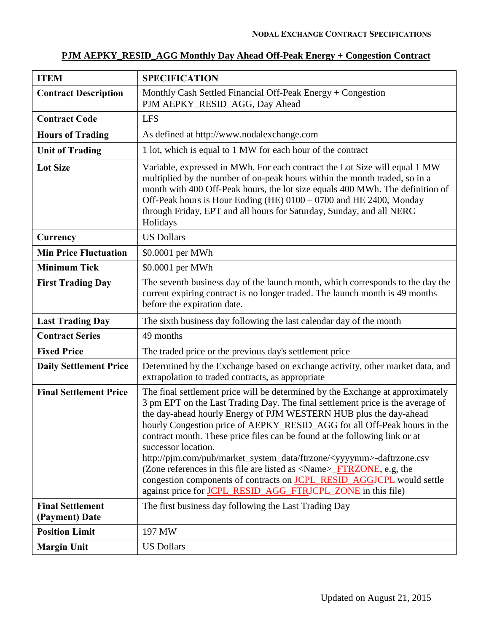| PJM AEPKY_RESID_AGG Monthly Day Ahead Off-Peak Energy + Congestion Contract |  |  |
|-----------------------------------------------------------------------------|--|--|
|                                                                             |  |  |

| <b>ITEM</b>                               | <b>SPECIFICATION</b>                                                                                                                                                                                                                                                                                                                                                                                                                                                                                                                                                                                                                                                                                                                                            |
|-------------------------------------------|-----------------------------------------------------------------------------------------------------------------------------------------------------------------------------------------------------------------------------------------------------------------------------------------------------------------------------------------------------------------------------------------------------------------------------------------------------------------------------------------------------------------------------------------------------------------------------------------------------------------------------------------------------------------------------------------------------------------------------------------------------------------|
| <b>Contract Description</b>               | Monthly Cash Settled Financial Off-Peak Energy $+$ Congestion<br>PJM AEPKY_RESID_AGG, Day Ahead                                                                                                                                                                                                                                                                                                                                                                                                                                                                                                                                                                                                                                                                 |
| <b>Contract Code</b>                      | <b>LFS</b>                                                                                                                                                                                                                                                                                                                                                                                                                                                                                                                                                                                                                                                                                                                                                      |
| <b>Hours of Trading</b>                   | As defined at http://www.nodalexchange.com                                                                                                                                                                                                                                                                                                                                                                                                                                                                                                                                                                                                                                                                                                                      |
| <b>Unit of Trading</b>                    | 1 lot, which is equal to 1 MW for each hour of the contract                                                                                                                                                                                                                                                                                                                                                                                                                                                                                                                                                                                                                                                                                                     |
| <b>Lot Size</b>                           | Variable, expressed in MWh. For each contract the Lot Size will equal 1 MW<br>multiplied by the number of on-peak hours within the month traded, so in a<br>month with 400 Off-Peak hours, the lot size equals 400 MWh. The definition of<br>Off-Peak hours is Hour Ending (HE) 0100 - 0700 and HE 2400, Monday<br>through Friday, EPT and all hours for Saturday, Sunday, and all NERC<br>Holidays                                                                                                                                                                                                                                                                                                                                                             |
| Currency                                  | <b>US Dollars</b>                                                                                                                                                                                                                                                                                                                                                                                                                                                                                                                                                                                                                                                                                                                                               |
| <b>Min Price Fluctuation</b>              | \$0.0001 per MWh                                                                                                                                                                                                                                                                                                                                                                                                                                                                                                                                                                                                                                                                                                                                                |
| <b>Minimum Tick</b>                       | \$0.0001 per MWh                                                                                                                                                                                                                                                                                                                                                                                                                                                                                                                                                                                                                                                                                                                                                |
| <b>First Trading Day</b>                  | The seventh business day of the launch month, which corresponds to the day the<br>current expiring contract is no longer traded. The launch month is 49 months<br>before the expiration date.                                                                                                                                                                                                                                                                                                                                                                                                                                                                                                                                                                   |
| <b>Last Trading Day</b>                   | The sixth business day following the last calendar day of the month                                                                                                                                                                                                                                                                                                                                                                                                                                                                                                                                                                                                                                                                                             |
| <b>Contract Series</b>                    | 49 months                                                                                                                                                                                                                                                                                                                                                                                                                                                                                                                                                                                                                                                                                                                                                       |
| <b>Fixed Price</b>                        | The traded price or the previous day's settlement price                                                                                                                                                                                                                                                                                                                                                                                                                                                                                                                                                                                                                                                                                                         |
| <b>Daily Settlement Price</b>             | Determined by the Exchange based on exchange activity, other market data, and<br>extrapolation to traded contracts, as appropriate                                                                                                                                                                                                                                                                                                                                                                                                                                                                                                                                                                                                                              |
| <b>Final Settlement Price</b>             | The final settlement price will be determined by the Exchange at approximately<br>3 pm EPT on the Last Trading Day. The final settlement price is the average of<br>the day-ahead hourly Energy of PJM WESTERN HUB plus the day-ahead<br>hourly Congestion price of AEPKY_RESID_AGG for all Off-Peak hours in the<br>contract month. These price files can be found at the following link or at<br>successor location.<br>http://pjm.com/pub/market_system_data/ftrzone/ <yyyymm>-daftrzone.csv<br/>(Zone references in this file are listed as <name>_FTR<del>ZONE</del>, e.g, the<br/>congestion components of contracts on <b>JCPL_RESID_AGG<del>JCPL</del></b> would settle<br/>against price for JCPL_RESID_AGG_FTRJCPL_ZONE in this file)</name></yyyymm> |
| <b>Final Settlement</b><br>(Payment) Date | The first business day following the Last Trading Day                                                                                                                                                                                                                                                                                                                                                                                                                                                                                                                                                                                                                                                                                                           |
| <b>Position Limit</b>                     | 197 MW                                                                                                                                                                                                                                                                                                                                                                                                                                                                                                                                                                                                                                                                                                                                                          |
| <b>Margin Unit</b>                        | <b>US Dollars</b>                                                                                                                                                                                                                                                                                                                                                                                                                                                                                                                                                                                                                                                                                                                                               |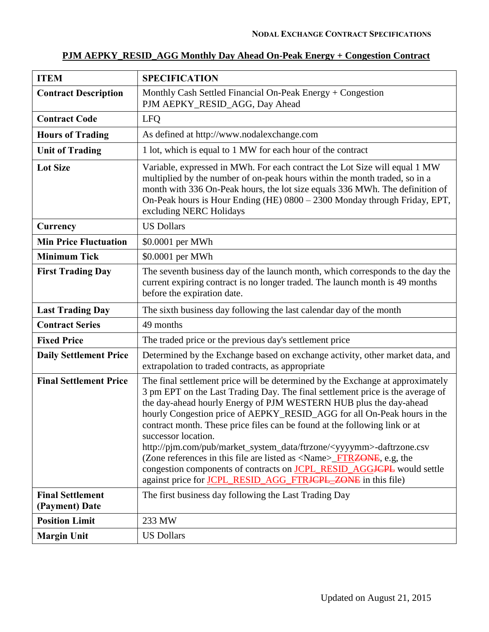| PJM AEPKY_RESID_AGG Monthly Day Ahead On-Peak Energy + Congestion Contract |
|----------------------------------------------------------------------------|
|----------------------------------------------------------------------------|

| <b>ITEM</b>                               | <b>SPECIFICATION</b>                                                                                                                                                                                                                                                                                                                                                                                                                                                                                                                                                                                                                                                                                                                                       |
|-------------------------------------------|------------------------------------------------------------------------------------------------------------------------------------------------------------------------------------------------------------------------------------------------------------------------------------------------------------------------------------------------------------------------------------------------------------------------------------------------------------------------------------------------------------------------------------------------------------------------------------------------------------------------------------------------------------------------------------------------------------------------------------------------------------|
| <b>Contract Description</b>               | Monthly Cash Settled Financial On-Peak Energy + Congestion<br>PJM AEPKY_RESID_AGG, Day Ahead                                                                                                                                                                                                                                                                                                                                                                                                                                                                                                                                                                                                                                                               |
| <b>Contract Code</b>                      | <b>LFO</b>                                                                                                                                                                                                                                                                                                                                                                                                                                                                                                                                                                                                                                                                                                                                                 |
| <b>Hours of Trading</b>                   | As defined at http://www.nodalexchange.com                                                                                                                                                                                                                                                                                                                                                                                                                                                                                                                                                                                                                                                                                                                 |
| <b>Unit of Trading</b>                    | 1 lot, which is equal to 1 MW for each hour of the contract                                                                                                                                                                                                                                                                                                                                                                                                                                                                                                                                                                                                                                                                                                |
| <b>Lot Size</b>                           | Variable, expressed in MWh. For each contract the Lot Size will equal 1 MW<br>multiplied by the number of on-peak hours within the month traded, so in a<br>month with 336 On-Peak hours, the lot size equals 336 MWh. The definition of<br>On-Peak hours is Hour Ending (HE) 0800 - 2300 Monday through Friday, EPT,<br>excluding NERC Holidays                                                                                                                                                                                                                                                                                                                                                                                                           |
| <b>Currency</b>                           | <b>US Dollars</b>                                                                                                                                                                                                                                                                                                                                                                                                                                                                                                                                                                                                                                                                                                                                          |
| <b>Min Price Fluctuation</b>              | \$0.0001 per MWh                                                                                                                                                                                                                                                                                                                                                                                                                                                                                                                                                                                                                                                                                                                                           |
| <b>Minimum Tick</b>                       | \$0.0001 per MWh                                                                                                                                                                                                                                                                                                                                                                                                                                                                                                                                                                                                                                                                                                                                           |
| <b>First Trading Day</b>                  | The seventh business day of the launch month, which corresponds to the day the<br>current expiring contract is no longer traded. The launch month is 49 months<br>before the expiration date.                                                                                                                                                                                                                                                                                                                                                                                                                                                                                                                                                              |
| <b>Last Trading Day</b>                   | The sixth business day following the last calendar day of the month                                                                                                                                                                                                                                                                                                                                                                                                                                                                                                                                                                                                                                                                                        |
| <b>Contract Series</b>                    | 49 months                                                                                                                                                                                                                                                                                                                                                                                                                                                                                                                                                                                                                                                                                                                                                  |
| <b>Fixed Price</b>                        | The traded price or the previous day's settlement price                                                                                                                                                                                                                                                                                                                                                                                                                                                                                                                                                                                                                                                                                                    |
| <b>Daily Settlement Price</b>             | Determined by the Exchange based on exchange activity, other market data, and<br>extrapolation to traded contracts, as appropriate                                                                                                                                                                                                                                                                                                                                                                                                                                                                                                                                                                                                                         |
| <b>Final Settlement Price</b>             | The final settlement price will be determined by the Exchange at approximately<br>3 pm EPT on the Last Trading Day. The final settlement price is the average of<br>the day-ahead hourly Energy of PJM WESTERN HUB plus the day-ahead<br>hourly Congestion price of AEPKY_RESID_AGG for all On-Peak hours in the<br>contract month. These price files can be found at the following link or at<br>successor location.<br>http://pjm.com/pub/market_system_data/ftrzone/ <yyyymm>-daftrzone.csv<br/>(Zone references in this file are listed as <name><del>_FTRZONE</del>, e.g, the<br/>congestion components of contracts on <b>JCPL_RESID_AGGJCPL</b> would settle<br/>against price for <b>JCPL_RESID_AGG_FTRJCPL_ZONE</b> in this file)</name></yyyymm> |
| <b>Final Settlement</b><br>(Payment) Date | The first business day following the Last Trading Day                                                                                                                                                                                                                                                                                                                                                                                                                                                                                                                                                                                                                                                                                                      |
| <b>Position Limit</b>                     | 233 MW                                                                                                                                                                                                                                                                                                                                                                                                                                                                                                                                                                                                                                                                                                                                                     |
| <b>Margin Unit</b>                        | <b>US Dollars</b>                                                                                                                                                                                                                                                                                                                                                                                                                                                                                                                                                                                                                                                                                                                                          |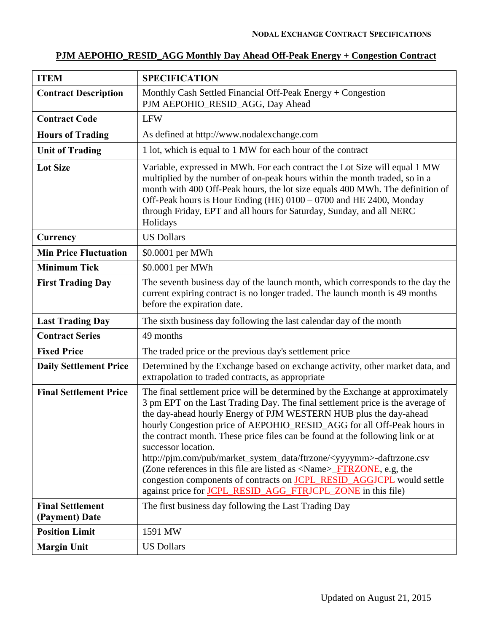# **PJM AEPOHIO\_RESID\_AGG Monthly Day Ahead Off-Peak Energy + Congestion Contract**

| <b>ITEM</b>                               | <b>SPECIFICATION</b>                                                                                                                                                                                                                                                                                                                                                                                                                                                                                                                                                                                                                                                                                                                                                                             |
|-------------------------------------------|--------------------------------------------------------------------------------------------------------------------------------------------------------------------------------------------------------------------------------------------------------------------------------------------------------------------------------------------------------------------------------------------------------------------------------------------------------------------------------------------------------------------------------------------------------------------------------------------------------------------------------------------------------------------------------------------------------------------------------------------------------------------------------------------------|
| <b>Contract Description</b>               | Monthly Cash Settled Financial Off-Peak Energy $+$ Congestion<br>PJM AEPOHIO_RESID_AGG, Day Ahead                                                                                                                                                                                                                                                                                                                                                                                                                                                                                                                                                                                                                                                                                                |
| <b>Contract Code</b>                      | <b>LFW</b>                                                                                                                                                                                                                                                                                                                                                                                                                                                                                                                                                                                                                                                                                                                                                                                       |
| <b>Hours of Trading</b>                   | As defined at http://www.nodalexchange.com                                                                                                                                                                                                                                                                                                                                                                                                                                                                                                                                                                                                                                                                                                                                                       |
| <b>Unit of Trading</b>                    | 1 lot, which is equal to 1 MW for each hour of the contract                                                                                                                                                                                                                                                                                                                                                                                                                                                                                                                                                                                                                                                                                                                                      |
| <b>Lot Size</b>                           | Variable, expressed in MWh. For each contract the Lot Size will equal 1 MW<br>multiplied by the number of on-peak hours within the month traded, so in a<br>month with 400 Off-Peak hours, the lot size equals 400 MWh. The definition of<br>Off-Peak hours is Hour Ending (HE) 0100 - 0700 and HE 2400, Monday<br>through Friday, EPT and all hours for Saturday, Sunday, and all NERC<br>Holidays                                                                                                                                                                                                                                                                                                                                                                                              |
| Currency                                  | <b>US Dollars</b>                                                                                                                                                                                                                                                                                                                                                                                                                                                                                                                                                                                                                                                                                                                                                                                |
| <b>Min Price Fluctuation</b>              | \$0.0001 per MWh                                                                                                                                                                                                                                                                                                                                                                                                                                                                                                                                                                                                                                                                                                                                                                                 |
| <b>Minimum Tick</b>                       | \$0.0001 per MWh                                                                                                                                                                                                                                                                                                                                                                                                                                                                                                                                                                                                                                                                                                                                                                                 |
| <b>First Trading Day</b>                  | The seventh business day of the launch month, which corresponds to the day the<br>current expiring contract is no longer traded. The launch month is 49 months<br>before the expiration date.                                                                                                                                                                                                                                                                                                                                                                                                                                                                                                                                                                                                    |
| <b>Last Trading Day</b>                   | The sixth business day following the last calendar day of the month                                                                                                                                                                                                                                                                                                                                                                                                                                                                                                                                                                                                                                                                                                                              |
| <b>Contract Series</b>                    | 49 months                                                                                                                                                                                                                                                                                                                                                                                                                                                                                                                                                                                                                                                                                                                                                                                        |
| <b>Fixed Price</b>                        | The traded price or the previous day's settlement price                                                                                                                                                                                                                                                                                                                                                                                                                                                                                                                                                                                                                                                                                                                                          |
| <b>Daily Settlement Price</b>             | Determined by the Exchange based on exchange activity, other market data, and<br>extrapolation to traded contracts, as appropriate                                                                                                                                                                                                                                                                                                                                                                                                                                                                                                                                                                                                                                                               |
| <b>Final Settlement Price</b>             | The final settlement price will be determined by the Exchange at approximately<br>3 pm EPT on the Last Trading Day. The final settlement price is the average of<br>the day-ahead hourly Energy of PJM WESTERN HUB plus the day-ahead<br>hourly Congestion price of AEPOHIO_RESID_AGG for all Off-Peak hours in<br>the contract month. These price files can be found at the following link or at<br>successor location.<br>http://pim.com/pub/market_system_data/ftrzone/ <yyyymm>-daftrzone.csv<br/>(Zone references in this file are listed as <math>\langle</math>Name<math>\rangle</math>_FTRZONE, e.g, the<br/>congestion components of contracts on <b>JCPL_RESID_AGG<del>JCPL</del></b> would settle<br/>against price for JCPL_RESID_AGG_FTR<del>JCPL_ZONE</del> in this file)</yyyymm> |
| <b>Final Settlement</b><br>(Payment) Date | The first business day following the Last Trading Day                                                                                                                                                                                                                                                                                                                                                                                                                                                                                                                                                                                                                                                                                                                                            |
| <b>Position Limit</b>                     | 1591 MW                                                                                                                                                                                                                                                                                                                                                                                                                                                                                                                                                                                                                                                                                                                                                                                          |
| <b>Margin Unit</b>                        | <b>US Dollars</b>                                                                                                                                                                                                                                                                                                                                                                                                                                                                                                                                                                                                                                                                                                                                                                                |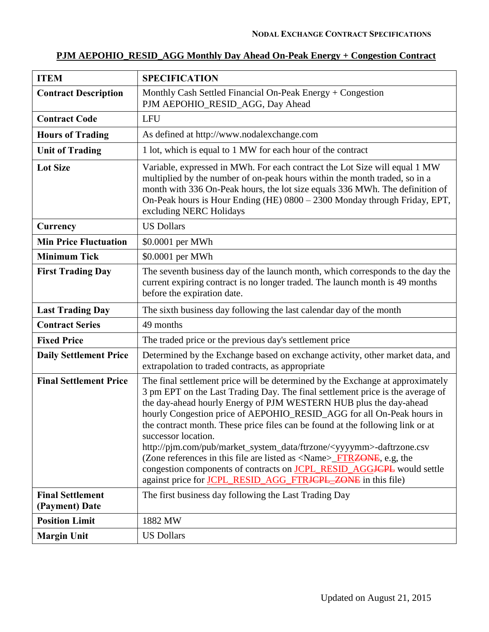# **PJM AEPOHIO\_RESID\_AGG Monthly Day Ahead On-Peak Energy + Congestion Contract**

| <b>ITEM</b>                               | <b>SPECIFICATION</b>                                                                                                                                                                                                                                                                                                                                                                                                                                                                                                                                                                                                                                                                                                                                         |
|-------------------------------------------|--------------------------------------------------------------------------------------------------------------------------------------------------------------------------------------------------------------------------------------------------------------------------------------------------------------------------------------------------------------------------------------------------------------------------------------------------------------------------------------------------------------------------------------------------------------------------------------------------------------------------------------------------------------------------------------------------------------------------------------------------------------|
| <b>Contract Description</b>               | Monthly Cash Settled Financial On-Peak Energy + Congestion<br>PJM AEPOHIO_RESID_AGG, Day Ahead                                                                                                                                                                                                                                                                                                                                                                                                                                                                                                                                                                                                                                                               |
| <b>Contract Code</b>                      | <b>LFU</b>                                                                                                                                                                                                                                                                                                                                                                                                                                                                                                                                                                                                                                                                                                                                                   |
| <b>Hours of Trading</b>                   | As defined at http://www.nodalexchange.com                                                                                                                                                                                                                                                                                                                                                                                                                                                                                                                                                                                                                                                                                                                   |
| <b>Unit of Trading</b>                    | 1 lot, which is equal to 1 MW for each hour of the contract                                                                                                                                                                                                                                                                                                                                                                                                                                                                                                                                                                                                                                                                                                  |
| <b>Lot Size</b>                           | Variable, expressed in MWh. For each contract the Lot Size will equal 1 MW<br>multiplied by the number of on-peak hours within the month traded, so in a<br>month with 336 On-Peak hours, the lot size equals 336 MWh. The definition of<br>On-Peak hours is Hour Ending (HE) 0800 - 2300 Monday through Friday, EPT,<br>excluding NERC Holidays                                                                                                                                                                                                                                                                                                                                                                                                             |
| Currency                                  | <b>US Dollars</b>                                                                                                                                                                                                                                                                                                                                                                                                                                                                                                                                                                                                                                                                                                                                            |
| <b>Min Price Fluctuation</b>              | \$0.0001 per MWh                                                                                                                                                                                                                                                                                                                                                                                                                                                                                                                                                                                                                                                                                                                                             |
| <b>Minimum Tick</b>                       | \$0.0001 per MWh                                                                                                                                                                                                                                                                                                                                                                                                                                                                                                                                                                                                                                                                                                                                             |
| <b>First Trading Day</b>                  | The seventh business day of the launch month, which corresponds to the day the<br>current expiring contract is no longer traded. The launch month is 49 months<br>before the expiration date.                                                                                                                                                                                                                                                                                                                                                                                                                                                                                                                                                                |
| <b>Last Trading Day</b>                   | The sixth business day following the last calendar day of the month                                                                                                                                                                                                                                                                                                                                                                                                                                                                                                                                                                                                                                                                                          |
| <b>Contract Series</b>                    | 49 months                                                                                                                                                                                                                                                                                                                                                                                                                                                                                                                                                                                                                                                                                                                                                    |
| <b>Fixed Price</b>                        | The traded price or the previous day's settlement price                                                                                                                                                                                                                                                                                                                                                                                                                                                                                                                                                                                                                                                                                                      |
| <b>Daily Settlement Price</b>             | Determined by the Exchange based on exchange activity, other market data, and<br>extrapolation to traded contracts, as appropriate                                                                                                                                                                                                                                                                                                                                                                                                                                                                                                                                                                                                                           |
| <b>Final Settlement Price</b>             | The final settlement price will be determined by the Exchange at approximately<br>3 pm EPT on the Last Trading Day. The final settlement price is the average of<br>the day-ahead hourly Energy of PJM WESTERN HUB plus the day-ahead<br>hourly Congestion price of AEPOHIO_RESID_AGG for all On-Peak hours in<br>the contract month. These price files can be found at the following link or at<br>successor location.<br>http://pjm.com/pub/market_system_data/ftrzone/ <yyyymm>-daftrzone.csv<br/>(Zone references in this file are listed as <name>_FTR<del>ZONE</del>, e.g, the<br/>congestion components of contracts on <b>JCPL_RESID_AGGJCPL</b> would settle<br/>against price for <b>JCPL RESID AGG FTRJCPL_ZONE</b> in this file)</name></yyyymm> |
| <b>Final Settlement</b><br>(Payment) Date | The first business day following the Last Trading Day                                                                                                                                                                                                                                                                                                                                                                                                                                                                                                                                                                                                                                                                                                        |
| <b>Position Limit</b>                     | 1882 MW                                                                                                                                                                                                                                                                                                                                                                                                                                                                                                                                                                                                                                                                                                                                                      |
| <b>Margin Unit</b>                        | <b>US Dollars</b>                                                                                                                                                                                                                                                                                                                                                                                                                                                                                                                                                                                                                                                                                                                                            |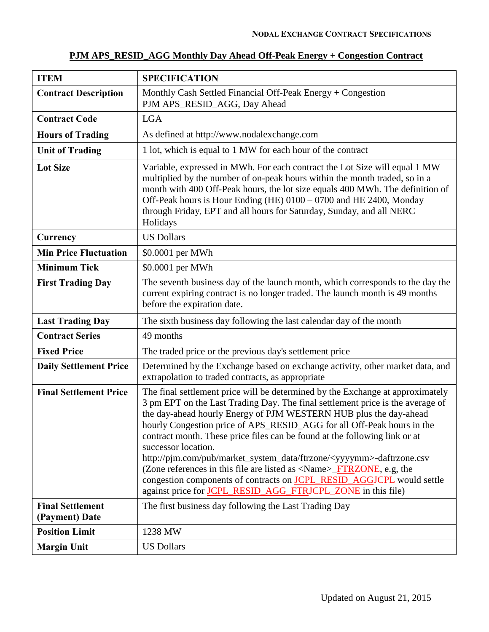| <b>ITEM</b>                               | <b>SPECIFICATION</b>                                                                                                                                                                                                                                                                                                                                                                                                                                                                                                                                                                                                                                                                                                                               |
|-------------------------------------------|----------------------------------------------------------------------------------------------------------------------------------------------------------------------------------------------------------------------------------------------------------------------------------------------------------------------------------------------------------------------------------------------------------------------------------------------------------------------------------------------------------------------------------------------------------------------------------------------------------------------------------------------------------------------------------------------------------------------------------------------------|
| <b>Contract Description</b>               | Monthly Cash Settled Financial Off-Peak Energy + Congestion<br>PJM APS_RESID_AGG, Day Ahead                                                                                                                                                                                                                                                                                                                                                                                                                                                                                                                                                                                                                                                        |
| <b>Contract Code</b>                      | <b>LGA</b>                                                                                                                                                                                                                                                                                                                                                                                                                                                                                                                                                                                                                                                                                                                                         |
| <b>Hours of Trading</b>                   | As defined at http://www.nodalexchange.com                                                                                                                                                                                                                                                                                                                                                                                                                                                                                                                                                                                                                                                                                                         |
| <b>Unit of Trading</b>                    | 1 lot, which is equal to 1 MW for each hour of the contract                                                                                                                                                                                                                                                                                                                                                                                                                                                                                                                                                                                                                                                                                        |
| <b>Lot Size</b>                           | Variable, expressed in MWh. For each contract the Lot Size will equal 1 MW<br>multiplied by the number of on-peak hours within the month traded, so in a<br>month with 400 Off-Peak hours, the lot size equals 400 MWh. The definition of<br>Off-Peak hours is Hour Ending (HE) 0100 – 0700 and HE 2400, Monday<br>through Friday, EPT and all hours for Saturday, Sunday, and all NERC<br>Holidays                                                                                                                                                                                                                                                                                                                                                |
| Currency                                  | <b>US Dollars</b>                                                                                                                                                                                                                                                                                                                                                                                                                                                                                                                                                                                                                                                                                                                                  |
| <b>Min Price Fluctuation</b>              | \$0.0001 per MWh                                                                                                                                                                                                                                                                                                                                                                                                                                                                                                                                                                                                                                                                                                                                   |
| <b>Minimum Tick</b>                       | \$0.0001 per MWh                                                                                                                                                                                                                                                                                                                                                                                                                                                                                                                                                                                                                                                                                                                                   |
| <b>First Trading Day</b>                  | The seventh business day of the launch month, which corresponds to the day the<br>current expiring contract is no longer traded. The launch month is 49 months<br>before the expiration date.                                                                                                                                                                                                                                                                                                                                                                                                                                                                                                                                                      |
| <b>Last Trading Day</b>                   | The sixth business day following the last calendar day of the month                                                                                                                                                                                                                                                                                                                                                                                                                                                                                                                                                                                                                                                                                |
| <b>Contract Series</b>                    | 49 months                                                                                                                                                                                                                                                                                                                                                                                                                                                                                                                                                                                                                                                                                                                                          |
| <b>Fixed Price</b>                        | The traded price or the previous day's settlement price                                                                                                                                                                                                                                                                                                                                                                                                                                                                                                                                                                                                                                                                                            |
| <b>Daily Settlement Price</b>             | Determined by the Exchange based on exchange activity, other market data, and<br>extrapolation to traded contracts, as appropriate                                                                                                                                                                                                                                                                                                                                                                                                                                                                                                                                                                                                                 |
| <b>Final Settlement Price</b>             | The final settlement price will be determined by the Exchange at approximately<br>3 pm EPT on the Last Trading Day. The final settlement price is the average of<br>the day-ahead hourly Energy of PJM WESTERN HUB plus the day-ahead<br>hourly Congestion price of APS_RESID_AGG for all Off-Peak hours in the<br>contract month. These price files can be found at the following link or at<br>successor location.<br>http://pjm.com/pub/market_system_data/ftrzone/ <yyyymm>-daftrzone.csv<br/>(Zone references in this file are listed as <name><del>_FTRZONE</del>, e.g, the<br/>congestion components of contracts on <b>JCPL_RESID_AGGJCPL</b> would settle<br/>against price for JCPL_RESID_AGG_FTRJCPL_ZONE in this file)</name></yyyymm> |
| <b>Final Settlement</b><br>(Payment) Date | The first business day following the Last Trading Day                                                                                                                                                                                                                                                                                                                                                                                                                                                                                                                                                                                                                                                                                              |
| <b>Position Limit</b>                     | 1238 MW                                                                                                                                                                                                                                                                                                                                                                                                                                                                                                                                                                                                                                                                                                                                            |
| <b>Margin Unit</b>                        | <b>US Dollars</b>                                                                                                                                                                                                                                                                                                                                                                                                                                                                                                                                                                                                                                                                                                                                  |

### **PJM APS\_RESID\_AGG Monthly Day Ahead Off-Peak Energy + Congestion Contract**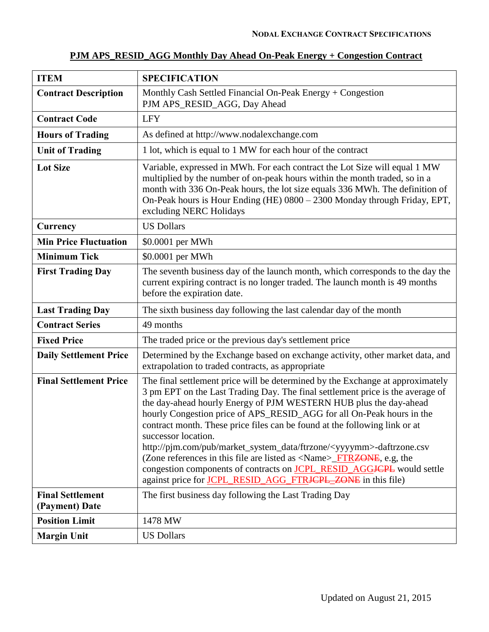| <b>ITEM</b>                               | <b>SPECIFICATION</b>                                                                                                                                                                                                                                                                                                                                                                                                                                                                                                                                                                                                                                                                                                                              |
|-------------------------------------------|---------------------------------------------------------------------------------------------------------------------------------------------------------------------------------------------------------------------------------------------------------------------------------------------------------------------------------------------------------------------------------------------------------------------------------------------------------------------------------------------------------------------------------------------------------------------------------------------------------------------------------------------------------------------------------------------------------------------------------------------------|
| <b>Contract Description</b>               | Monthly Cash Settled Financial On-Peak Energy + Congestion<br>PJM APS_RESID_AGG, Day Ahead                                                                                                                                                                                                                                                                                                                                                                                                                                                                                                                                                                                                                                                        |
| <b>Contract Code</b>                      | <b>LFY</b>                                                                                                                                                                                                                                                                                                                                                                                                                                                                                                                                                                                                                                                                                                                                        |
| <b>Hours of Trading</b>                   | As defined at http://www.nodalexchange.com                                                                                                                                                                                                                                                                                                                                                                                                                                                                                                                                                                                                                                                                                                        |
| <b>Unit of Trading</b>                    | 1 lot, which is equal to 1 MW for each hour of the contract                                                                                                                                                                                                                                                                                                                                                                                                                                                                                                                                                                                                                                                                                       |
| <b>Lot Size</b>                           | Variable, expressed in MWh. For each contract the Lot Size will equal 1 MW<br>multiplied by the number of on-peak hours within the month traded, so in a<br>month with 336 On-Peak hours, the lot size equals 336 MWh. The definition of<br>On-Peak hours is Hour Ending (HE) 0800 - 2300 Monday through Friday, EPT,<br>excluding NERC Holidays                                                                                                                                                                                                                                                                                                                                                                                                  |
| Currency                                  | <b>US Dollars</b>                                                                                                                                                                                                                                                                                                                                                                                                                                                                                                                                                                                                                                                                                                                                 |
| <b>Min Price Fluctuation</b>              | \$0.0001 per MWh                                                                                                                                                                                                                                                                                                                                                                                                                                                                                                                                                                                                                                                                                                                                  |
| <b>Minimum Tick</b>                       | \$0.0001 per MWh                                                                                                                                                                                                                                                                                                                                                                                                                                                                                                                                                                                                                                                                                                                                  |
| <b>First Trading Day</b>                  | The seventh business day of the launch month, which corresponds to the day the<br>current expiring contract is no longer traded. The launch month is 49 months<br>before the expiration date.                                                                                                                                                                                                                                                                                                                                                                                                                                                                                                                                                     |
| <b>Last Trading Day</b>                   | The sixth business day following the last calendar day of the month                                                                                                                                                                                                                                                                                                                                                                                                                                                                                                                                                                                                                                                                               |
| <b>Contract Series</b>                    | 49 months                                                                                                                                                                                                                                                                                                                                                                                                                                                                                                                                                                                                                                                                                                                                         |
| <b>Fixed Price</b>                        | The traded price or the previous day's settlement price                                                                                                                                                                                                                                                                                                                                                                                                                                                                                                                                                                                                                                                                                           |
| <b>Daily Settlement Price</b>             | Determined by the Exchange based on exchange activity, other market data, and<br>extrapolation to traded contracts, as appropriate                                                                                                                                                                                                                                                                                                                                                                                                                                                                                                                                                                                                                |
| <b>Final Settlement Price</b>             | The final settlement price will be determined by the Exchange at approximately<br>3 pm EPT on the Last Trading Day. The final settlement price is the average of<br>the day-ahead hourly Energy of PJM WESTERN HUB plus the day-ahead<br>hourly Congestion price of APS_RESID_AGG for all On-Peak hours in the<br>contract month. These price files can be found at the following link or at<br>successor location.<br>http://pjm.com/pub/market_system_data/ftrzone/ <yyyymm>-daftrzone.csv<br/>(Zone references in this file are listed as <name>_FTR<del>ZONE</del>, e.g, the<br/>congestion components of contracts on <b>JCPL_RESID_AGGJCPL</b> would settle<br/>against price for JCPL RESID_AGG_FTRJCPL_ZONE in this file)</name></yyyymm> |
| <b>Final Settlement</b><br>(Payment) Date | The first business day following the Last Trading Day                                                                                                                                                                                                                                                                                                                                                                                                                                                                                                                                                                                                                                                                                             |
| <b>Position Limit</b>                     | 1478 MW                                                                                                                                                                                                                                                                                                                                                                                                                                                                                                                                                                                                                                                                                                                                           |
| <b>Margin Unit</b>                        | <b>US Dollars</b>                                                                                                                                                                                                                                                                                                                                                                                                                                                                                                                                                                                                                                                                                                                                 |

# **PJM APS\_RESID\_AGG Monthly Day Ahead On-Peak Energy + Congestion Contract**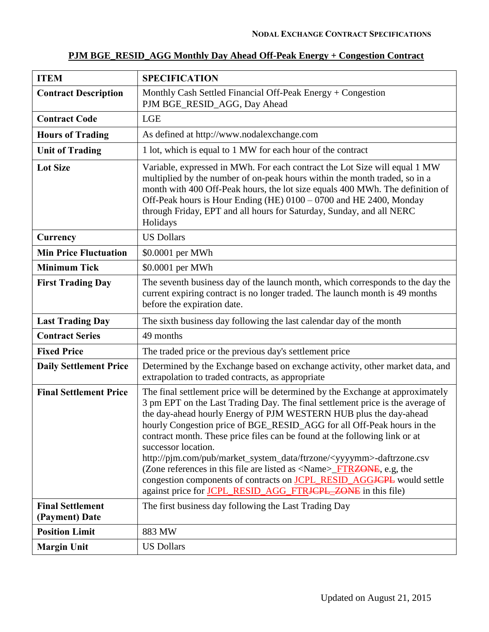| <b>ITEM</b>                               | <b>SPECIFICATION</b>                                                                                                                                                                                                                                                                                                                                                                                                                                                                                                                                                                                                                                                                                                                               |
|-------------------------------------------|----------------------------------------------------------------------------------------------------------------------------------------------------------------------------------------------------------------------------------------------------------------------------------------------------------------------------------------------------------------------------------------------------------------------------------------------------------------------------------------------------------------------------------------------------------------------------------------------------------------------------------------------------------------------------------------------------------------------------------------------------|
| <b>Contract Description</b>               | Monthly Cash Settled Financial Off-Peak Energy + Congestion<br>PJM BGE_RESID_AGG, Day Ahead                                                                                                                                                                                                                                                                                                                                                                                                                                                                                                                                                                                                                                                        |
| <b>Contract Code</b>                      | <b>LGE</b>                                                                                                                                                                                                                                                                                                                                                                                                                                                                                                                                                                                                                                                                                                                                         |
| <b>Hours of Trading</b>                   | As defined at http://www.nodalexchange.com                                                                                                                                                                                                                                                                                                                                                                                                                                                                                                                                                                                                                                                                                                         |
| <b>Unit of Trading</b>                    | 1 lot, which is equal to 1 MW for each hour of the contract                                                                                                                                                                                                                                                                                                                                                                                                                                                                                                                                                                                                                                                                                        |
| <b>Lot Size</b>                           | Variable, expressed in MWh. For each contract the Lot Size will equal 1 MW<br>multiplied by the number of on-peak hours within the month traded, so in a<br>month with 400 Off-Peak hours, the lot size equals 400 MWh. The definition of<br>Off-Peak hours is Hour Ending (HE) 0100 – 0700 and HE 2400, Monday<br>through Friday, EPT and all hours for Saturday, Sunday, and all NERC<br>Holidays                                                                                                                                                                                                                                                                                                                                                |
| Currency                                  | <b>US Dollars</b>                                                                                                                                                                                                                                                                                                                                                                                                                                                                                                                                                                                                                                                                                                                                  |
| <b>Min Price Fluctuation</b>              | \$0.0001 per MWh                                                                                                                                                                                                                                                                                                                                                                                                                                                                                                                                                                                                                                                                                                                                   |
| <b>Minimum Tick</b>                       | \$0.0001 per MWh                                                                                                                                                                                                                                                                                                                                                                                                                                                                                                                                                                                                                                                                                                                                   |
| <b>First Trading Day</b>                  | The seventh business day of the launch month, which corresponds to the day the<br>current expiring contract is no longer traded. The launch month is 49 months<br>before the expiration date.                                                                                                                                                                                                                                                                                                                                                                                                                                                                                                                                                      |
| <b>Last Trading Day</b>                   | The sixth business day following the last calendar day of the month                                                                                                                                                                                                                                                                                                                                                                                                                                                                                                                                                                                                                                                                                |
| <b>Contract Series</b>                    | 49 months                                                                                                                                                                                                                                                                                                                                                                                                                                                                                                                                                                                                                                                                                                                                          |
| <b>Fixed Price</b>                        | The traded price or the previous day's settlement price                                                                                                                                                                                                                                                                                                                                                                                                                                                                                                                                                                                                                                                                                            |
| <b>Daily Settlement Price</b>             | Determined by the Exchange based on exchange activity, other market data, and<br>extrapolation to traded contracts, as appropriate                                                                                                                                                                                                                                                                                                                                                                                                                                                                                                                                                                                                                 |
| <b>Final Settlement Price</b>             | The final settlement price will be determined by the Exchange at approximately<br>3 pm EPT on the Last Trading Day. The final settlement price is the average of<br>the day-ahead hourly Energy of PJM WESTERN HUB plus the day-ahead<br>hourly Congestion price of BGE_RESID_AGG for all Off-Peak hours in the<br>contract month. These price files can be found at the following link or at<br>successor location.<br>http://pjm.com/pub/market_system_data/ftrzone/ <yyyymm>-daftrzone.csv<br/>(Zone references in this file are listed as <name><del>_FTRZONE</del>, e.g, the<br/>congestion components of contracts on <b>JCPL_RESID_AGGJCPL</b> would settle<br/>against price for JCPL_RESID_AGG_FTRJCPL_ZONE in this file)</name></yyyymm> |
| <b>Final Settlement</b><br>(Payment) Date | The first business day following the Last Trading Day                                                                                                                                                                                                                                                                                                                                                                                                                                                                                                                                                                                                                                                                                              |
| <b>Position Limit</b>                     | 883 MW                                                                                                                                                                                                                                                                                                                                                                                                                                                                                                                                                                                                                                                                                                                                             |
| <b>Margin Unit</b>                        | <b>US Dollars</b>                                                                                                                                                                                                                                                                                                                                                                                                                                                                                                                                                                                                                                                                                                                                  |

# **PJM BGE\_RESID\_AGG Monthly Day Ahead Off-Peak Energy + Congestion Contract**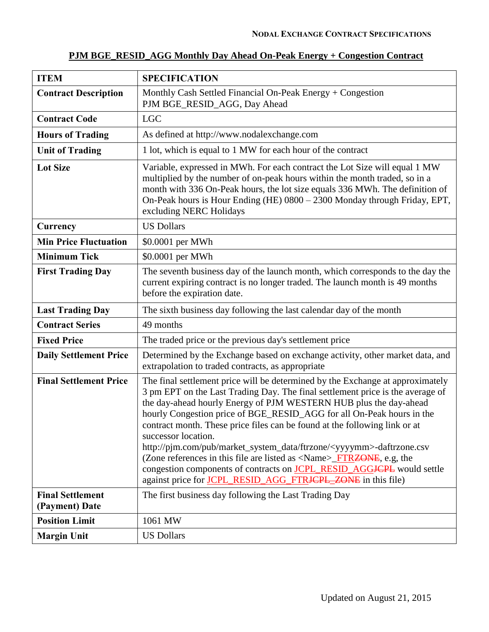| <b>ITEM</b>                               | <b>SPECIFICATION</b>                                                                                                                                                                                                                                                                                                                                                                                                                                                                                                                                                                                                                                                                                                                                     |
|-------------------------------------------|----------------------------------------------------------------------------------------------------------------------------------------------------------------------------------------------------------------------------------------------------------------------------------------------------------------------------------------------------------------------------------------------------------------------------------------------------------------------------------------------------------------------------------------------------------------------------------------------------------------------------------------------------------------------------------------------------------------------------------------------------------|
| <b>Contract Description</b>               | Monthly Cash Settled Financial On-Peak Energy + Congestion<br>PJM BGE_RESID_AGG, Day Ahead                                                                                                                                                                                                                                                                                                                                                                                                                                                                                                                                                                                                                                                               |
| <b>Contract Code</b>                      | <b>LGC</b>                                                                                                                                                                                                                                                                                                                                                                                                                                                                                                                                                                                                                                                                                                                                               |
| <b>Hours of Trading</b>                   | As defined at http://www.nodalexchange.com                                                                                                                                                                                                                                                                                                                                                                                                                                                                                                                                                                                                                                                                                                               |
| <b>Unit of Trading</b>                    | 1 lot, which is equal to 1 MW for each hour of the contract                                                                                                                                                                                                                                                                                                                                                                                                                                                                                                                                                                                                                                                                                              |
| <b>Lot Size</b>                           | Variable, expressed in MWh. For each contract the Lot Size will equal 1 MW<br>multiplied by the number of on-peak hours within the month traded, so in a<br>month with 336 On-Peak hours, the lot size equals 336 MWh. The definition of<br>On-Peak hours is Hour Ending (HE) 0800 - 2300 Monday through Friday, EPT,<br>excluding NERC Holidays                                                                                                                                                                                                                                                                                                                                                                                                         |
| <b>Currency</b>                           | <b>US Dollars</b>                                                                                                                                                                                                                                                                                                                                                                                                                                                                                                                                                                                                                                                                                                                                        |
| <b>Min Price Fluctuation</b>              | \$0.0001 per MWh                                                                                                                                                                                                                                                                                                                                                                                                                                                                                                                                                                                                                                                                                                                                         |
| <b>Minimum Tick</b>                       | \$0.0001 per MWh                                                                                                                                                                                                                                                                                                                                                                                                                                                                                                                                                                                                                                                                                                                                         |
| <b>First Trading Day</b>                  | The seventh business day of the launch month, which corresponds to the day the<br>current expiring contract is no longer traded. The launch month is 49 months<br>before the expiration date.                                                                                                                                                                                                                                                                                                                                                                                                                                                                                                                                                            |
| <b>Last Trading Day</b>                   | The sixth business day following the last calendar day of the month                                                                                                                                                                                                                                                                                                                                                                                                                                                                                                                                                                                                                                                                                      |
| <b>Contract Series</b>                    | 49 months                                                                                                                                                                                                                                                                                                                                                                                                                                                                                                                                                                                                                                                                                                                                                |
| <b>Fixed Price</b>                        | The traded price or the previous day's settlement price                                                                                                                                                                                                                                                                                                                                                                                                                                                                                                                                                                                                                                                                                                  |
| <b>Daily Settlement Price</b>             | Determined by the Exchange based on exchange activity, other market data, and<br>extrapolation to traded contracts, as appropriate                                                                                                                                                                                                                                                                                                                                                                                                                                                                                                                                                                                                                       |
| <b>Final Settlement Price</b>             | The final settlement price will be determined by the Exchange at approximately<br>3 pm EPT on the Last Trading Day. The final settlement price is the average of<br>the day-ahead hourly Energy of PJM WESTERN HUB plus the day-ahead<br>hourly Congestion price of BGE_RESID_AGG for all On-Peak hours in the<br>contract month. These price files can be found at the following link or at<br>successor location.<br>http://pjm.com/pub/market_system_data/ftrzone/ <yyyymm>-daftrzone.csv<br/>(Zone references in this file are listed as <name><del>_FTRZONE</del>, e.g, the<br/>congestion components of contracts on <b>JCPL_RESID_AGGJCPL</b> would settle<br/>against price for <b>JCPL_RESID_AGG_FTRJCPL_ZONE</b> in this file)</name></yyyymm> |
| <b>Final Settlement</b><br>(Payment) Date | The first business day following the Last Trading Day                                                                                                                                                                                                                                                                                                                                                                                                                                                                                                                                                                                                                                                                                                    |
| <b>Position Limit</b>                     | 1061 MW                                                                                                                                                                                                                                                                                                                                                                                                                                                                                                                                                                                                                                                                                                                                                  |
| <b>Margin Unit</b>                        | <b>US Dollars</b>                                                                                                                                                                                                                                                                                                                                                                                                                                                                                                                                                                                                                                                                                                                                        |

# **PJM BGE\_RESID\_AGG Monthly Day Ahead On-Peak Energy + Congestion Contract**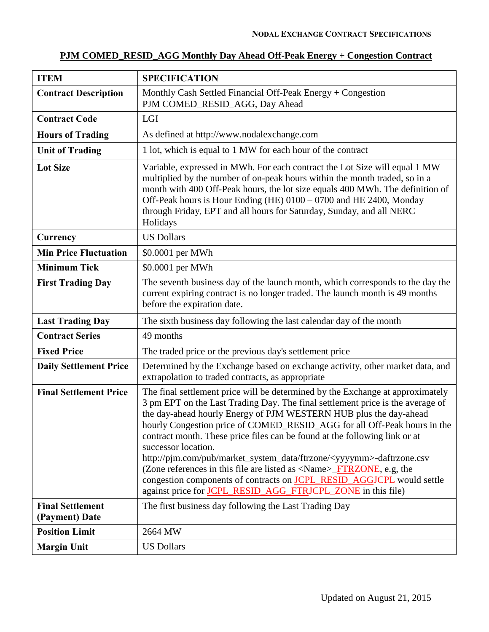# **PJM COMED\_RESID\_AGG Monthly Day Ahead Off-Peak Energy + Congestion Contract**

| <b>ITEM</b>                               | <b>SPECIFICATION</b>                                                                                                                                                                                                                                                                                                                                                                                                                                                                                                                                                                                                                                                                                                                                                                |
|-------------------------------------------|-------------------------------------------------------------------------------------------------------------------------------------------------------------------------------------------------------------------------------------------------------------------------------------------------------------------------------------------------------------------------------------------------------------------------------------------------------------------------------------------------------------------------------------------------------------------------------------------------------------------------------------------------------------------------------------------------------------------------------------------------------------------------------------|
| <b>Contract Description</b>               | Monthly Cash Settled Financial Off-Peak Energy $+$ Congestion<br>PJM COMED_RESID_AGG, Day Ahead                                                                                                                                                                                                                                                                                                                                                                                                                                                                                                                                                                                                                                                                                     |
| <b>Contract Code</b>                      | LGI                                                                                                                                                                                                                                                                                                                                                                                                                                                                                                                                                                                                                                                                                                                                                                                 |
| <b>Hours of Trading</b>                   | As defined at http://www.nodalexchange.com                                                                                                                                                                                                                                                                                                                                                                                                                                                                                                                                                                                                                                                                                                                                          |
| <b>Unit of Trading</b>                    | 1 lot, which is equal to 1 MW for each hour of the contract                                                                                                                                                                                                                                                                                                                                                                                                                                                                                                                                                                                                                                                                                                                         |
| <b>Lot Size</b>                           | Variable, expressed in MWh. For each contract the Lot Size will equal 1 MW<br>multiplied by the number of on-peak hours within the month traded, so in a<br>month with 400 Off-Peak hours, the lot size equals 400 MWh. The definition of<br>Off-Peak hours is Hour Ending (HE) 0100 - 0700 and HE 2400, Monday<br>through Friday, EPT and all hours for Saturday, Sunday, and all NERC<br>Holidays                                                                                                                                                                                                                                                                                                                                                                                 |
| Currency                                  | <b>US Dollars</b>                                                                                                                                                                                                                                                                                                                                                                                                                                                                                                                                                                                                                                                                                                                                                                   |
| <b>Min Price Fluctuation</b>              | \$0.0001 per MWh                                                                                                                                                                                                                                                                                                                                                                                                                                                                                                                                                                                                                                                                                                                                                                    |
| <b>Minimum Tick</b>                       | \$0.0001 per MWh                                                                                                                                                                                                                                                                                                                                                                                                                                                                                                                                                                                                                                                                                                                                                                    |
| <b>First Trading Day</b>                  | The seventh business day of the launch month, which corresponds to the day the<br>current expiring contract is no longer traded. The launch month is 49 months<br>before the expiration date.                                                                                                                                                                                                                                                                                                                                                                                                                                                                                                                                                                                       |
| <b>Last Trading Day</b>                   | The sixth business day following the last calendar day of the month                                                                                                                                                                                                                                                                                                                                                                                                                                                                                                                                                                                                                                                                                                                 |
| <b>Contract Series</b>                    | 49 months                                                                                                                                                                                                                                                                                                                                                                                                                                                                                                                                                                                                                                                                                                                                                                           |
| <b>Fixed Price</b>                        | The traded price or the previous day's settlement price                                                                                                                                                                                                                                                                                                                                                                                                                                                                                                                                                                                                                                                                                                                             |
| <b>Daily Settlement Price</b>             | Determined by the Exchange based on exchange activity, other market data, and<br>extrapolation to traded contracts, as appropriate                                                                                                                                                                                                                                                                                                                                                                                                                                                                                                                                                                                                                                                  |
| <b>Final Settlement Price</b>             | The final settlement price will be determined by the Exchange at approximately<br>3 pm EPT on the Last Trading Day. The final settlement price is the average of<br>the day-ahead hourly Energy of PJM WESTERN HUB plus the day-ahead<br>hourly Congestion price of COMED_RESID_AGG for all Off-Peak hours in the<br>contract month. These price files can be found at the following link or at<br>successor location.<br>http://pjm.com/pub/market_system_data/ftrzone/ <yyyymm>-daftrzone.csv<br/>(Zone references in this file are listed as <math>\langle</math>Name<math>\rangle</math>_FTRZONE, e.g, the<br/>congestion components of contracts on <b>JCPL_RESID_AGGJCPL</b> would settle<br/>against price for JCPL_RESID_AGG_FTR<del>JCPL_ZONE</del> in this file)</yyyymm> |
| <b>Final Settlement</b><br>(Payment) Date | The first business day following the Last Trading Day                                                                                                                                                                                                                                                                                                                                                                                                                                                                                                                                                                                                                                                                                                                               |
| <b>Position Limit</b>                     | 2664 MW                                                                                                                                                                                                                                                                                                                                                                                                                                                                                                                                                                                                                                                                                                                                                                             |
| <b>Margin Unit</b>                        | <b>US Dollars</b>                                                                                                                                                                                                                                                                                                                                                                                                                                                                                                                                                                                                                                                                                                                                                                   |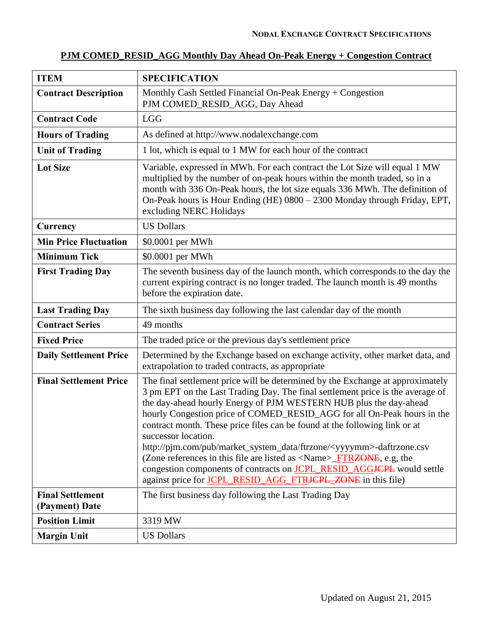# **PJM COMED\_RESID\_AGG Monthly Day Ahead On-Peak Energy + Congestion Contract**

| <b>ITEM</b>                               | <b>SPECIFICATION</b>                                                                                                                                                                                                                                                                                                                                                                                                                                                                                                                                                                                                                                                                                                                                                           |
|-------------------------------------------|--------------------------------------------------------------------------------------------------------------------------------------------------------------------------------------------------------------------------------------------------------------------------------------------------------------------------------------------------------------------------------------------------------------------------------------------------------------------------------------------------------------------------------------------------------------------------------------------------------------------------------------------------------------------------------------------------------------------------------------------------------------------------------|
| <b>Contract Description</b>               | Monthly Cash Settled Financial On-Peak Energy $+$ Congestion<br>PJM COMED_RESID_AGG, Day Ahead                                                                                                                                                                                                                                                                                                                                                                                                                                                                                                                                                                                                                                                                                 |
| <b>Contract Code</b>                      | <b>LGG</b>                                                                                                                                                                                                                                                                                                                                                                                                                                                                                                                                                                                                                                                                                                                                                                     |
| <b>Hours of Trading</b>                   | As defined at http://www.nodalexchange.com                                                                                                                                                                                                                                                                                                                                                                                                                                                                                                                                                                                                                                                                                                                                     |
| <b>Unit of Trading</b>                    | 1 lot, which is equal to 1 MW for each hour of the contract                                                                                                                                                                                                                                                                                                                                                                                                                                                                                                                                                                                                                                                                                                                    |
| <b>Lot Size</b>                           | Variable, expressed in MWh. For each contract the Lot Size will equal 1 MW<br>multiplied by the number of on-peak hours within the month traded, so in a<br>month with 336 On-Peak hours, the lot size equals 336 MWh. The definition of<br>On-Peak hours is Hour Ending (HE) 0800 - 2300 Monday through Friday, EPT,<br>excluding NERC Holidays                                                                                                                                                                                                                                                                                                                                                                                                                               |
| Currency                                  | <b>US Dollars</b>                                                                                                                                                                                                                                                                                                                                                                                                                                                                                                                                                                                                                                                                                                                                                              |
| <b>Min Price Fluctuation</b>              | \$0.0001 per MWh                                                                                                                                                                                                                                                                                                                                                                                                                                                                                                                                                                                                                                                                                                                                                               |
| <b>Minimum Tick</b>                       | \$0.0001 per MWh                                                                                                                                                                                                                                                                                                                                                                                                                                                                                                                                                                                                                                                                                                                                                               |
| <b>First Trading Day</b>                  | The seventh business day of the launch month, which corresponds to the day the<br>current expiring contract is no longer traded. The launch month is 49 months<br>before the expiration date.                                                                                                                                                                                                                                                                                                                                                                                                                                                                                                                                                                                  |
| <b>Last Trading Day</b>                   | The sixth business day following the last calendar day of the month                                                                                                                                                                                                                                                                                                                                                                                                                                                                                                                                                                                                                                                                                                            |
| <b>Contract Series</b>                    | 49 months                                                                                                                                                                                                                                                                                                                                                                                                                                                                                                                                                                                                                                                                                                                                                                      |
| <b>Fixed Price</b>                        | The traded price or the previous day's settlement price                                                                                                                                                                                                                                                                                                                                                                                                                                                                                                                                                                                                                                                                                                                        |
| <b>Daily Settlement Price</b>             | Determined by the Exchange based on exchange activity, other market data, and<br>extrapolation to traded contracts, as appropriate                                                                                                                                                                                                                                                                                                                                                                                                                                                                                                                                                                                                                                             |
| <b>Final Settlement Price</b>             | The final settlement price will be determined by the Exchange at approximately<br>3 pm EPT on the Last Trading Day. The final settlement price is the average of<br>the day-ahead hourly Energy of PJM WESTERN HUB plus the day-ahead<br>hourly Congestion price of COMED_RESID_AGG for all On-Peak hours in the<br>contract month. These price files can be found at the following link or at<br>successor location.<br>http://pjm.com/pub/market_system_data/ftrzone/ <yyyymm>-daftrzone.csv<br/>(Zone references in this file are listed as <math>\langle</math>Name<math>\rangle</math>_FTRZONE, e.g, the<br/>congestion components of contracts on <b>JCPL_RESID_AGGJCPL</b> would settle<br/>against price for <b>JCPL_RESID_AGG_FTRJCPL_ZONE</b> in this file)</yyyymm> |
| <b>Final Settlement</b><br>(Payment) Date | The first business day following the Last Trading Day                                                                                                                                                                                                                                                                                                                                                                                                                                                                                                                                                                                                                                                                                                                          |
| <b>Position Limit</b>                     | 3319 MW                                                                                                                                                                                                                                                                                                                                                                                                                                                                                                                                                                                                                                                                                                                                                                        |
| <b>Margin Unit</b>                        | <b>US Dollars</b>                                                                                                                                                                                                                                                                                                                                                                                                                                                                                                                                                                                                                                                                                                                                                              |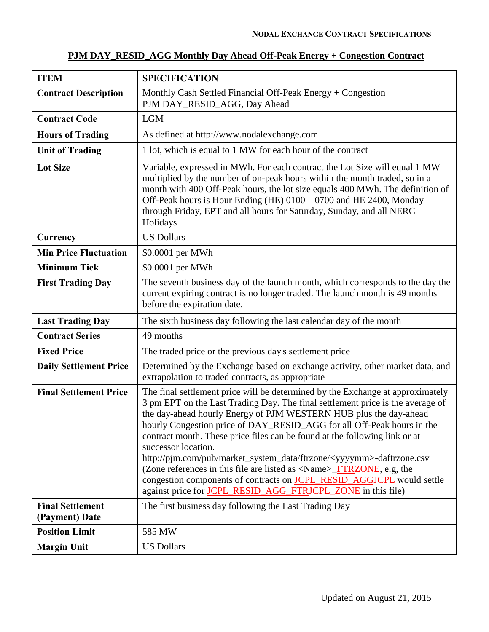| <b>ITEM</b>                               | <b>SPECIFICATION</b>                                                                                                                                                                                                                                                                                                                                                                                                                                                                                                                                                                                                                                                                                                                                                   |
|-------------------------------------------|------------------------------------------------------------------------------------------------------------------------------------------------------------------------------------------------------------------------------------------------------------------------------------------------------------------------------------------------------------------------------------------------------------------------------------------------------------------------------------------------------------------------------------------------------------------------------------------------------------------------------------------------------------------------------------------------------------------------------------------------------------------------|
| <b>Contract Description</b>               | Monthly Cash Settled Financial Off-Peak Energy + Congestion<br>PJM DAY_RESID_AGG, Day Ahead                                                                                                                                                                                                                                                                                                                                                                                                                                                                                                                                                                                                                                                                            |
| <b>Contract Code</b>                      | <b>LGM</b>                                                                                                                                                                                                                                                                                                                                                                                                                                                                                                                                                                                                                                                                                                                                                             |
| <b>Hours of Trading</b>                   | As defined at http://www.nodalexchange.com                                                                                                                                                                                                                                                                                                                                                                                                                                                                                                                                                                                                                                                                                                                             |
| <b>Unit of Trading</b>                    | 1 lot, which is equal to 1 MW for each hour of the contract                                                                                                                                                                                                                                                                                                                                                                                                                                                                                                                                                                                                                                                                                                            |
| <b>Lot Size</b>                           | Variable, expressed in MWh. For each contract the Lot Size will equal 1 MW<br>multiplied by the number of on-peak hours within the month traded, so in a<br>month with 400 Off-Peak hours, the lot size equals 400 MWh. The definition of<br>Off-Peak hours is Hour Ending (HE) 0100 – 0700 and HE 2400, Monday<br>through Friday, EPT and all hours for Saturday, Sunday, and all NERC<br>Holidays                                                                                                                                                                                                                                                                                                                                                                    |
| Currency                                  | <b>US Dollars</b>                                                                                                                                                                                                                                                                                                                                                                                                                                                                                                                                                                                                                                                                                                                                                      |
| <b>Min Price Fluctuation</b>              | \$0.0001 per MWh                                                                                                                                                                                                                                                                                                                                                                                                                                                                                                                                                                                                                                                                                                                                                       |
| <b>Minimum Tick</b>                       | \$0.0001 per MWh                                                                                                                                                                                                                                                                                                                                                                                                                                                                                                                                                                                                                                                                                                                                                       |
| <b>First Trading Day</b>                  | The seventh business day of the launch month, which corresponds to the day the<br>current expiring contract is no longer traded. The launch month is 49 months<br>before the expiration date.                                                                                                                                                                                                                                                                                                                                                                                                                                                                                                                                                                          |
| <b>Last Trading Day</b>                   | The sixth business day following the last calendar day of the month                                                                                                                                                                                                                                                                                                                                                                                                                                                                                                                                                                                                                                                                                                    |
| <b>Contract Series</b>                    | 49 months                                                                                                                                                                                                                                                                                                                                                                                                                                                                                                                                                                                                                                                                                                                                                              |
| <b>Fixed Price</b>                        | The traded price or the previous day's settlement price                                                                                                                                                                                                                                                                                                                                                                                                                                                                                                                                                                                                                                                                                                                |
| <b>Daily Settlement Price</b>             | Determined by the Exchange based on exchange activity, other market data, and<br>extrapolation to traded contracts, as appropriate                                                                                                                                                                                                                                                                                                                                                                                                                                                                                                                                                                                                                                     |
| <b>Final Settlement Price</b>             | The final settlement price will be determined by the Exchange at approximately<br>3 pm EPT on the Last Trading Day. The final settlement price is the average of<br>the day-ahead hourly Energy of PJM WESTERN HUB plus the day-ahead<br>hourly Congestion price of DAY_RESID_AGG for all Off-Peak hours in the<br>contract month. These price files can be found at the following link or at<br>successor location.<br>http://pim.com/pub/market_system_data/ftrzone/ <yyyymm>-daftrzone.csv<br/>(Zone references in this file are listed as <math>\langle</math>Name<math>\rangle</math>_FTRZONE, e.g, the<br/>congestion components of contracts on <b>JCPL_RESID_AGGJCPL</b> would settle<br/>against price for JCPL_RESID_AGG_FTRJCPL_ZONE in this file)</yyyymm> |
| <b>Final Settlement</b><br>(Payment) Date | The first business day following the Last Trading Day                                                                                                                                                                                                                                                                                                                                                                                                                                                                                                                                                                                                                                                                                                                  |
| <b>Position Limit</b>                     | 585 MW                                                                                                                                                                                                                                                                                                                                                                                                                                                                                                                                                                                                                                                                                                                                                                 |
| <b>Margin Unit</b>                        | <b>US Dollars</b>                                                                                                                                                                                                                                                                                                                                                                                                                                                                                                                                                                                                                                                                                                                                                      |

# **PJM DAY\_RESID\_AGG Monthly Day Ahead Off-Peak Energy + Congestion Contract**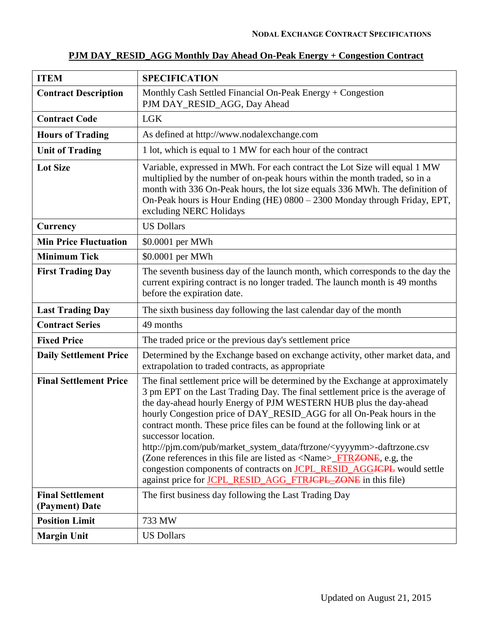| <b>ITEM</b>                               | <b>SPECIFICATION</b>                                                                                                                                                                                                                                                                                                                                                                                                                                                                                                                                                                                                                                                                                                                                     |
|-------------------------------------------|----------------------------------------------------------------------------------------------------------------------------------------------------------------------------------------------------------------------------------------------------------------------------------------------------------------------------------------------------------------------------------------------------------------------------------------------------------------------------------------------------------------------------------------------------------------------------------------------------------------------------------------------------------------------------------------------------------------------------------------------------------|
| <b>Contract Description</b>               | Monthly Cash Settled Financial On-Peak Energy + Congestion<br>PJM DAY_RESID_AGG, Day Ahead                                                                                                                                                                                                                                                                                                                                                                                                                                                                                                                                                                                                                                                               |
| <b>Contract Code</b>                      | <b>LGK</b>                                                                                                                                                                                                                                                                                                                                                                                                                                                                                                                                                                                                                                                                                                                                               |
| <b>Hours of Trading</b>                   | As defined at http://www.nodalexchange.com                                                                                                                                                                                                                                                                                                                                                                                                                                                                                                                                                                                                                                                                                                               |
| <b>Unit of Trading</b>                    | 1 lot, which is equal to 1 MW for each hour of the contract                                                                                                                                                                                                                                                                                                                                                                                                                                                                                                                                                                                                                                                                                              |
| <b>Lot Size</b>                           | Variable, expressed in MWh. For each contract the Lot Size will equal 1 MW<br>multiplied by the number of on-peak hours within the month traded, so in a<br>month with 336 On-Peak hours, the lot size equals 336 MWh. The definition of<br>On-Peak hours is Hour Ending (HE) 0800 - 2300 Monday through Friday, EPT,<br>excluding NERC Holidays                                                                                                                                                                                                                                                                                                                                                                                                         |
| Currency                                  | <b>US Dollars</b>                                                                                                                                                                                                                                                                                                                                                                                                                                                                                                                                                                                                                                                                                                                                        |
| <b>Min Price Fluctuation</b>              | \$0.0001 per MWh                                                                                                                                                                                                                                                                                                                                                                                                                                                                                                                                                                                                                                                                                                                                         |
| <b>Minimum Tick</b>                       | \$0.0001 per MWh                                                                                                                                                                                                                                                                                                                                                                                                                                                                                                                                                                                                                                                                                                                                         |
| <b>First Trading Day</b>                  | The seventh business day of the launch month, which corresponds to the day the<br>current expiring contract is no longer traded. The launch month is 49 months<br>before the expiration date.                                                                                                                                                                                                                                                                                                                                                                                                                                                                                                                                                            |
| <b>Last Trading Day</b>                   | The sixth business day following the last calendar day of the month                                                                                                                                                                                                                                                                                                                                                                                                                                                                                                                                                                                                                                                                                      |
| <b>Contract Series</b>                    | 49 months                                                                                                                                                                                                                                                                                                                                                                                                                                                                                                                                                                                                                                                                                                                                                |
| <b>Fixed Price</b>                        | The traded price or the previous day's settlement price                                                                                                                                                                                                                                                                                                                                                                                                                                                                                                                                                                                                                                                                                                  |
| <b>Daily Settlement Price</b>             | Determined by the Exchange based on exchange activity, other market data, and<br>extrapolation to traded contracts, as appropriate                                                                                                                                                                                                                                                                                                                                                                                                                                                                                                                                                                                                                       |
| <b>Final Settlement Price</b>             | The final settlement price will be determined by the Exchange at approximately<br>3 pm EPT on the Last Trading Day. The final settlement price is the average of<br>the day-ahead hourly Energy of PJM WESTERN HUB plus the day-ahead<br>hourly Congestion price of DAY_RESID_AGG for all On-Peak hours in the<br>contract month. These price files can be found at the following link or at<br>successor location.<br>http://pjm.com/pub/market_system_data/ftrzone/ <yyyymm>-daftrzone.csv<br/>(Zone references in this file are listed as <name><del>_FTRZONE</del>, e.g, the<br/>congestion components of contracts on <b>JCPL_RESID_AGGJCPL</b> would settle<br/>against price for <b>JCPL_RESID_AGG_FTRJCPL_ZONE</b> in this file)</name></yyyymm> |
| <b>Final Settlement</b><br>(Payment) Date | The first business day following the Last Trading Day                                                                                                                                                                                                                                                                                                                                                                                                                                                                                                                                                                                                                                                                                                    |
| <b>Position Limit</b>                     | 733 MW                                                                                                                                                                                                                                                                                                                                                                                                                                                                                                                                                                                                                                                                                                                                                   |
| <b>Margin Unit</b>                        | <b>US Dollars</b>                                                                                                                                                                                                                                                                                                                                                                                                                                                                                                                                                                                                                                                                                                                                        |

# **PJM DAY\_RESID\_AGG Monthly Day Ahead On-Peak Energy + Congestion Contract**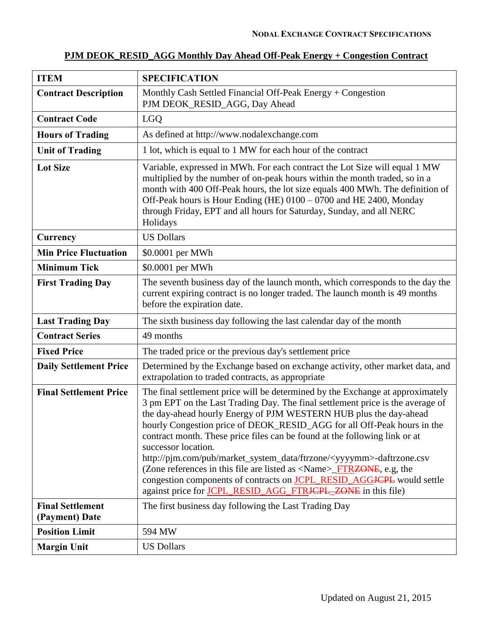| <b>ITEM</b>                               | <b>SPECIFICATION</b>                                                                                                                                                                                                                                                                                                                                                                                                                                                                                                                                                                                                                                                                                                                                                      |
|-------------------------------------------|---------------------------------------------------------------------------------------------------------------------------------------------------------------------------------------------------------------------------------------------------------------------------------------------------------------------------------------------------------------------------------------------------------------------------------------------------------------------------------------------------------------------------------------------------------------------------------------------------------------------------------------------------------------------------------------------------------------------------------------------------------------------------|
| <b>Contract Description</b>               | Monthly Cash Settled Financial Off-Peak Energy $+$ Congestion<br>PJM DEOK_RESID_AGG, Day Ahead                                                                                                                                                                                                                                                                                                                                                                                                                                                                                                                                                                                                                                                                            |
| <b>Contract Code</b>                      | <b>LGO</b>                                                                                                                                                                                                                                                                                                                                                                                                                                                                                                                                                                                                                                                                                                                                                                |
| <b>Hours of Trading</b>                   | As defined at http://www.nodalexchange.com                                                                                                                                                                                                                                                                                                                                                                                                                                                                                                                                                                                                                                                                                                                                |
| <b>Unit of Trading</b>                    | 1 lot, which is equal to 1 MW for each hour of the contract                                                                                                                                                                                                                                                                                                                                                                                                                                                                                                                                                                                                                                                                                                               |
| <b>Lot Size</b>                           | Variable, expressed in MWh. For each contract the Lot Size will equal 1 MW<br>multiplied by the number of on-peak hours within the month traded, so in a<br>month with 400 Off-Peak hours, the lot size equals 400 MWh. The definition of<br>Off-Peak hours is Hour Ending (HE) 0100 - 0700 and HE 2400, Monday<br>through Friday, EPT and all hours for Saturday, Sunday, and all NERC<br>Holidays                                                                                                                                                                                                                                                                                                                                                                       |
| Currency                                  | <b>US Dollars</b>                                                                                                                                                                                                                                                                                                                                                                                                                                                                                                                                                                                                                                                                                                                                                         |
| <b>Min Price Fluctuation</b>              | \$0.0001 per MWh                                                                                                                                                                                                                                                                                                                                                                                                                                                                                                                                                                                                                                                                                                                                                          |
| <b>Minimum Tick</b>                       | \$0.0001 per MWh                                                                                                                                                                                                                                                                                                                                                                                                                                                                                                                                                                                                                                                                                                                                                          |
| <b>First Trading Day</b>                  | The seventh business day of the launch month, which corresponds to the day the<br>current expiring contract is no longer traded. The launch month is 49 months<br>before the expiration date.                                                                                                                                                                                                                                                                                                                                                                                                                                                                                                                                                                             |
| <b>Last Trading Day</b>                   | The sixth business day following the last calendar day of the month                                                                                                                                                                                                                                                                                                                                                                                                                                                                                                                                                                                                                                                                                                       |
| <b>Contract Series</b>                    | 49 months                                                                                                                                                                                                                                                                                                                                                                                                                                                                                                                                                                                                                                                                                                                                                                 |
| <b>Fixed Price</b>                        | The traded price or the previous day's settlement price                                                                                                                                                                                                                                                                                                                                                                                                                                                                                                                                                                                                                                                                                                                   |
| <b>Daily Settlement Price</b>             | Determined by the Exchange based on exchange activity, other market data, and<br>extrapolation to traded contracts, as appropriate                                                                                                                                                                                                                                                                                                                                                                                                                                                                                                                                                                                                                                        |
| <b>Final Settlement Price</b>             | The final settlement price will be determined by the Exchange at approximately<br>3 pm EPT on the Last Trading Day. The final settlement price is the average of<br>the day-ahead hourly Energy of PJM WESTERN HUB plus the day-ahead<br>hourly Congestion price of DEOK_RESID_AGG for all Off-Peak hours in the<br>contract month. These price files can be found at the following link or at<br>successor location.<br>http://pjm.com/pub/market_system_data/ftrzone/ <yyyymm>-daftrzone.csv<br/>(Zone references in this file are listed as <name>_FTR<del>ZONE</del>, e.g, the<br/>congestion components of contracts on <b>JCPL_RESID_AGG<del>JCPL</del></b> would settle<br/>against price for JCPL_RESID_AGG_FTR<del>JCPL_ZONE</del> in this file)</name></yyyymm> |
| <b>Final Settlement</b><br>(Payment) Date | The first business day following the Last Trading Day                                                                                                                                                                                                                                                                                                                                                                                                                                                                                                                                                                                                                                                                                                                     |
| <b>Position Limit</b>                     | 594 MW                                                                                                                                                                                                                                                                                                                                                                                                                                                                                                                                                                                                                                                                                                                                                                    |
| <b>Margin Unit</b>                        | <b>US Dollars</b>                                                                                                                                                                                                                                                                                                                                                                                                                                                                                                                                                                                                                                                                                                                                                         |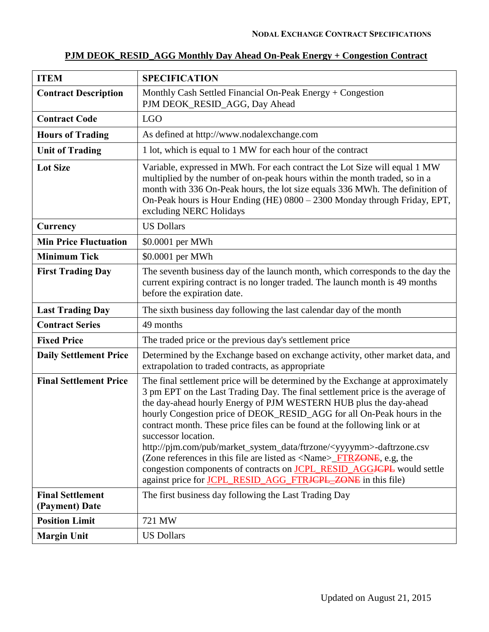|  | PJM DEOK_RESID_AGG Monthly Day Ahead On-Peak Energy + Congestion Contract |  |  |  |  |  |  |  |
|--|---------------------------------------------------------------------------|--|--|--|--|--|--|--|
|--|---------------------------------------------------------------------------|--|--|--|--|--|--|--|

| <b>ITEM</b>                               | <b>SPECIFICATION</b>                                                                                                                                                                                                                                                                                                                                                                                                                                                                                                                                                                                                                                                                                                                                                          |
|-------------------------------------------|-------------------------------------------------------------------------------------------------------------------------------------------------------------------------------------------------------------------------------------------------------------------------------------------------------------------------------------------------------------------------------------------------------------------------------------------------------------------------------------------------------------------------------------------------------------------------------------------------------------------------------------------------------------------------------------------------------------------------------------------------------------------------------|
| <b>Contract Description</b>               | Monthly Cash Settled Financial On-Peak Energy + Congestion<br>PJM DEOK_RESID_AGG, Day Ahead                                                                                                                                                                                                                                                                                                                                                                                                                                                                                                                                                                                                                                                                                   |
| <b>Contract Code</b>                      | <b>LGO</b>                                                                                                                                                                                                                                                                                                                                                                                                                                                                                                                                                                                                                                                                                                                                                                    |
| <b>Hours of Trading</b>                   | As defined at http://www.nodalexchange.com                                                                                                                                                                                                                                                                                                                                                                                                                                                                                                                                                                                                                                                                                                                                    |
| <b>Unit of Trading</b>                    | 1 lot, which is equal to 1 MW for each hour of the contract                                                                                                                                                                                                                                                                                                                                                                                                                                                                                                                                                                                                                                                                                                                   |
| <b>Lot Size</b>                           | Variable, expressed in MWh. For each contract the Lot Size will equal 1 MW<br>multiplied by the number of on-peak hours within the month traded, so in a<br>month with 336 On-Peak hours, the lot size equals 336 MWh. The definition of<br>On-Peak hours is Hour Ending (HE) 0800 - 2300 Monday through Friday, EPT,<br>excluding NERC Holidays                                                                                                                                                                                                                                                                                                                                                                                                                              |
| Currency                                  | <b>US Dollars</b>                                                                                                                                                                                                                                                                                                                                                                                                                                                                                                                                                                                                                                                                                                                                                             |
| <b>Min Price Fluctuation</b>              | \$0.0001 per MWh                                                                                                                                                                                                                                                                                                                                                                                                                                                                                                                                                                                                                                                                                                                                                              |
| <b>Minimum Tick</b>                       | \$0.0001 per MWh                                                                                                                                                                                                                                                                                                                                                                                                                                                                                                                                                                                                                                                                                                                                                              |
| <b>First Trading Day</b>                  | The seventh business day of the launch month, which corresponds to the day the<br>current expiring contract is no longer traded. The launch month is 49 months<br>before the expiration date.                                                                                                                                                                                                                                                                                                                                                                                                                                                                                                                                                                                 |
| <b>Last Trading Day</b>                   | The sixth business day following the last calendar day of the month                                                                                                                                                                                                                                                                                                                                                                                                                                                                                                                                                                                                                                                                                                           |
| <b>Contract Series</b>                    | 49 months                                                                                                                                                                                                                                                                                                                                                                                                                                                                                                                                                                                                                                                                                                                                                                     |
| <b>Fixed Price</b>                        | The traded price or the previous day's settlement price                                                                                                                                                                                                                                                                                                                                                                                                                                                                                                                                                                                                                                                                                                                       |
| <b>Daily Settlement Price</b>             | Determined by the Exchange based on exchange activity, other market data, and<br>extrapolation to traded contracts, as appropriate                                                                                                                                                                                                                                                                                                                                                                                                                                                                                                                                                                                                                                            |
| <b>Final Settlement Price</b>             | The final settlement price will be determined by the Exchange at approximately<br>3 pm EPT on the Last Trading Day. The final settlement price is the average of<br>the day-ahead hourly Energy of PJM WESTERN HUB plus the day-ahead<br>hourly Congestion price of DEOK_RESID_AGG for all On-Peak hours in the<br>contract month. These price files can be found at the following link or at<br>successor location.<br>http://pjm.com/pub/market_system_data/ftrzone/ <yyyymm>-daftrzone.csv<br/>(Zone references in this file are listed as <math>\langle</math>Name<math>\rangle</math>_FTRZONE, e.g, the<br/>congestion components of contracts on <b>JCPL_RESID_AGGJCPL</b> would settle<br/>against price for <b>JCPL RESID AGG FTRJCPL_ZONE</b> in this file)</yyyymm> |
| <b>Final Settlement</b><br>(Payment) Date | The first business day following the Last Trading Day                                                                                                                                                                                                                                                                                                                                                                                                                                                                                                                                                                                                                                                                                                                         |
| <b>Position Limit</b>                     | 721 MW                                                                                                                                                                                                                                                                                                                                                                                                                                                                                                                                                                                                                                                                                                                                                                        |
| <b>Margin Unit</b>                        | <b>US Dollars</b>                                                                                                                                                                                                                                                                                                                                                                                                                                                                                                                                                                                                                                                                                                                                                             |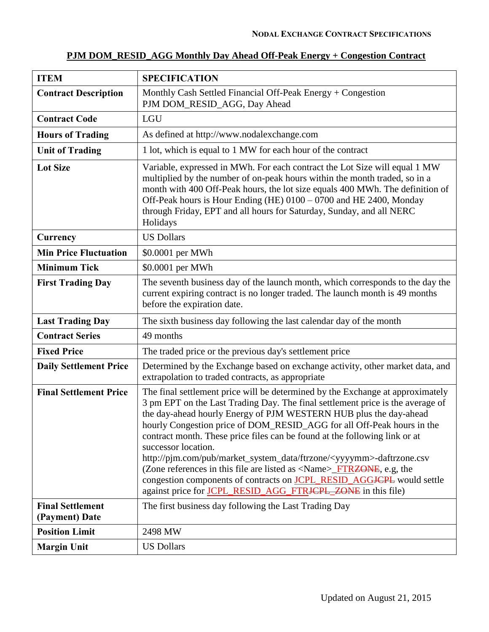| <b>ITEM</b>                 | <b>SPECIFICATION</b>                                                                        |
|-----------------------------|---------------------------------------------------------------------------------------------|
| <b>Contract Description</b> | Monthly Cash Settled Financial Off-Peak Energy + Congestion<br>PJM DOM_RESID_AGG, Day Ahead |
| <b>Contract Code</b>        | <b>LGU</b>                                                                                  |
| <b>Hours of Trading</b>     | As defined at http://www.nodalexchange.com                                                  |
| <b>Unit of Trading</b>      | 1 lot, which is equal to 1 MW for each hour of the contract                                 |
|                             |                                                                                             |

### **PJM DOM\_RESID\_AGG Monthly Day Ahead Off-Peak Energy + Congestion Contract**

| <b>Lot Size</b>                           | Variable, expressed in MWh. For each contract the Lot Size will equal 1 MW<br>multiplied by the number of on-peak hours within the month traded, so in a<br>month with 400 Off-Peak hours, the lot size equals 400 MWh. The definition of<br>Off-Peak hours is Hour Ending (HE) 0100 - 0700 and HE 2400, Monday<br>through Friday, EPT and all hours for Saturday, Sunday, and all NERC<br>Holidays                                                                                                                                                                                                                                                                                                                                                |
|-------------------------------------------|----------------------------------------------------------------------------------------------------------------------------------------------------------------------------------------------------------------------------------------------------------------------------------------------------------------------------------------------------------------------------------------------------------------------------------------------------------------------------------------------------------------------------------------------------------------------------------------------------------------------------------------------------------------------------------------------------------------------------------------------------|
| Currency                                  | <b>US Dollars</b>                                                                                                                                                                                                                                                                                                                                                                                                                                                                                                                                                                                                                                                                                                                                  |
| <b>Min Price Fluctuation</b>              | \$0.0001 per MWh                                                                                                                                                                                                                                                                                                                                                                                                                                                                                                                                                                                                                                                                                                                                   |
| <b>Minimum Tick</b>                       | \$0.0001 per MWh                                                                                                                                                                                                                                                                                                                                                                                                                                                                                                                                                                                                                                                                                                                                   |
| <b>First Trading Day</b>                  | The seventh business day of the launch month, which corresponds to the day the<br>current expiring contract is no longer traded. The launch month is 49 months<br>before the expiration date.                                                                                                                                                                                                                                                                                                                                                                                                                                                                                                                                                      |
| <b>Last Trading Day</b>                   | The sixth business day following the last calendar day of the month                                                                                                                                                                                                                                                                                                                                                                                                                                                                                                                                                                                                                                                                                |
| <b>Contract Series</b>                    | 49 months                                                                                                                                                                                                                                                                                                                                                                                                                                                                                                                                                                                                                                                                                                                                          |
| <b>Fixed Price</b>                        | The traded price or the previous day's settlement price                                                                                                                                                                                                                                                                                                                                                                                                                                                                                                                                                                                                                                                                                            |
| <b>Daily Settlement Price</b>             | Determined by the Exchange based on exchange activity, other market data, and<br>extrapolation to traded contracts, as appropriate                                                                                                                                                                                                                                                                                                                                                                                                                                                                                                                                                                                                                 |
| <b>Final Settlement Price</b>             | The final settlement price will be determined by the Exchange at approximately<br>3 pm EPT on the Last Trading Day. The final settlement price is the average of<br>the day-ahead hourly Energy of PJM WESTERN HUB plus the day-ahead<br>hourly Congestion price of DOM_RESID_AGG for all Off-Peak hours in the<br>contract month. These price files can be found at the following link or at<br>successor location.<br>http://pjm.com/pub/market_system_data/ftrzone/ <yyyymm>-daftrzone.csv<br/>(Zone references in this file are listed as <name><del>_FTRZONE</del>, e.g, the<br/>congestion components of contracts on <b>JCPL_RESID_AGGJCPL</b> would settle<br/>against price for JCPL_RESID_AGG_FTRJCPL_ZONE in this file)</name></yyyymm> |
| <b>Final Settlement</b><br>(Payment) Date | The first business day following the Last Trading Day                                                                                                                                                                                                                                                                                                                                                                                                                                                                                                                                                                                                                                                                                              |
| <b>Position Limit</b>                     | 2498 MW                                                                                                                                                                                                                                                                                                                                                                                                                                                                                                                                                                                                                                                                                                                                            |
| <b>Margin Unit</b>                        | <b>US Dollars</b>                                                                                                                                                                                                                                                                                                                                                                                                                                                                                                                                                                                                                                                                                                                                  |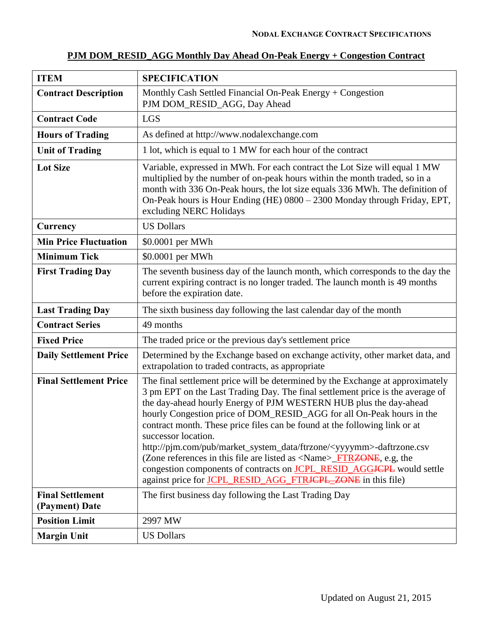|--|

| <b>ITEM</b>                               | <b>SPECIFICATION</b>                                                                                                                                                                                                                                                                                                                                                                                                                                                                                                                                                                                                                                                                                                                                     |
|-------------------------------------------|----------------------------------------------------------------------------------------------------------------------------------------------------------------------------------------------------------------------------------------------------------------------------------------------------------------------------------------------------------------------------------------------------------------------------------------------------------------------------------------------------------------------------------------------------------------------------------------------------------------------------------------------------------------------------------------------------------------------------------------------------------|
| <b>Contract Description</b>               | Monthly Cash Settled Financial On-Peak Energy $+$ Congestion<br>PJM DOM_RESID_AGG, Day Ahead                                                                                                                                                                                                                                                                                                                                                                                                                                                                                                                                                                                                                                                             |
| <b>Contract Code</b>                      | <b>LGS</b>                                                                                                                                                                                                                                                                                                                                                                                                                                                                                                                                                                                                                                                                                                                                               |
| <b>Hours of Trading</b>                   | As defined at http://www.nodalexchange.com                                                                                                                                                                                                                                                                                                                                                                                                                                                                                                                                                                                                                                                                                                               |
| <b>Unit of Trading</b>                    | 1 lot, which is equal to 1 MW for each hour of the contract                                                                                                                                                                                                                                                                                                                                                                                                                                                                                                                                                                                                                                                                                              |
| <b>Lot Size</b>                           | Variable, expressed in MWh. For each contract the Lot Size will equal 1 MW<br>multiplied by the number of on-peak hours within the month traded, so in a<br>month with 336 On-Peak hours, the lot size equals 336 MWh. The definition of<br>On-Peak hours is Hour Ending (HE) 0800 - 2300 Monday through Friday, EPT,<br>excluding NERC Holidays                                                                                                                                                                                                                                                                                                                                                                                                         |
| Currency                                  | <b>US Dollars</b>                                                                                                                                                                                                                                                                                                                                                                                                                                                                                                                                                                                                                                                                                                                                        |
| <b>Min Price Fluctuation</b>              | \$0.0001 per MWh                                                                                                                                                                                                                                                                                                                                                                                                                                                                                                                                                                                                                                                                                                                                         |
| <b>Minimum Tick</b>                       | \$0.0001 per MWh                                                                                                                                                                                                                                                                                                                                                                                                                                                                                                                                                                                                                                                                                                                                         |
| <b>First Trading Day</b>                  | The seventh business day of the launch month, which corresponds to the day the<br>current expiring contract is no longer traded. The launch month is 49 months<br>before the expiration date.                                                                                                                                                                                                                                                                                                                                                                                                                                                                                                                                                            |
| <b>Last Trading Day</b>                   | The sixth business day following the last calendar day of the month                                                                                                                                                                                                                                                                                                                                                                                                                                                                                                                                                                                                                                                                                      |
| <b>Contract Series</b>                    | 49 months                                                                                                                                                                                                                                                                                                                                                                                                                                                                                                                                                                                                                                                                                                                                                |
| <b>Fixed Price</b>                        | The traded price or the previous day's settlement price                                                                                                                                                                                                                                                                                                                                                                                                                                                                                                                                                                                                                                                                                                  |
| <b>Daily Settlement Price</b>             | Determined by the Exchange based on exchange activity, other market data, and<br>extrapolation to traded contracts, as appropriate                                                                                                                                                                                                                                                                                                                                                                                                                                                                                                                                                                                                                       |
| <b>Final Settlement Price</b>             | The final settlement price will be determined by the Exchange at approximately<br>3 pm EPT on the Last Trading Day. The final settlement price is the average of<br>the day-ahead hourly Energy of PJM WESTERN HUB plus the day-ahead<br>hourly Congestion price of DOM_RESID_AGG for all On-Peak hours in the<br>contract month. These price files can be found at the following link or at<br>successor location.<br>http://pjm.com/pub/market_system_data/ftrzone/ <yyyymm>-daftrzone.csv<br/>(Zone references in this file are listed as <name>_FTR<del>ZONE</del>, e.g, the<br/>congestion components of contracts on <b>JCPL_RESID_AGGJCPL</b> would settle<br/>against price for <b>JCPL_RESID_AGG_FTRJCPL_ZONE</b> in this file)</name></yyyymm> |
| <b>Final Settlement</b><br>(Payment) Date | The first business day following the Last Trading Day                                                                                                                                                                                                                                                                                                                                                                                                                                                                                                                                                                                                                                                                                                    |
| <b>Position Limit</b>                     | 2997 MW                                                                                                                                                                                                                                                                                                                                                                                                                                                                                                                                                                                                                                                                                                                                                  |
| <b>Margin Unit</b>                        | <b>US Dollars</b>                                                                                                                                                                                                                                                                                                                                                                                                                                                                                                                                                                                                                                                                                                                                        |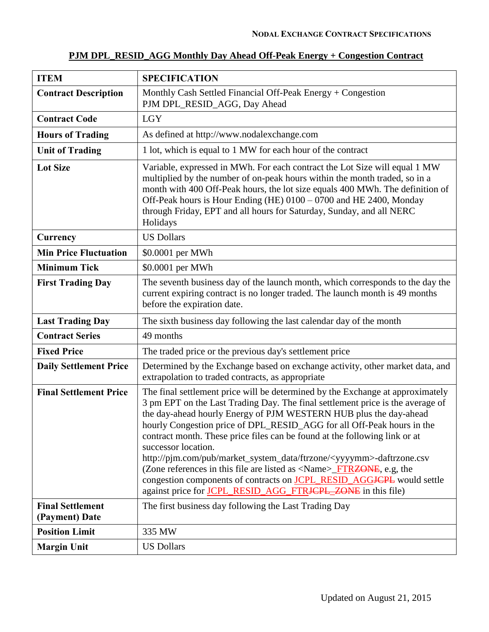| <b>ITEM</b>                               | <b>SPECIFICATION</b>                                                                                                                                                                                                                                                                                                                                                                                                                                                                                                                                                                                                                                                                                                                               |
|-------------------------------------------|----------------------------------------------------------------------------------------------------------------------------------------------------------------------------------------------------------------------------------------------------------------------------------------------------------------------------------------------------------------------------------------------------------------------------------------------------------------------------------------------------------------------------------------------------------------------------------------------------------------------------------------------------------------------------------------------------------------------------------------------------|
| <b>Contract Description</b>               | Monthly Cash Settled Financial Off-Peak Energy + Congestion<br>PJM DPL_RESID_AGG, Day Ahead                                                                                                                                                                                                                                                                                                                                                                                                                                                                                                                                                                                                                                                        |
| <b>Contract Code</b>                      | <b>LGY</b>                                                                                                                                                                                                                                                                                                                                                                                                                                                                                                                                                                                                                                                                                                                                         |
| <b>Hours of Trading</b>                   | As defined at http://www.nodalexchange.com                                                                                                                                                                                                                                                                                                                                                                                                                                                                                                                                                                                                                                                                                                         |
| <b>Unit of Trading</b>                    | 1 lot, which is equal to 1 MW for each hour of the contract                                                                                                                                                                                                                                                                                                                                                                                                                                                                                                                                                                                                                                                                                        |
| <b>Lot Size</b>                           | Variable, expressed in MWh. For each contract the Lot Size will equal 1 MW<br>multiplied by the number of on-peak hours within the month traded, so in a<br>month with 400 Off-Peak hours, the lot size equals 400 MWh. The definition of<br>Off-Peak hours is Hour Ending (HE) 0100 – 0700 and HE 2400, Monday<br>through Friday, EPT and all hours for Saturday, Sunday, and all NERC<br>Holidays                                                                                                                                                                                                                                                                                                                                                |
| Currency                                  | <b>US Dollars</b>                                                                                                                                                                                                                                                                                                                                                                                                                                                                                                                                                                                                                                                                                                                                  |
| <b>Min Price Fluctuation</b>              | \$0.0001 per MWh                                                                                                                                                                                                                                                                                                                                                                                                                                                                                                                                                                                                                                                                                                                                   |
| <b>Minimum Tick</b>                       | \$0.0001 per MWh                                                                                                                                                                                                                                                                                                                                                                                                                                                                                                                                                                                                                                                                                                                                   |
| <b>First Trading Day</b>                  | The seventh business day of the launch month, which corresponds to the day the<br>current expiring contract is no longer traded. The launch month is 49 months<br>before the expiration date.                                                                                                                                                                                                                                                                                                                                                                                                                                                                                                                                                      |
| <b>Last Trading Day</b>                   | The sixth business day following the last calendar day of the month                                                                                                                                                                                                                                                                                                                                                                                                                                                                                                                                                                                                                                                                                |
| <b>Contract Series</b>                    | 49 months                                                                                                                                                                                                                                                                                                                                                                                                                                                                                                                                                                                                                                                                                                                                          |
| <b>Fixed Price</b>                        | The traded price or the previous day's settlement price                                                                                                                                                                                                                                                                                                                                                                                                                                                                                                                                                                                                                                                                                            |
| <b>Daily Settlement Price</b>             | Determined by the Exchange based on exchange activity, other market data, and<br>extrapolation to traded contracts, as appropriate                                                                                                                                                                                                                                                                                                                                                                                                                                                                                                                                                                                                                 |
| <b>Final Settlement Price</b>             | The final settlement price will be determined by the Exchange at approximately<br>3 pm EPT on the Last Trading Day. The final settlement price is the average of<br>the day-ahead hourly Energy of PJM WESTERN HUB plus the day-ahead<br>hourly Congestion price of DPL_RESID_AGG for all Off-Peak hours in the<br>contract month. These price files can be found at the following link or at<br>successor location.<br>http://pjm.com/pub/market_system_data/ftrzone/ <yyyymm>-daftrzone.csv<br/>(Zone references in this file are listed as <name><del>_FTRZONE</del>, e.g, the<br/>congestion components of contracts on <b>JCPL_RESID_AGGJCPL</b> would settle<br/>against price for JCPL_RESID_AGG_FTRJCPL_ZONE in this file)</name></yyyymm> |
| <b>Final Settlement</b><br>(Payment) Date | The first business day following the Last Trading Day                                                                                                                                                                                                                                                                                                                                                                                                                                                                                                                                                                                                                                                                                              |
| <b>Position Limit</b>                     | 335 MW                                                                                                                                                                                                                                                                                                                                                                                                                                                                                                                                                                                                                                                                                                                                             |
| <b>Margin Unit</b>                        | <b>US Dollars</b>                                                                                                                                                                                                                                                                                                                                                                                                                                                                                                                                                                                                                                                                                                                                  |

# **PJM DPL\_RESID\_AGG Monthly Day Ahead Off-Peak Energy + Congestion Contract**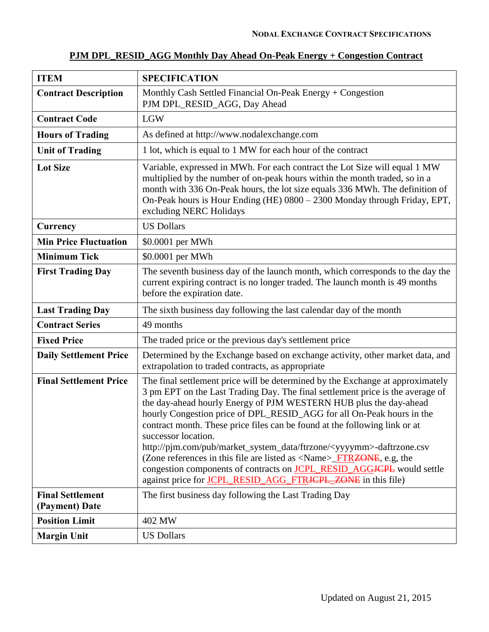| <b>ITEM</b>                               | <b>SPECIFICATION</b>                                                                                                                                                                                                                                                                                                                                                                                                                                                                                                                                                                                                                                                                                                                                                  |
|-------------------------------------------|-----------------------------------------------------------------------------------------------------------------------------------------------------------------------------------------------------------------------------------------------------------------------------------------------------------------------------------------------------------------------------------------------------------------------------------------------------------------------------------------------------------------------------------------------------------------------------------------------------------------------------------------------------------------------------------------------------------------------------------------------------------------------|
| <b>Contract Description</b>               | Monthly Cash Settled Financial On-Peak Energy + Congestion<br>PJM DPL_RESID_AGG, Day Ahead                                                                                                                                                                                                                                                                                                                                                                                                                                                                                                                                                                                                                                                                            |
| <b>Contract Code</b>                      | <b>LGW</b>                                                                                                                                                                                                                                                                                                                                                                                                                                                                                                                                                                                                                                                                                                                                                            |
| <b>Hours of Trading</b>                   | As defined at http://www.nodalexchange.com                                                                                                                                                                                                                                                                                                                                                                                                                                                                                                                                                                                                                                                                                                                            |
| <b>Unit of Trading</b>                    | 1 lot, which is equal to 1 MW for each hour of the contract                                                                                                                                                                                                                                                                                                                                                                                                                                                                                                                                                                                                                                                                                                           |
| <b>Lot Size</b>                           | Variable, expressed in MWh. For each contract the Lot Size will equal 1 MW<br>multiplied by the number of on-peak hours within the month traded, so in a<br>month with 336 On-Peak hours, the lot size equals 336 MWh. The definition of<br>On-Peak hours is Hour Ending (HE) 0800 - 2300 Monday through Friday, EPT,<br>excluding NERC Holidays                                                                                                                                                                                                                                                                                                                                                                                                                      |
| Currency                                  | <b>US Dollars</b>                                                                                                                                                                                                                                                                                                                                                                                                                                                                                                                                                                                                                                                                                                                                                     |
| <b>Min Price Fluctuation</b>              | \$0.0001 per MWh                                                                                                                                                                                                                                                                                                                                                                                                                                                                                                                                                                                                                                                                                                                                                      |
| <b>Minimum Tick</b>                       | \$0.0001 per MWh                                                                                                                                                                                                                                                                                                                                                                                                                                                                                                                                                                                                                                                                                                                                                      |
| <b>First Trading Day</b>                  | The seventh business day of the launch month, which corresponds to the day the<br>current expiring contract is no longer traded. The launch month is 49 months<br>before the expiration date.                                                                                                                                                                                                                                                                                                                                                                                                                                                                                                                                                                         |
| <b>Last Trading Day</b>                   | The sixth business day following the last calendar day of the month                                                                                                                                                                                                                                                                                                                                                                                                                                                                                                                                                                                                                                                                                                   |
| <b>Contract Series</b>                    | 49 months                                                                                                                                                                                                                                                                                                                                                                                                                                                                                                                                                                                                                                                                                                                                                             |
| <b>Fixed Price</b>                        | The traded price or the previous day's settlement price                                                                                                                                                                                                                                                                                                                                                                                                                                                                                                                                                                                                                                                                                                               |
| <b>Daily Settlement Price</b>             | Determined by the Exchange based on exchange activity, other market data, and<br>extrapolation to traded contracts, as appropriate                                                                                                                                                                                                                                                                                                                                                                                                                                                                                                                                                                                                                                    |
| <b>Final Settlement Price</b>             | The final settlement price will be determined by the Exchange at approximately<br>3 pm EPT on the Last Trading Day. The final settlement price is the average of<br>the day-ahead hourly Energy of PJM WESTERN HUB plus the day-ahead<br>hourly Congestion price of DPL_RESID_AGG for all On-Peak hours in the<br>contract month. These price files can be found at the following link or at<br>successor location.<br>http://pjm.com/pub/market_system_data/ftrzone/ <yyyymm>-daftrzone.csv<br/>(Zone references in this file are listed as <math>\langle</math>Name<math>\rangle</math>_FTRZONE, e.g, the<br/>congestion components of contracts on <b>JCPL_RESID_AGGJCPL</b> would settle<br/>against price for JCPL RESID_AGG_FTRJCPL_ZONE in this file)</yyyymm> |
| <b>Final Settlement</b><br>(Payment) Date | The first business day following the Last Trading Day                                                                                                                                                                                                                                                                                                                                                                                                                                                                                                                                                                                                                                                                                                                 |
| <b>Position Limit</b>                     | 402 MW                                                                                                                                                                                                                                                                                                                                                                                                                                                                                                                                                                                                                                                                                                                                                                |
| <b>Margin Unit</b>                        | <b>US Dollars</b>                                                                                                                                                                                                                                                                                                                                                                                                                                                                                                                                                                                                                                                                                                                                                     |

### **PJM DPL\_RESID\_AGG Monthly Day Ahead On-Peak Energy + Congestion Contract**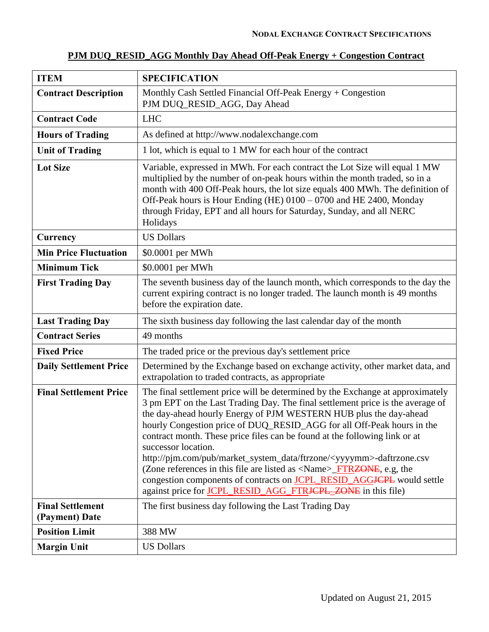#### **ITEM SPECIFICATION Contract Description** Monthly Cash Settled Financial Off-Peak Energy + Congestion PJM DUQ RESID AGG, Day Ahead **Contract Code** LHC **Hours of Trading** As defined at http://www.nodalexchange.com Unit of Trading 1 lot, which is equal to 1 MW for each hour of the contract Lot Size Variable, expressed in MWh. For each contract the Lot Size will equal 1 MW multiplied by the number of on-peak hours within the month traded, so in a month with 400 Off-Peak hours, the lot size equals 400 MWh. The definition of Off-Peak hours is Hour Ending (HE) 0100 – 0700 and HE 2400, Monday through Friday, EPT and all hours for Saturday, Sunday, and all NERC Holidays **Currency** US Dollars **Min Price Fluctuation** \ \$0.0001 per MWh **Minimum Tick**  $\vert$  \$0.0001 per MWh **First Trading Day** The seventh business day of the launch month, which corresponds to the day the current expiring contract is no longer traded. The launch month is 49 months before the expiration date. **Last Trading Day** The sixth business day following the last calendar day of the month **Contract Series** 49 months **Fixed Price** The traded price or the previous day's settlement price **Daily Settlement Price** Determined by the Exchange based on exchange activity, other market data, and extrapolation to traded contracts, as appropriate **Final Settlement Price** The final settlement price will be determined by the Exchange at approximately 3 pm EPT on the Last Trading Day. The final settlement price is the average of the day-ahead hourly Energy of PJM WESTERN HUB plus the day-ahead hourly Congestion price of DUQ\_RESID\_AGG for all Off-Peak hours in the contract month. These price files can be found at the following link or at successor location. http://pjm.com/pub/market\_system\_data/ftrzone/<yyyymm>-daftrzone.csv (Zone references in this file are listed as  $\langle$ Name $\rangle$  FTRZONE, e.g, the congestion components of contracts on **JCPL\_RESID\_AGGJCPL** would settle against price for JCPL\_RESID\_AGG\_FTRJCPL\_ZONE in this file) **Final Settlement (Payment) Date** The first business day following the Last Trading Day **Position Limit** 388 MW **Margin Unit** US Dollars

#### **PJM DUQ\_RESID\_AGG Monthly Day Ahead Off-Peak Energy + Congestion Contract**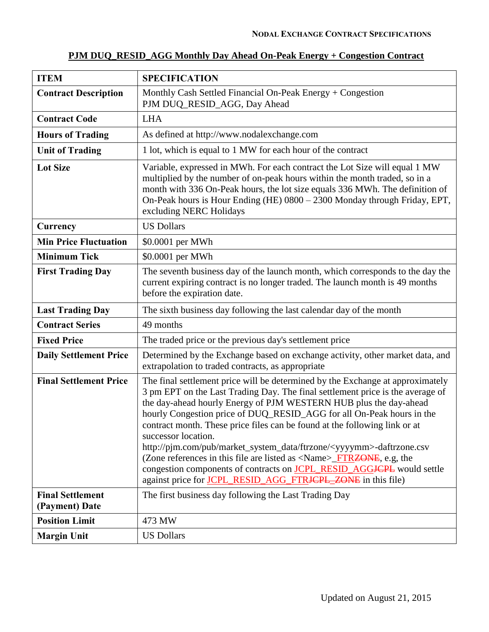| <b>ITEM</b>                               | <b>SPECIFICATION</b>                                                                                                                                                                                                                                                                                                                                                                                                                                                                                                                                                                                                                                                                                                                                     |
|-------------------------------------------|----------------------------------------------------------------------------------------------------------------------------------------------------------------------------------------------------------------------------------------------------------------------------------------------------------------------------------------------------------------------------------------------------------------------------------------------------------------------------------------------------------------------------------------------------------------------------------------------------------------------------------------------------------------------------------------------------------------------------------------------------------|
| <b>Contract Description</b>               | Monthly Cash Settled Financial On-Peak Energy + Congestion<br>PJM DUQ_RESID_AGG, Day Ahead                                                                                                                                                                                                                                                                                                                                                                                                                                                                                                                                                                                                                                                               |
| <b>Contract Code</b>                      | <b>LHA</b>                                                                                                                                                                                                                                                                                                                                                                                                                                                                                                                                                                                                                                                                                                                                               |
| <b>Hours of Trading</b>                   | As defined at http://www.nodalexchange.com                                                                                                                                                                                                                                                                                                                                                                                                                                                                                                                                                                                                                                                                                                               |
| <b>Unit of Trading</b>                    | 1 lot, which is equal to 1 MW for each hour of the contract                                                                                                                                                                                                                                                                                                                                                                                                                                                                                                                                                                                                                                                                                              |
| <b>Lot Size</b>                           | Variable, expressed in MWh. For each contract the Lot Size will equal 1 MW<br>multiplied by the number of on-peak hours within the month traded, so in a<br>month with 336 On-Peak hours, the lot size equals 336 MWh. The definition of<br>On-Peak hours is Hour Ending (HE) 0800 - 2300 Monday through Friday, EPT,<br>excluding NERC Holidays                                                                                                                                                                                                                                                                                                                                                                                                         |
| Currency                                  | <b>US Dollars</b>                                                                                                                                                                                                                                                                                                                                                                                                                                                                                                                                                                                                                                                                                                                                        |
| <b>Min Price Fluctuation</b>              | \$0.0001 per MWh                                                                                                                                                                                                                                                                                                                                                                                                                                                                                                                                                                                                                                                                                                                                         |
| <b>Minimum Tick</b>                       | \$0.0001 per MWh                                                                                                                                                                                                                                                                                                                                                                                                                                                                                                                                                                                                                                                                                                                                         |
| <b>First Trading Day</b>                  | The seventh business day of the launch month, which corresponds to the day the<br>current expiring contract is no longer traded. The launch month is 49 months<br>before the expiration date.                                                                                                                                                                                                                                                                                                                                                                                                                                                                                                                                                            |
| <b>Last Trading Day</b>                   | The sixth business day following the last calendar day of the month                                                                                                                                                                                                                                                                                                                                                                                                                                                                                                                                                                                                                                                                                      |
| <b>Contract Series</b>                    | 49 months                                                                                                                                                                                                                                                                                                                                                                                                                                                                                                                                                                                                                                                                                                                                                |
| <b>Fixed Price</b>                        | The traded price or the previous day's settlement price                                                                                                                                                                                                                                                                                                                                                                                                                                                                                                                                                                                                                                                                                                  |
| <b>Daily Settlement Price</b>             | Determined by the Exchange based on exchange activity, other market data, and<br>extrapolation to traded contracts, as appropriate                                                                                                                                                                                                                                                                                                                                                                                                                                                                                                                                                                                                                       |
| <b>Final Settlement Price</b>             | The final settlement price will be determined by the Exchange at approximately<br>3 pm EPT on the Last Trading Day. The final settlement price is the average of<br>the day-ahead hourly Energy of PJM WESTERN HUB plus the day-ahead<br>hourly Congestion price of DUQ_RESID_AGG for all On-Peak hours in the<br>contract month. These price files can be found at the following link or at<br>successor location.<br>http://pjm.com/pub/market_system_data/ftrzone/ <yyyymm>-daftrzone.csv<br/>(Zone references in this file are listed as <name>_FTR<del>ZONE</del>, e.g, the<br/>congestion components of contracts on <b>JCPL_RESID_AGGJCPL</b> would settle<br/>against price for <b>JCPL_RESID_AGG_FTRJCPL_ZONE</b> in this file)</name></yyyymm> |
| <b>Final Settlement</b><br>(Payment) Date | The first business day following the Last Trading Day                                                                                                                                                                                                                                                                                                                                                                                                                                                                                                                                                                                                                                                                                                    |
| <b>Position Limit</b>                     | 473 MW                                                                                                                                                                                                                                                                                                                                                                                                                                                                                                                                                                                                                                                                                                                                                   |
| <b>Margin Unit</b>                        | <b>US Dollars</b>                                                                                                                                                                                                                                                                                                                                                                                                                                                                                                                                                                                                                                                                                                                                        |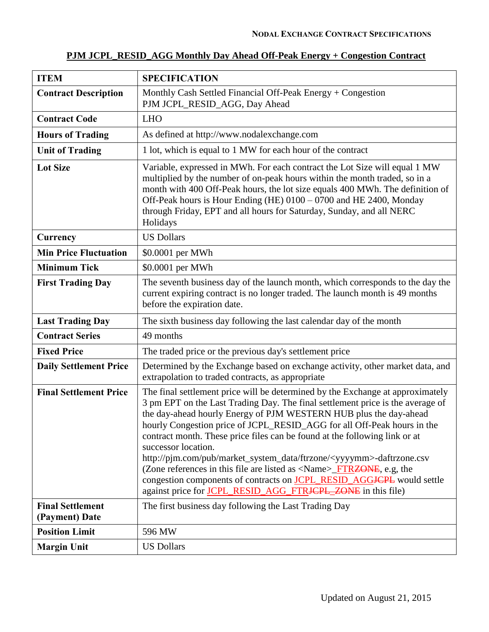| <b>ITEM</b>                               | <b>SPECIFICATION</b>                                                                                                                                                                                                                                                                                                                                                                                                                                                                                                                                                                                                                                                                                                                                |
|-------------------------------------------|-----------------------------------------------------------------------------------------------------------------------------------------------------------------------------------------------------------------------------------------------------------------------------------------------------------------------------------------------------------------------------------------------------------------------------------------------------------------------------------------------------------------------------------------------------------------------------------------------------------------------------------------------------------------------------------------------------------------------------------------------------|
| <b>Contract Description</b>               | Monthly Cash Settled Financial Off-Peak Energy + Congestion<br>PJM JCPL_RESID_AGG, Day Ahead                                                                                                                                                                                                                                                                                                                                                                                                                                                                                                                                                                                                                                                        |
| <b>Contract Code</b>                      | <b>LHO</b>                                                                                                                                                                                                                                                                                                                                                                                                                                                                                                                                                                                                                                                                                                                                          |
| <b>Hours of Trading</b>                   | As defined at http://www.nodalexchange.com                                                                                                                                                                                                                                                                                                                                                                                                                                                                                                                                                                                                                                                                                                          |
| <b>Unit of Trading</b>                    | 1 lot, which is equal to 1 MW for each hour of the contract                                                                                                                                                                                                                                                                                                                                                                                                                                                                                                                                                                                                                                                                                         |
| <b>Lot Size</b>                           | Variable, expressed in MWh. For each contract the Lot Size will equal 1 MW<br>multiplied by the number of on-peak hours within the month traded, so in a<br>month with 400 Off-Peak hours, the lot size equals 400 MWh. The definition of<br>Off-Peak hours is Hour Ending (HE) 0100 – 0700 and HE 2400, Monday<br>through Friday, EPT and all hours for Saturday, Sunday, and all NERC<br>Holidays                                                                                                                                                                                                                                                                                                                                                 |
| Currency                                  | <b>US Dollars</b>                                                                                                                                                                                                                                                                                                                                                                                                                                                                                                                                                                                                                                                                                                                                   |
| <b>Min Price Fluctuation</b>              | \$0.0001 per MWh                                                                                                                                                                                                                                                                                                                                                                                                                                                                                                                                                                                                                                                                                                                                    |
| <b>Minimum Tick</b>                       | \$0.0001 per MWh                                                                                                                                                                                                                                                                                                                                                                                                                                                                                                                                                                                                                                                                                                                                    |
| <b>First Trading Day</b>                  | The seventh business day of the launch month, which corresponds to the day the<br>current expiring contract is no longer traded. The launch month is 49 months<br>before the expiration date.                                                                                                                                                                                                                                                                                                                                                                                                                                                                                                                                                       |
| <b>Last Trading Day</b>                   | The sixth business day following the last calendar day of the month                                                                                                                                                                                                                                                                                                                                                                                                                                                                                                                                                                                                                                                                                 |
| <b>Contract Series</b>                    | 49 months                                                                                                                                                                                                                                                                                                                                                                                                                                                                                                                                                                                                                                                                                                                                           |
| <b>Fixed Price</b>                        | The traded price or the previous day's settlement price                                                                                                                                                                                                                                                                                                                                                                                                                                                                                                                                                                                                                                                                                             |
| <b>Daily Settlement Price</b>             | Determined by the Exchange based on exchange activity, other market data, and<br>extrapolation to traded contracts, as appropriate                                                                                                                                                                                                                                                                                                                                                                                                                                                                                                                                                                                                                  |
| <b>Final Settlement Price</b>             | The final settlement price will be determined by the Exchange at approximately<br>3 pm EPT on the Last Trading Day. The final settlement price is the average of<br>the day-ahead hourly Energy of PJM WESTERN HUB plus the day-ahead<br>hourly Congestion price of JCPL_RESID_AGG for all Off-Peak hours in the<br>contract month. These price files can be found at the following link or at<br>successor location.<br>http://pim.com/pub/market_system_data/ftrzone/ <yyyymm>-daftrzone.csv<br/>(Zone references in this file are listed as <name><del>_FTRZONE</del>, e.g, the<br/>congestion components of contracts on <b>JCPL_RESID_AGGJCPL</b> would settle<br/>against price for JCPL_RESID_AGG_FTRJCPL_ZONE in this file)</name></yyyymm> |
| <b>Final Settlement</b><br>(Payment) Date | The first business day following the Last Trading Day                                                                                                                                                                                                                                                                                                                                                                                                                                                                                                                                                                                                                                                                                               |
| <b>Position Limit</b>                     | 596 MW                                                                                                                                                                                                                                                                                                                                                                                                                                                                                                                                                                                                                                                                                                                                              |
| <b>Margin Unit</b>                        | <b>US Dollars</b>                                                                                                                                                                                                                                                                                                                                                                                                                                                                                                                                                                                                                                                                                                                                   |

# **PJM JCPL\_RESID\_AGG Monthly Day Ahead Off-Peak Energy + Congestion Contract**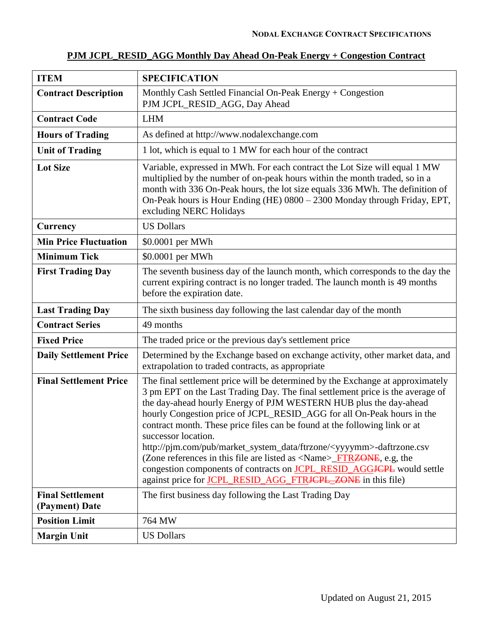| <b>ITEM</b>                               | <b>SPECIFICATION</b>                                                                                                                                                                                                                                                                                                                                                                                                                                                                                                                                                                                                                                                                                                                                                          |
|-------------------------------------------|-------------------------------------------------------------------------------------------------------------------------------------------------------------------------------------------------------------------------------------------------------------------------------------------------------------------------------------------------------------------------------------------------------------------------------------------------------------------------------------------------------------------------------------------------------------------------------------------------------------------------------------------------------------------------------------------------------------------------------------------------------------------------------|
| <b>Contract Description</b>               | Monthly Cash Settled Financial On-Peak Energy + Congestion<br>PJM JCPL_RESID_AGG, Day Ahead                                                                                                                                                                                                                                                                                                                                                                                                                                                                                                                                                                                                                                                                                   |
| <b>Contract Code</b>                      | <b>LHM</b>                                                                                                                                                                                                                                                                                                                                                                                                                                                                                                                                                                                                                                                                                                                                                                    |
| <b>Hours of Trading</b>                   | As defined at http://www.nodalexchange.com                                                                                                                                                                                                                                                                                                                                                                                                                                                                                                                                                                                                                                                                                                                                    |
| <b>Unit of Trading</b>                    | 1 lot, which is equal to 1 MW for each hour of the contract                                                                                                                                                                                                                                                                                                                                                                                                                                                                                                                                                                                                                                                                                                                   |
| <b>Lot Size</b>                           | Variable, expressed in MWh. For each contract the Lot Size will equal 1 MW<br>multiplied by the number of on-peak hours within the month traded, so in a<br>month with 336 On-Peak hours, the lot size equals 336 MWh. The definition of<br>On-Peak hours is Hour Ending (HE) 0800 - 2300 Monday through Friday, EPT,<br>excluding NERC Holidays                                                                                                                                                                                                                                                                                                                                                                                                                              |
| <b>Currency</b>                           | <b>US Dollars</b>                                                                                                                                                                                                                                                                                                                                                                                                                                                                                                                                                                                                                                                                                                                                                             |
| <b>Min Price Fluctuation</b>              | \$0.0001 per MWh                                                                                                                                                                                                                                                                                                                                                                                                                                                                                                                                                                                                                                                                                                                                                              |
| <b>Minimum Tick</b>                       | \$0.0001 per MWh                                                                                                                                                                                                                                                                                                                                                                                                                                                                                                                                                                                                                                                                                                                                                              |
| <b>First Trading Day</b>                  | The seventh business day of the launch month, which corresponds to the day the<br>current expiring contract is no longer traded. The launch month is 49 months<br>before the expiration date.                                                                                                                                                                                                                                                                                                                                                                                                                                                                                                                                                                                 |
| <b>Last Trading Day</b>                   | The sixth business day following the last calendar day of the month                                                                                                                                                                                                                                                                                                                                                                                                                                                                                                                                                                                                                                                                                                           |
| <b>Contract Series</b>                    | 49 months                                                                                                                                                                                                                                                                                                                                                                                                                                                                                                                                                                                                                                                                                                                                                                     |
| <b>Fixed Price</b>                        | The traded price or the previous day's settlement price                                                                                                                                                                                                                                                                                                                                                                                                                                                                                                                                                                                                                                                                                                                       |
| <b>Daily Settlement Price</b>             | Determined by the Exchange based on exchange activity, other market data, and<br>extrapolation to traded contracts, as appropriate                                                                                                                                                                                                                                                                                                                                                                                                                                                                                                                                                                                                                                            |
| <b>Final Settlement Price</b>             | The final settlement price will be determined by the Exchange at approximately<br>3 pm EPT on the Last Trading Day. The final settlement price is the average of<br>the day-ahead hourly Energy of PJM WESTERN HUB plus the day-ahead<br>hourly Congestion price of JCPL_RESID_AGG for all On-Peak hours in the<br>contract month. These price files can be found at the following link or at<br>successor location.<br>http://pjm.com/pub/market_system_data/ftrzone/ <yyyymm>-daftrzone.csv<br/>(Zone references in this file are listed as <math>\langle</math>Name<math>\rangle</math>_FTRZONE, e.g, the<br/>congestion components of contracts on <b>JCPL_RESID_AGGJCPL</b> would settle<br/>against price for <b>JCPL_RESID_AGG_FTRJCPL_ZONE</b> in this file)</yyyymm> |
| <b>Final Settlement</b><br>(Payment) Date | The first business day following the Last Trading Day                                                                                                                                                                                                                                                                                                                                                                                                                                                                                                                                                                                                                                                                                                                         |
| <b>Position Limit</b>                     | 764 MW                                                                                                                                                                                                                                                                                                                                                                                                                                                                                                                                                                                                                                                                                                                                                                        |
| <b>Margin Unit</b>                        | <b>US Dollars</b>                                                                                                                                                                                                                                                                                                                                                                                                                                                                                                                                                                                                                                                                                                                                                             |

### **PJM JCPL\_RESID\_AGG Monthly Day Ahead On-Peak Energy + Congestion Contract**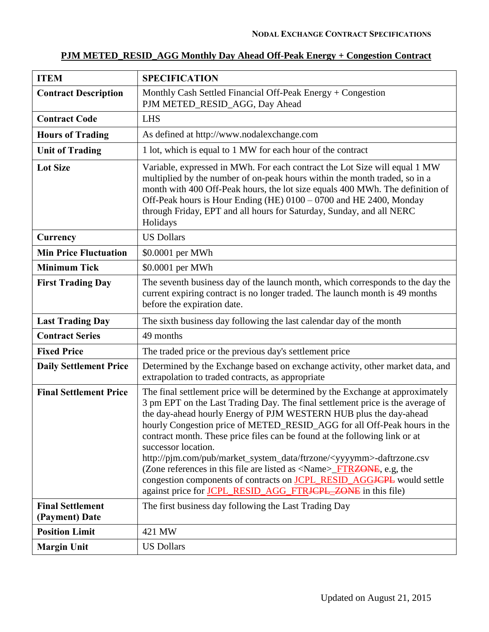# **PJM METED\_RESID\_AGG Monthly Day Ahead Off-Peak Energy + Congestion Contract**

| <b>ITEM</b>                               | <b>SPECIFICATION</b>                                                                                                                                                                                                                                                                                                                                                                                                                                                                                                                                                                                                                                                                                                                                 |
|-------------------------------------------|------------------------------------------------------------------------------------------------------------------------------------------------------------------------------------------------------------------------------------------------------------------------------------------------------------------------------------------------------------------------------------------------------------------------------------------------------------------------------------------------------------------------------------------------------------------------------------------------------------------------------------------------------------------------------------------------------------------------------------------------------|
| <b>Contract Description</b>               | Monthly Cash Settled Financial Off-Peak Energy $+$ Congestion<br>PJM METED_RESID_AGG, Day Ahead                                                                                                                                                                                                                                                                                                                                                                                                                                                                                                                                                                                                                                                      |
| <b>Contract Code</b>                      | <b>LHS</b>                                                                                                                                                                                                                                                                                                                                                                                                                                                                                                                                                                                                                                                                                                                                           |
| <b>Hours of Trading</b>                   | As defined at http://www.nodalexchange.com                                                                                                                                                                                                                                                                                                                                                                                                                                                                                                                                                                                                                                                                                                           |
| <b>Unit of Trading</b>                    | 1 lot, which is equal to 1 MW for each hour of the contract                                                                                                                                                                                                                                                                                                                                                                                                                                                                                                                                                                                                                                                                                          |
| <b>Lot Size</b>                           | Variable, expressed in MWh. For each contract the Lot Size will equal 1 MW<br>multiplied by the number of on-peak hours within the month traded, so in a<br>month with 400 Off-Peak hours, the lot size equals 400 MWh. The definition of<br>Off-Peak hours is Hour Ending (HE) 0100 - 0700 and HE 2400, Monday<br>through Friday, EPT and all hours for Saturday, Sunday, and all NERC<br>Holidays                                                                                                                                                                                                                                                                                                                                                  |
| Currency                                  | <b>US Dollars</b>                                                                                                                                                                                                                                                                                                                                                                                                                                                                                                                                                                                                                                                                                                                                    |
| <b>Min Price Fluctuation</b>              | \$0.0001 per MWh                                                                                                                                                                                                                                                                                                                                                                                                                                                                                                                                                                                                                                                                                                                                     |
| <b>Minimum Tick</b>                       | \$0.0001 per MWh                                                                                                                                                                                                                                                                                                                                                                                                                                                                                                                                                                                                                                                                                                                                     |
| <b>First Trading Day</b>                  | The seventh business day of the launch month, which corresponds to the day the<br>current expiring contract is no longer traded. The launch month is 49 months<br>before the expiration date.                                                                                                                                                                                                                                                                                                                                                                                                                                                                                                                                                        |
| <b>Last Trading Day</b>                   | The sixth business day following the last calendar day of the month                                                                                                                                                                                                                                                                                                                                                                                                                                                                                                                                                                                                                                                                                  |
| <b>Contract Series</b>                    | 49 months                                                                                                                                                                                                                                                                                                                                                                                                                                                                                                                                                                                                                                                                                                                                            |
| <b>Fixed Price</b>                        | The traded price or the previous day's settlement price                                                                                                                                                                                                                                                                                                                                                                                                                                                                                                                                                                                                                                                                                              |
| <b>Daily Settlement Price</b>             | Determined by the Exchange based on exchange activity, other market data, and<br>extrapolation to traded contracts, as appropriate                                                                                                                                                                                                                                                                                                                                                                                                                                                                                                                                                                                                                   |
| <b>Final Settlement Price</b>             | The final settlement price will be determined by the Exchange at approximately<br>3 pm EPT on the Last Trading Day. The final settlement price is the average of<br>the day-ahead hourly Energy of PJM WESTERN HUB plus the day-ahead<br>hourly Congestion price of METED_RESID_AGG for all Off-Peak hours in the<br>contract month. These price files can be found at the following link or at<br>successor location.<br>http://pjm.com/pub/market_system_data/ftrzone/ <yyyymm>-daftrzone.csv<br/>(Zone references in this file are listed as <name>_FTR<del>ZONE</del>, e.g, the<br/>congestion components of contracts on <b>JCPL_RESID_AGGJCPL</b> would settle<br/>against price for JCPL_RESID_AGG_FTRJCPL_ZONE in this file)</name></yyyymm> |
| <b>Final Settlement</b><br>(Payment) Date | The first business day following the Last Trading Day                                                                                                                                                                                                                                                                                                                                                                                                                                                                                                                                                                                                                                                                                                |
| <b>Position Limit</b>                     | 421 MW                                                                                                                                                                                                                                                                                                                                                                                                                                                                                                                                                                                                                                                                                                                                               |
| <b>Margin Unit</b>                        | <b>US Dollars</b>                                                                                                                                                                                                                                                                                                                                                                                                                                                                                                                                                                                                                                                                                                                                    |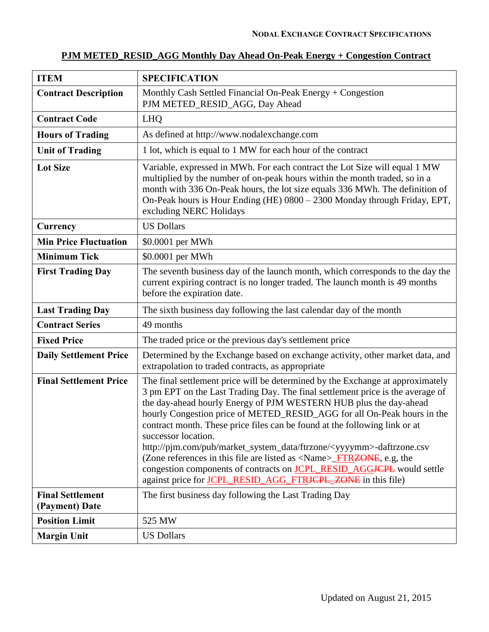### **PJM METED\_RESID\_AGG Monthly Day Ahead On-Peak Energy + Congestion Contract**

| <b>ITEM</b>                               | <b>SPECIFICATION</b>                                                                                                                                                                                                                                                                                                                                                                                                                                                                                                                                                                                                                                                                                                                                                    |
|-------------------------------------------|-------------------------------------------------------------------------------------------------------------------------------------------------------------------------------------------------------------------------------------------------------------------------------------------------------------------------------------------------------------------------------------------------------------------------------------------------------------------------------------------------------------------------------------------------------------------------------------------------------------------------------------------------------------------------------------------------------------------------------------------------------------------------|
| <b>Contract Description</b>               | Monthly Cash Settled Financial On-Peak Energy + Congestion<br>PJM METED_RESID_AGG, Day Ahead                                                                                                                                                                                                                                                                                                                                                                                                                                                                                                                                                                                                                                                                            |
| <b>Contract Code</b>                      | <b>LHQ</b>                                                                                                                                                                                                                                                                                                                                                                                                                                                                                                                                                                                                                                                                                                                                                              |
| <b>Hours of Trading</b>                   | As defined at http://www.nodalexchange.com                                                                                                                                                                                                                                                                                                                                                                                                                                                                                                                                                                                                                                                                                                                              |
| <b>Unit of Trading</b>                    | 1 lot, which is equal to 1 MW for each hour of the contract                                                                                                                                                                                                                                                                                                                                                                                                                                                                                                                                                                                                                                                                                                             |
| <b>Lot Size</b>                           | Variable, expressed in MWh. For each contract the Lot Size will equal 1 MW<br>multiplied by the number of on-peak hours within the month traded, so in a<br>month with 336 On-Peak hours, the lot size equals 336 MWh. The definition of<br>On-Peak hours is Hour Ending (HE) 0800 - 2300 Monday through Friday, EPT,<br>excluding NERC Holidays                                                                                                                                                                                                                                                                                                                                                                                                                        |
| Currency                                  | <b>US Dollars</b>                                                                                                                                                                                                                                                                                                                                                                                                                                                                                                                                                                                                                                                                                                                                                       |
| <b>Min Price Fluctuation</b>              | \$0.0001 per MWh                                                                                                                                                                                                                                                                                                                                                                                                                                                                                                                                                                                                                                                                                                                                                        |
| <b>Minimum Tick</b>                       | \$0.0001 per MWh                                                                                                                                                                                                                                                                                                                                                                                                                                                                                                                                                                                                                                                                                                                                                        |
| <b>First Trading Day</b>                  | The seventh business day of the launch month, which corresponds to the day the<br>current expiring contract is no longer traded. The launch month is 49 months<br>before the expiration date.                                                                                                                                                                                                                                                                                                                                                                                                                                                                                                                                                                           |
| <b>Last Trading Day</b>                   | The sixth business day following the last calendar day of the month                                                                                                                                                                                                                                                                                                                                                                                                                                                                                                                                                                                                                                                                                                     |
| <b>Contract Series</b>                    | 49 months                                                                                                                                                                                                                                                                                                                                                                                                                                                                                                                                                                                                                                                                                                                                                               |
| <b>Fixed Price</b>                        | The traded price or the previous day's settlement price                                                                                                                                                                                                                                                                                                                                                                                                                                                                                                                                                                                                                                                                                                                 |
| <b>Daily Settlement Price</b>             | Determined by the Exchange based on exchange activity, other market data, and<br>extrapolation to traded contracts, as appropriate                                                                                                                                                                                                                                                                                                                                                                                                                                                                                                                                                                                                                                      |
| <b>Final Settlement Price</b>             | The final settlement price will be determined by the Exchange at approximately<br>3 pm EPT on the Last Trading Day. The final settlement price is the average of<br>the day-ahead hourly Energy of PJM WESTERN HUB plus the day-ahead<br>hourly Congestion price of METED_RESID_AGG for all On-Peak hours in the<br>contract month. These price files can be found at the following link or at<br>successor location.<br>http://pjm.com/pub/market_system_data/ftrzone/ <yyyymm>-daftrzone.csv<br/>(Zone references in this file are listed as <math>\langle</math>Name<math>\rangle</math>_FTRZONE, e.g, the<br/>congestion components of contracts on <b>JCPL_RESID_AGGJCPL</b> would settle<br/>against price for JCPL_RESID_AGG_FTRJCPL_ZONE in this file)</yyyymm> |
| <b>Final Settlement</b><br>(Payment) Date | The first business day following the Last Trading Day                                                                                                                                                                                                                                                                                                                                                                                                                                                                                                                                                                                                                                                                                                                   |
| <b>Position Limit</b>                     | 525 MW                                                                                                                                                                                                                                                                                                                                                                                                                                                                                                                                                                                                                                                                                                                                                                  |
| <b>Margin Unit</b>                        | <b>US Dollars</b>                                                                                                                                                                                                                                                                                                                                                                                                                                                                                                                                                                                                                                                                                                                                                       |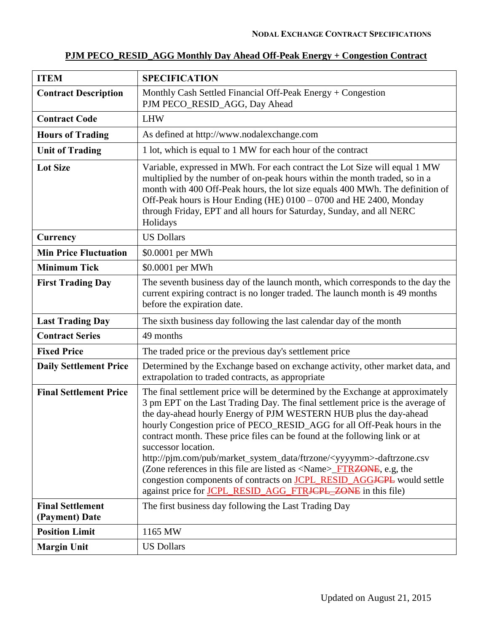| <b>ITEM</b>                               | <b>SPECIFICATION</b>                                                                                                                                                                                                                                                                                                                                                                                                                                                                                                                                                                                                                                                                                                                                |
|-------------------------------------------|-----------------------------------------------------------------------------------------------------------------------------------------------------------------------------------------------------------------------------------------------------------------------------------------------------------------------------------------------------------------------------------------------------------------------------------------------------------------------------------------------------------------------------------------------------------------------------------------------------------------------------------------------------------------------------------------------------------------------------------------------------|
| <b>Contract Description</b>               | Monthly Cash Settled Financial Off-Peak Energy + Congestion<br>PJM PECO_RESID_AGG, Day Ahead                                                                                                                                                                                                                                                                                                                                                                                                                                                                                                                                                                                                                                                        |
| <b>Contract Code</b>                      | <b>LHW</b>                                                                                                                                                                                                                                                                                                                                                                                                                                                                                                                                                                                                                                                                                                                                          |
| <b>Hours of Trading</b>                   | As defined at http://www.nodalexchange.com                                                                                                                                                                                                                                                                                                                                                                                                                                                                                                                                                                                                                                                                                                          |
| <b>Unit of Trading</b>                    | 1 lot, which is equal to 1 MW for each hour of the contract                                                                                                                                                                                                                                                                                                                                                                                                                                                                                                                                                                                                                                                                                         |
| <b>Lot Size</b>                           | Variable, expressed in MWh. For each contract the Lot Size will equal 1 MW<br>multiplied by the number of on-peak hours within the month traded, so in a<br>month with 400 Off-Peak hours, the lot size equals 400 MWh. The definition of<br>Off-Peak hours is Hour Ending (HE) 0100 - 0700 and HE 2400, Monday<br>through Friday, EPT and all hours for Saturday, Sunday, and all NERC<br>Holidays                                                                                                                                                                                                                                                                                                                                                 |
| Currency                                  | <b>US Dollars</b>                                                                                                                                                                                                                                                                                                                                                                                                                                                                                                                                                                                                                                                                                                                                   |
| <b>Min Price Fluctuation</b>              | \$0.0001 per MWh                                                                                                                                                                                                                                                                                                                                                                                                                                                                                                                                                                                                                                                                                                                                    |
| <b>Minimum Tick</b>                       | \$0.0001 per MWh                                                                                                                                                                                                                                                                                                                                                                                                                                                                                                                                                                                                                                                                                                                                    |
| <b>First Trading Day</b>                  | The seventh business day of the launch month, which corresponds to the day the<br>current expiring contract is no longer traded. The launch month is 49 months<br>before the expiration date.                                                                                                                                                                                                                                                                                                                                                                                                                                                                                                                                                       |
| <b>Last Trading Day</b>                   | The sixth business day following the last calendar day of the month                                                                                                                                                                                                                                                                                                                                                                                                                                                                                                                                                                                                                                                                                 |
| <b>Contract Series</b>                    | 49 months                                                                                                                                                                                                                                                                                                                                                                                                                                                                                                                                                                                                                                                                                                                                           |
| <b>Fixed Price</b>                        | The traded price or the previous day's settlement price                                                                                                                                                                                                                                                                                                                                                                                                                                                                                                                                                                                                                                                                                             |
| <b>Daily Settlement Price</b>             | Determined by the Exchange based on exchange activity, other market data, and<br>extrapolation to traded contracts, as appropriate                                                                                                                                                                                                                                                                                                                                                                                                                                                                                                                                                                                                                  |
| <b>Final Settlement Price</b>             | The final settlement price will be determined by the Exchange at approximately<br>3 pm EPT on the Last Trading Day. The final settlement price is the average of<br>the day-ahead hourly Energy of PJM WESTERN HUB plus the day-ahead<br>hourly Congestion price of PECO_RESID_AGG for all Off-Peak hours in the<br>contract month. These price files can be found at the following link or at<br>successor location.<br>http://pjm.com/pub/market_system_data/ftrzone/ <yyyymm>-daftrzone.csv<br/>(Zone references in this file are listed as <name>_FTR<del>ZONE</del>, e.g, the<br/>congestion components of contracts on <b>JCPL_RESID_AGGJCPL</b> would settle<br/>against price for JCPL_RESID_AGG_FTRJCPL_ZONE in this file)</name></yyyymm> |
| <b>Final Settlement</b><br>(Payment) Date | The first business day following the Last Trading Day                                                                                                                                                                                                                                                                                                                                                                                                                                                                                                                                                                                                                                                                                               |
| <b>Position Limit</b>                     | 1165 MW                                                                                                                                                                                                                                                                                                                                                                                                                                                                                                                                                                                                                                                                                                                                             |
| <b>Margin Unit</b>                        | <b>US Dollars</b>                                                                                                                                                                                                                                                                                                                                                                                                                                                                                                                                                                                                                                                                                                                                   |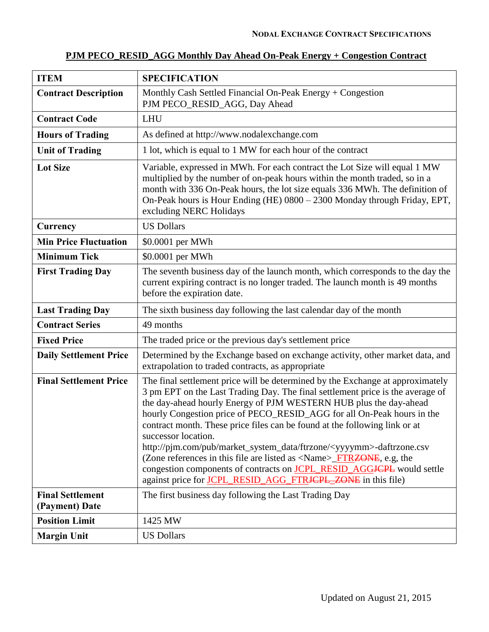| <b>ITEM</b>                               | <b>SPECIFICATION</b>                                                                                                                                                                                                                                                                                                                                                                                                                                                                                                                                                                                                                                                                                                                                      |
|-------------------------------------------|-----------------------------------------------------------------------------------------------------------------------------------------------------------------------------------------------------------------------------------------------------------------------------------------------------------------------------------------------------------------------------------------------------------------------------------------------------------------------------------------------------------------------------------------------------------------------------------------------------------------------------------------------------------------------------------------------------------------------------------------------------------|
| <b>Contract Description</b>               | Monthly Cash Settled Financial On-Peak Energy + Congestion<br>PJM PECO_RESID_AGG, Day Ahead                                                                                                                                                                                                                                                                                                                                                                                                                                                                                                                                                                                                                                                               |
| <b>Contract Code</b>                      | <b>LHU</b>                                                                                                                                                                                                                                                                                                                                                                                                                                                                                                                                                                                                                                                                                                                                                |
| <b>Hours of Trading</b>                   | As defined at http://www.nodalexchange.com                                                                                                                                                                                                                                                                                                                                                                                                                                                                                                                                                                                                                                                                                                                |
| <b>Unit of Trading</b>                    | 1 lot, which is equal to 1 MW for each hour of the contract                                                                                                                                                                                                                                                                                                                                                                                                                                                                                                                                                                                                                                                                                               |
| <b>Lot Size</b>                           | Variable, expressed in MWh. For each contract the Lot Size will equal 1 MW<br>multiplied by the number of on-peak hours within the month traded, so in a<br>month with 336 On-Peak hours, the lot size equals 336 MWh. The definition of<br>On-Peak hours is Hour Ending (HE) 0800 - 2300 Monday through Friday, EPT,<br>excluding NERC Holidays                                                                                                                                                                                                                                                                                                                                                                                                          |
| Currency                                  | <b>US Dollars</b>                                                                                                                                                                                                                                                                                                                                                                                                                                                                                                                                                                                                                                                                                                                                         |
| <b>Min Price Fluctuation</b>              | \$0.0001 per MWh                                                                                                                                                                                                                                                                                                                                                                                                                                                                                                                                                                                                                                                                                                                                          |
| <b>Minimum Tick</b>                       | \$0.0001 per MWh                                                                                                                                                                                                                                                                                                                                                                                                                                                                                                                                                                                                                                                                                                                                          |
| <b>First Trading Day</b>                  | The seventh business day of the launch month, which corresponds to the day the<br>current expiring contract is no longer traded. The launch month is 49 months<br>before the expiration date.                                                                                                                                                                                                                                                                                                                                                                                                                                                                                                                                                             |
| <b>Last Trading Day</b>                   | The sixth business day following the last calendar day of the month                                                                                                                                                                                                                                                                                                                                                                                                                                                                                                                                                                                                                                                                                       |
| <b>Contract Series</b>                    | 49 months                                                                                                                                                                                                                                                                                                                                                                                                                                                                                                                                                                                                                                                                                                                                                 |
| <b>Fixed Price</b>                        | The traded price or the previous day's settlement price                                                                                                                                                                                                                                                                                                                                                                                                                                                                                                                                                                                                                                                                                                   |
| <b>Daily Settlement Price</b>             | Determined by the Exchange based on exchange activity, other market data, and<br>extrapolation to traded contracts, as appropriate                                                                                                                                                                                                                                                                                                                                                                                                                                                                                                                                                                                                                        |
| <b>Final Settlement Price</b>             | The final settlement price will be determined by the Exchange at approximately<br>3 pm EPT on the Last Trading Day. The final settlement price is the average of<br>the day-ahead hourly Energy of PJM WESTERN HUB plus the day-ahead<br>hourly Congestion price of PECO_RESID_AGG for all On-Peak hours in the<br>contract month. These price files can be found at the following link or at<br>successor location.<br>http://pjm.com/pub/market_system_data/ftrzone/ <yyyymm>-daftrzone.csv<br/>(Zone references in this file are listed as <name><del>_FTRZONE</del>, e.g, the<br/>congestion components of contracts on <b>JCPL_RESID_AGGJCPL</b> would settle<br/>against price for <b>JCPL_RESID_AGG_FTRJCPL_ZONE</b> in this file)</name></yyyymm> |
| <b>Final Settlement</b><br>(Payment) Date | The first business day following the Last Trading Day                                                                                                                                                                                                                                                                                                                                                                                                                                                                                                                                                                                                                                                                                                     |
| <b>Position Limit</b>                     | 1425 MW                                                                                                                                                                                                                                                                                                                                                                                                                                                                                                                                                                                                                                                                                                                                                   |
| <b>Margin Unit</b>                        | <b>US Dollars</b>                                                                                                                                                                                                                                                                                                                                                                                                                                                                                                                                                                                                                                                                                                                                         |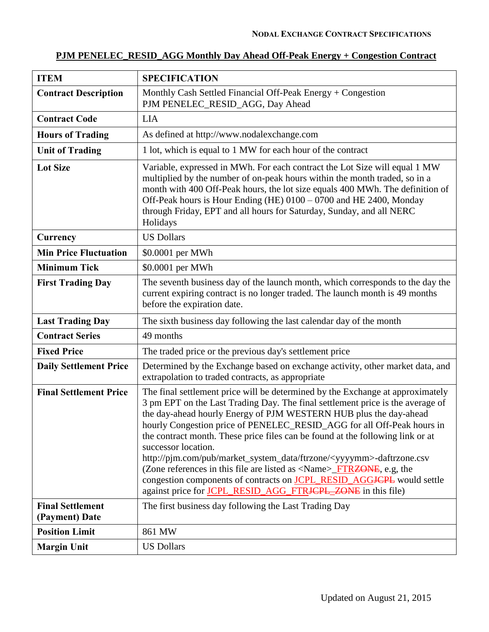# **PJM PENELEC\_RESID\_AGG Monthly Day Ahead Off-Peak Energy + Congestion Contract**

| <b>ITEM</b>                               | <b>SPECIFICATION</b>                                                                                                                                                                                                                                                                                                                                                                                                                                                                                                                                                                                                                                                                                                                                                  |
|-------------------------------------------|-----------------------------------------------------------------------------------------------------------------------------------------------------------------------------------------------------------------------------------------------------------------------------------------------------------------------------------------------------------------------------------------------------------------------------------------------------------------------------------------------------------------------------------------------------------------------------------------------------------------------------------------------------------------------------------------------------------------------------------------------------------------------|
| <b>Contract Description</b>               | Monthly Cash Settled Financial Off-Peak Energy + Congestion<br>PJM PENELEC_RESID_AGG, Day Ahead                                                                                                                                                                                                                                                                                                                                                                                                                                                                                                                                                                                                                                                                       |
| <b>Contract Code</b>                      | <b>LIA</b>                                                                                                                                                                                                                                                                                                                                                                                                                                                                                                                                                                                                                                                                                                                                                            |
| <b>Hours of Trading</b>                   | As defined at http://www.nodalexchange.com                                                                                                                                                                                                                                                                                                                                                                                                                                                                                                                                                                                                                                                                                                                            |
| <b>Unit of Trading</b>                    | 1 lot, which is equal to 1 MW for each hour of the contract                                                                                                                                                                                                                                                                                                                                                                                                                                                                                                                                                                                                                                                                                                           |
| <b>Lot Size</b>                           | Variable, expressed in MWh. For each contract the Lot Size will equal 1 MW<br>multiplied by the number of on-peak hours within the month traded, so in a<br>month with 400 Off-Peak hours, the lot size equals 400 MWh. The definition of<br>Off-Peak hours is Hour Ending (HE) 0100 - 0700 and HE 2400, Monday<br>through Friday, EPT and all hours for Saturday, Sunday, and all NERC<br>Holidays                                                                                                                                                                                                                                                                                                                                                                   |
| Currency                                  | <b>US Dollars</b>                                                                                                                                                                                                                                                                                                                                                                                                                                                                                                                                                                                                                                                                                                                                                     |
| <b>Min Price Fluctuation</b>              | \$0.0001 per MWh                                                                                                                                                                                                                                                                                                                                                                                                                                                                                                                                                                                                                                                                                                                                                      |
| <b>Minimum Tick</b>                       | \$0.0001 per MWh                                                                                                                                                                                                                                                                                                                                                                                                                                                                                                                                                                                                                                                                                                                                                      |
| <b>First Trading Day</b>                  | The seventh business day of the launch month, which corresponds to the day the<br>current expiring contract is no longer traded. The launch month is 49 months<br>before the expiration date.                                                                                                                                                                                                                                                                                                                                                                                                                                                                                                                                                                         |
| <b>Last Trading Day</b>                   | The sixth business day following the last calendar day of the month                                                                                                                                                                                                                                                                                                                                                                                                                                                                                                                                                                                                                                                                                                   |
| <b>Contract Series</b>                    | 49 months                                                                                                                                                                                                                                                                                                                                                                                                                                                                                                                                                                                                                                                                                                                                                             |
| <b>Fixed Price</b>                        | The traded price or the previous day's settlement price                                                                                                                                                                                                                                                                                                                                                                                                                                                                                                                                                                                                                                                                                                               |
| <b>Daily Settlement Price</b>             | Determined by the Exchange based on exchange activity, other market data, and<br>extrapolation to traded contracts, as appropriate                                                                                                                                                                                                                                                                                                                                                                                                                                                                                                                                                                                                                                    |
| <b>Final Settlement Price</b>             | The final settlement price will be determined by the Exchange at approximately<br>3 pm EPT on the Last Trading Day. The final settlement price is the average of<br>the day-ahead hourly Energy of PJM WESTERN HUB plus the day-ahead<br>hourly Congestion price of PENELEC_RESID_AGG for all Off-Peak hours in<br>the contract month. These price files can be found at the following link or at<br>successor location.<br>http://pjm.com/pub/market_system_data/ftrzone/ <yyyymm>-daftrzone.csv<br/>(Zone references in this file are listed as <math>\langle</math>Name&gt;<del>_FTRZONE</del>, e.g, the<br/>congestion components of contracts on <b>JCPL_RESID_AGGJCPL</b> would settle<br/>against price for JCPL_RESID_AGG_FTRJCPL_ZONE in this file)</yyyymm> |
| <b>Final Settlement</b><br>(Payment) Date | The first business day following the Last Trading Day                                                                                                                                                                                                                                                                                                                                                                                                                                                                                                                                                                                                                                                                                                                 |
| <b>Position Limit</b>                     | 861 MW                                                                                                                                                                                                                                                                                                                                                                                                                                                                                                                                                                                                                                                                                                                                                                |
| <b>Margin Unit</b>                        | <b>US Dollars</b>                                                                                                                                                                                                                                                                                                                                                                                                                                                                                                                                                                                                                                                                                                                                                     |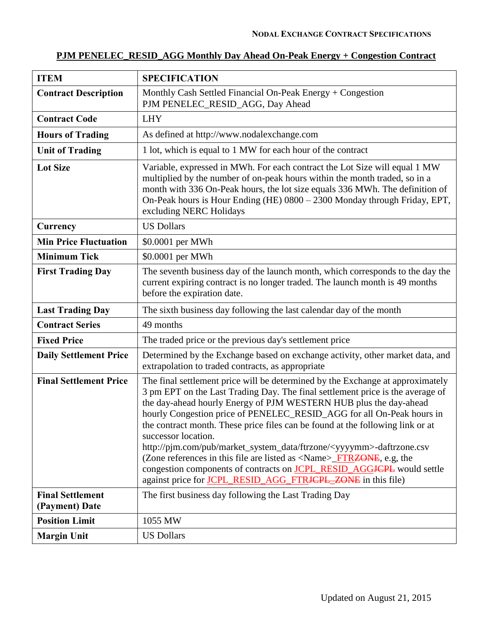# **PJM PENELEC\_RESID\_AGG Monthly Day Ahead On-Peak Energy + Congestion Contract**

| <b>ITEM</b>                               | <b>SPECIFICATION</b>                                                                                                                                                                                                                                                                                                                                                                                                                                                                                                                                                                                                                                                                                                                                  |
|-------------------------------------------|-------------------------------------------------------------------------------------------------------------------------------------------------------------------------------------------------------------------------------------------------------------------------------------------------------------------------------------------------------------------------------------------------------------------------------------------------------------------------------------------------------------------------------------------------------------------------------------------------------------------------------------------------------------------------------------------------------------------------------------------------------|
| <b>Contract Description</b>               | Monthly Cash Settled Financial On-Peak Energy + Congestion<br>PJM PENELEC_RESID_AGG, Day Ahead                                                                                                                                                                                                                                                                                                                                                                                                                                                                                                                                                                                                                                                        |
| <b>Contract Code</b>                      | <b>LHY</b>                                                                                                                                                                                                                                                                                                                                                                                                                                                                                                                                                                                                                                                                                                                                            |
| <b>Hours of Trading</b>                   | As defined at http://www.nodalexchange.com                                                                                                                                                                                                                                                                                                                                                                                                                                                                                                                                                                                                                                                                                                            |
| <b>Unit of Trading</b>                    | 1 lot, which is equal to 1 MW for each hour of the contract                                                                                                                                                                                                                                                                                                                                                                                                                                                                                                                                                                                                                                                                                           |
| <b>Lot Size</b>                           | Variable, expressed in MWh. For each contract the Lot Size will equal 1 MW<br>multiplied by the number of on-peak hours within the month traded, so in a<br>month with 336 On-Peak hours, the lot size equals 336 MWh. The definition of<br>On-Peak hours is Hour Ending (HE) 0800 - 2300 Monday through Friday, EPT,<br>excluding NERC Holidays                                                                                                                                                                                                                                                                                                                                                                                                      |
| Currency                                  | <b>US Dollars</b>                                                                                                                                                                                                                                                                                                                                                                                                                                                                                                                                                                                                                                                                                                                                     |
| <b>Min Price Fluctuation</b>              | \$0.0001 per MWh                                                                                                                                                                                                                                                                                                                                                                                                                                                                                                                                                                                                                                                                                                                                      |
| <b>Minimum Tick</b>                       | \$0.0001 per MWh                                                                                                                                                                                                                                                                                                                                                                                                                                                                                                                                                                                                                                                                                                                                      |
| <b>First Trading Day</b>                  | The seventh business day of the launch month, which corresponds to the day the<br>current expiring contract is no longer traded. The launch month is 49 months<br>before the expiration date.                                                                                                                                                                                                                                                                                                                                                                                                                                                                                                                                                         |
| <b>Last Trading Day</b>                   | The sixth business day following the last calendar day of the month                                                                                                                                                                                                                                                                                                                                                                                                                                                                                                                                                                                                                                                                                   |
| <b>Contract Series</b>                    | 49 months                                                                                                                                                                                                                                                                                                                                                                                                                                                                                                                                                                                                                                                                                                                                             |
| <b>Fixed Price</b>                        | The traded price or the previous day's settlement price                                                                                                                                                                                                                                                                                                                                                                                                                                                                                                                                                                                                                                                                                               |
| <b>Daily Settlement Price</b>             | Determined by the Exchange based on exchange activity, other market data, and<br>extrapolation to traded contracts, as appropriate                                                                                                                                                                                                                                                                                                                                                                                                                                                                                                                                                                                                                    |
| <b>Final Settlement Price</b>             | The final settlement price will be determined by the Exchange at approximately<br>3 pm EPT on the Last Trading Day. The final settlement price is the average of<br>the day-ahead hourly Energy of PJM WESTERN HUB plus the day-ahead<br>hourly Congestion price of PENELEC_RESID_AGG for all On-Peak hours in<br>the contract month. These price files can be found at the following link or at<br>successor location.<br>http://pjm.com/pub/market_system_data/ftrzone/ <yyyymm>-daftrzone.csv<br/>(Zone references in this file are listed as <name>_FTR<del>ZONE</del>, e.g, the<br/>congestion components of contracts on <b>JCPL_RESID_AGGJCPL</b> would settle<br/>against price for JCPL_RESID_AGG_FTRJCPL_ZONE in this file)</name></yyyymm> |
| <b>Final Settlement</b><br>(Payment) Date | The first business day following the Last Trading Day                                                                                                                                                                                                                                                                                                                                                                                                                                                                                                                                                                                                                                                                                                 |
| <b>Position Limit</b>                     | 1055 MW                                                                                                                                                                                                                                                                                                                                                                                                                                                                                                                                                                                                                                                                                                                                               |
| <b>Margin Unit</b>                        | <b>US Dollars</b>                                                                                                                                                                                                                                                                                                                                                                                                                                                                                                                                                                                                                                                                                                                                     |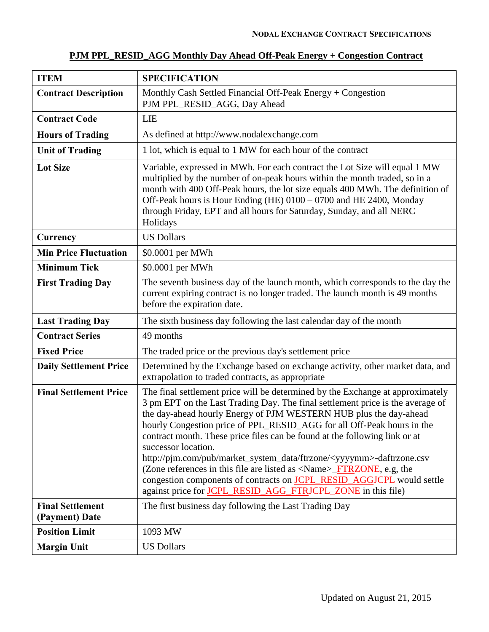| <b>ITEM</b>                               | <b>SPECIFICATION</b>                                                                                                                                                                                                                                                                                                                                                                                                                                                                                                                                                                                                                                                                                                                               |
|-------------------------------------------|----------------------------------------------------------------------------------------------------------------------------------------------------------------------------------------------------------------------------------------------------------------------------------------------------------------------------------------------------------------------------------------------------------------------------------------------------------------------------------------------------------------------------------------------------------------------------------------------------------------------------------------------------------------------------------------------------------------------------------------------------|
| <b>Contract Description</b>               | Monthly Cash Settled Financial Off-Peak Energy + Congestion<br>PJM PPL_RESID_AGG, Day Ahead                                                                                                                                                                                                                                                                                                                                                                                                                                                                                                                                                                                                                                                        |
| <b>Contract Code</b>                      | <b>LIE</b>                                                                                                                                                                                                                                                                                                                                                                                                                                                                                                                                                                                                                                                                                                                                         |
| <b>Hours of Trading</b>                   | As defined at http://www.nodalexchange.com                                                                                                                                                                                                                                                                                                                                                                                                                                                                                                                                                                                                                                                                                                         |
| <b>Unit of Trading</b>                    | 1 lot, which is equal to 1 MW for each hour of the contract                                                                                                                                                                                                                                                                                                                                                                                                                                                                                                                                                                                                                                                                                        |
| <b>Lot Size</b>                           | Variable, expressed in MWh. For each contract the Lot Size will equal 1 MW<br>multiplied by the number of on-peak hours within the month traded, so in a<br>month with 400 Off-Peak hours, the lot size equals 400 MWh. The definition of<br>Off-Peak hours is Hour Ending (HE) 0100 – 0700 and HE 2400, Monday<br>through Friday, EPT and all hours for Saturday, Sunday, and all NERC<br>Holidays                                                                                                                                                                                                                                                                                                                                                |
| Currency                                  | <b>US Dollars</b>                                                                                                                                                                                                                                                                                                                                                                                                                                                                                                                                                                                                                                                                                                                                  |
| <b>Min Price Fluctuation</b>              | \$0.0001 per MWh                                                                                                                                                                                                                                                                                                                                                                                                                                                                                                                                                                                                                                                                                                                                   |
| <b>Minimum Tick</b>                       | \$0.0001 per MWh                                                                                                                                                                                                                                                                                                                                                                                                                                                                                                                                                                                                                                                                                                                                   |
| <b>First Trading Day</b>                  | The seventh business day of the launch month, which corresponds to the day the<br>current expiring contract is no longer traded. The launch month is 49 months<br>before the expiration date.                                                                                                                                                                                                                                                                                                                                                                                                                                                                                                                                                      |
| <b>Last Trading Day</b>                   | The sixth business day following the last calendar day of the month                                                                                                                                                                                                                                                                                                                                                                                                                                                                                                                                                                                                                                                                                |
| <b>Contract Series</b>                    | 49 months                                                                                                                                                                                                                                                                                                                                                                                                                                                                                                                                                                                                                                                                                                                                          |
| <b>Fixed Price</b>                        | The traded price or the previous day's settlement price                                                                                                                                                                                                                                                                                                                                                                                                                                                                                                                                                                                                                                                                                            |
| <b>Daily Settlement Price</b>             | Determined by the Exchange based on exchange activity, other market data, and<br>extrapolation to traded contracts, as appropriate                                                                                                                                                                                                                                                                                                                                                                                                                                                                                                                                                                                                                 |
| <b>Final Settlement Price</b>             | The final settlement price will be determined by the Exchange at approximately<br>3 pm EPT on the Last Trading Day. The final settlement price is the average of<br>the day-ahead hourly Energy of PJM WESTERN HUB plus the day-ahead<br>hourly Congestion price of PPL RESID AGG for all Off-Peak hours in the<br>contract month. These price files can be found at the following link or at<br>successor location.<br>http://pjm.com/pub/market_system_data/ftrzone/ <yyyymm>-daftrzone.csv<br/>(Zone references in this file are listed as <name><del>_FTRZONE</del>, e.g, the<br/>congestion components of contracts on <b>JCPL_RESID_AGGJCPL</b> would settle<br/>against price for JCPL_RESID_AGG_FTRJCPL_ZONE in this file)</name></yyyymm> |
| <b>Final Settlement</b><br>(Payment) Date | The first business day following the Last Trading Day                                                                                                                                                                                                                                                                                                                                                                                                                                                                                                                                                                                                                                                                                              |
| <b>Position Limit</b>                     | 1093 MW                                                                                                                                                                                                                                                                                                                                                                                                                                                                                                                                                                                                                                                                                                                                            |
| <b>Margin Unit</b>                        | <b>US Dollars</b>                                                                                                                                                                                                                                                                                                                                                                                                                                                                                                                                                                                                                                                                                                                                  |

# **PJM PPL\_RESID\_AGG Monthly Day Ahead Off-Peak Energy + Congestion Contract**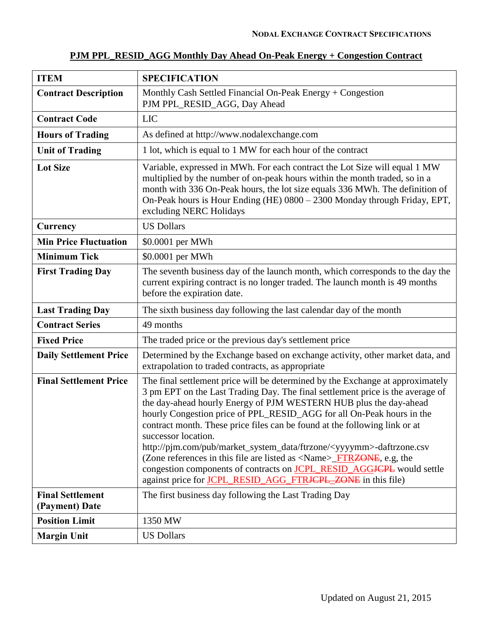| <b>ITEM</b>                               | <b>SPECIFICATION</b>                                                                                                                                                                                                                                                                                                                                                                                                                                                                                                                                                                                                                                                                                                                              |
|-------------------------------------------|---------------------------------------------------------------------------------------------------------------------------------------------------------------------------------------------------------------------------------------------------------------------------------------------------------------------------------------------------------------------------------------------------------------------------------------------------------------------------------------------------------------------------------------------------------------------------------------------------------------------------------------------------------------------------------------------------------------------------------------------------|
| <b>Contract Description</b>               | Monthly Cash Settled Financial On-Peak Energy + Congestion<br>PJM PPL_RESID_AGG, Day Ahead                                                                                                                                                                                                                                                                                                                                                                                                                                                                                                                                                                                                                                                        |
| <b>Contract Code</b>                      | <b>LIC</b>                                                                                                                                                                                                                                                                                                                                                                                                                                                                                                                                                                                                                                                                                                                                        |
| <b>Hours of Trading</b>                   | As defined at http://www.nodalexchange.com                                                                                                                                                                                                                                                                                                                                                                                                                                                                                                                                                                                                                                                                                                        |
| <b>Unit of Trading</b>                    | 1 lot, which is equal to 1 MW for each hour of the contract                                                                                                                                                                                                                                                                                                                                                                                                                                                                                                                                                                                                                                                                                       |
| <b>Lot Size</b>                           | Variable, expressed in MWh. For each contract the Lot Size will equal 1 MW<br>multiplied by the number of on-peak hours within the month traded, so in a<br>month with 336 On-Peak hours, the lot size equals 336 MWh. The definition of<br>On-Peak hours is Hour Ending (HE) 0800 - 2300 Monday through Friday, EPT,<br>excluding NERC Holidays                                                                                                                                                                                                                                                                                                                                                                                                  |
| Currency                                  | <b>US Dollars</b>                                                                                                                                                                                                                                                                                                                                                                                                                                                                                                                                                                                                                                                                                                                                 |
| <b>Min Price Fluctuation</b>              | \$0.0001 per MWh                                                                                                                                                                                                                                                                                                                                                                                                                                                                                                                                                                                                                                                                                                                                  |
| <b>Minimum Tick</b>                       | \$0.0001 per MWh                                                                                                                                                                                                                                                                                                                                                                                                                                                                                                                                                                                                                                                                                                                                  |
| <b>First Trading Day</b>                  | The seventh business day of the launch month, which corresponds to the day the<br>current expiring contract is no longer traded. The launch month is 49 months<br>before the expiration date.                                                                                                                                                                                                                                                                                                                                                                                                                                                                                                                                                     |
| <b>Last Trading Day</b>                   | The sixth business day following the last calendar day of the month                                                                                                                                                                                                                                                                                                                                                                                                                                                                                                                                                                                                                                                                               |
| <b>Contract Series</b>                    | 49 months                                                                                                                                                                                                                                                                                                                                                                                                                                                                                                                                                                                                                                                                                                                                         |
| <b>Fixed Price</b>                        | The traded price or the previous day's settlement price                                                                                                                                                                                                                                                                                                                                                                                                                                                                                                                                                                                                                                                                                           |
| <b>Daily Settlement Price</b>             | Determined by the Exchange based on exchange activity, other market data, and<br>extrapolation to traded contracts, as appropriate                                                                                                                                                                                                                                                                                                                                                                                                                                                                                                                                                                                                                |
| <b>Final Settlement Price</b>             | The final settlement price will be determined by the Exchange at approximately<br>3 pm EPT on the Last Trading Day. The final settlement price is the average of<br>the day-ahead hourly Energy of PJM WESTERN HUB plus the day-ahead<br>hourly Congestion price of PPL_RESID_AGG for all On-Peak hours in the<br>contract month. These price files can be found at the following link or at<br>successor location.<br>http://pjm.com/pub/market_system_data/ftrzone/ <yyyymm>-daftrzone.csv<br/>(Zone references in this file are listed as <name>_FTR<del>ZONE</del>, e.g, the<br/>congestion components of contracts on <b>JCPL_RESID_AGGJCPL</b> would settle<br/>against price for JCPL_RESID_AGG_FTRJCPL_ZONE in this file)</name></yyyymm> |
| <b>Final Settlement</b><br>(Payment) Date | The first business day following the Last Trading Day                                                                                                                                                                                                                                                                                                                                                                                                                                                                                                                                                                                                                                                                                             |
| <b>Position Limit</b>                     | 1350 MW                                                                                                                                                                                                                                                                                                                                                                                                                                                                                                                                                                                                                                                                                                                                           |
| <b>Margin Unit</b>                        | <b>US Dollars</b>                                                                                                                                                                                                                                                                                                                                                                                                                                                                                                                                                                                                                                                                                                                                 |

### **PJM PPL\_RESID\_AGG Monthly Day Ahead On-Peak Energy + Congestion Contract**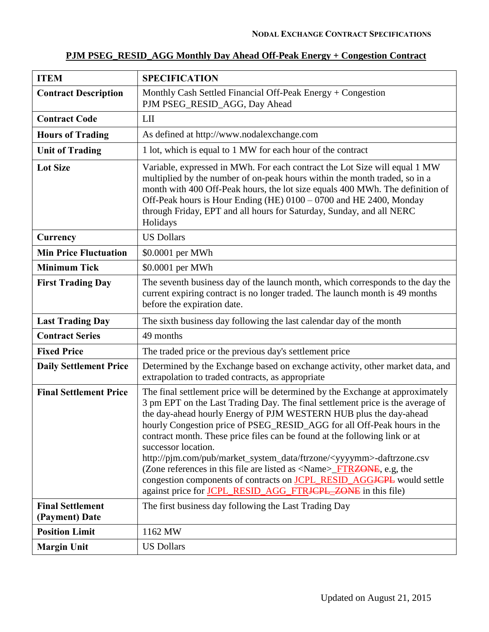| <b>ITEM</b>                               | <b>SPECIFICATION</b>                                                                                                                                                                                                                                                                                                                                                                                                                                                                                                                                                                                                                                                                                                                                                    |
|-------------------------------------------|-------------------------------------------------------------------------------------------------------------------------------------------------------------------------------------------------------------------------------------------------------------------------------------------------------------------------------------------------------------------------------------------------------------------------------------------------------------------------------------------------------------------------------------------------------------------------------------------------------------------------------------------------------------------------------------------------------------------------------------------------------------------------|
| <b>Contract Description</b>               | Monthly Cash Settled Financial Off-Peak Energy + Congestion<br>PJM PSEG_RESID_AGG, Day Ahead                                                                                                                                                                                                                                                                                                                                                                                                                                                                                                                                                                                                                                                                            |
| <b>Contract Code</b>                      | LII                                                                                                                                                                                                                                                                                                                                                                                                                                                                                                                                                                                                                                                                                                                                                                     |
| <b>Hours of Trading</b>                   | As defined at http://www.nodalexchange.com                                                                                                                                                                                                                                                                                                                                                                                                                                                                                                                                                                                                                                                                                                                              |
| <b>Unit of Trading</b>                    | 1 lot, which is equal to 1 MW for each hour of the contract                                                                                                                                                                                                                                                                                                                                                                                                                                                                                                                                                                                                                                                                                                             |
| <b>Lot Size</b>                           | Variable, expressed in MWh. For each contract the Lot Size will equal 1 MW<br>multiplied by the number of on-peak hours within the month traded, so in a<br>month with 400 Off-Peak hours, the lot size equals 400 MWh. The definition of<br>Off-Peak hours is Hour Ending (HE) 0100 – 0700 and HE 2400, Monday<br>through Friday, EPT and all hours for Saturday, Sunday, and all NERC<br>Holidays                                                                                                                                                                                                                                                                                                                                                                     |
| Currency                                  | <b>US Dollars</b>                                                                                                                                                                                                                                                                                                                                                                                                                                                                                                                                                                                                                                                                                                                                                       |
| <b>Min Price Fluctuation</b>              | \$0.0001 per MWh                                                                                                                                                                                                                                                                                                                                                                                                                                                                                                                                                                                                                                                                                                                                                        |
| <b>Minimum Tick</b>                       | \$0.0001 per MWh                                                                                                                                                                                                                                                                                                                                                                                                                                                                                                                                                                                                                                                                                                                                                        |
| <b>First Trading Day</b>                  | The seventh business day of the launch month, which corresponds to the day the<br>current expiring contract is no longer traded. The launch month is 49 months<br>before the expiration date.                                                                                                                                                                                                                                                                                                                                                                                                                                                                                                                                                                           |
| <b>Last Trading Day</b>                   | The sixth business day following the last calendar day of the month                                                                                                                                                                                                                                                                                                                                                                                                                                                                                                                                                                                                                                                                                                     |
| <b>Contract Series</b>                    | 49 months                                                                                                                                                                                                                                                                                                                                                                                                                                                                                                                                                                                                                                                                                                                                                               |
| <b>Fixed Price</b>                        | The traded price or the previous day's settlement price                                                                                                                                                                                                                                                                                                                                                                                                                                                                                                                                                                                                                                                                                                                 |
| <b>Daily Settlement Price</b>             | Determined by the Exchange based on exchange activity, other market data, and<br>extrapolation to traded contracts, as appropriate                                                                                                                                                                                                                                                                                                                                                                                                                                                                                                                                                                                                                                      |
| <b>Final Settlement Price</b>             | The final settlement price will be determined by the Exchange at approximately<br>3 pm EPT on the Last Trading Day. The final settlement price is the average of<br>the day-ahead hourly Energy of PJM WESTERN HUB plus the day-ahead<br>hourly Congestion price of PSEG_RESID_AGG for all Off-Peak hours in the<br>contract month. These price files can be found at the following link or at<br>successor location.<br>http://pim.com/pub/market_system_data/ftrzone/ <yyyymm>-daftrzone.csv<br/>(Zone references in this file are listed as <math>\langle</math>Name<math>\rangle</math>_FTRZONE, e.g, the<br/>congestion components of contracts on <b>JCPL_RESID_AGGJCPL</b> would settle<br/>against price for JCPL_RESID_AGG_FTRJCPL_ZONE in this file)</yyyymm> |
| <b>Final Settlement</b><br>(Payment) Date | The first business day following the Last Trading Day                                                                                                                                                                                                                                                                                                                                                                                                                                                                                                                                                                                                                                                                                                                   |
| <b>Position Limit</b>                     | 1162 MW                                                                                                                                                                                                                                                                                                                                                                                                                                                                                                                                                                                                                                                                                                                                                                 |
| <b>Margin Unit</b>                        | <b>US Dollars</b>                                                                                                                                                                                                                                                                                                                                                                                                                                                                                                                                                                                                                                                                                                                                                       |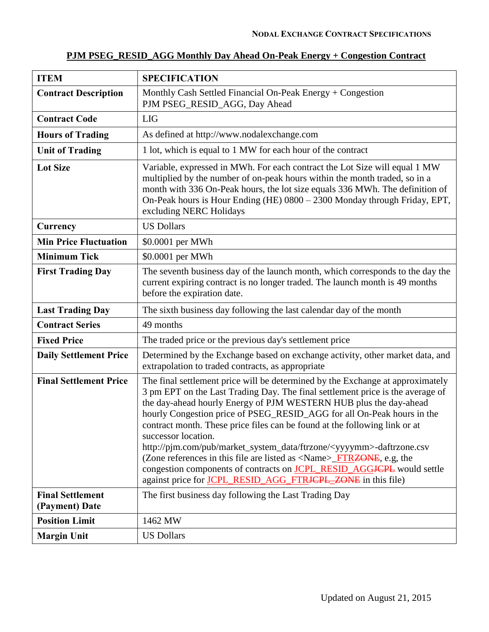| PJM PSEG RESID AGG Monthly Day Ahead On-Peak Energy + Congestion Contract |  |  |
|---------------------------------------------------------------------------|--|--|
|                                                                           |  |  |

| <b>ITEM</b>                               | <b>SPECIFICATION</b>                                                                                                                                                                                                                                                                                                                                                                                                                                                                                                                                                                                                                                                                                                                                                          |
|-------------------------------------------|-------------------------------------------------------------------------------------------------------------------------------------------------------------------------------------------------------------------------------------------------------------------------------------------------------------------------------------------------------------------------------------------------------------------------------------------------------------------------------------------------------------------------------------------------------------------------------------------------------------------------------------------------------------------------------------------------------------------------------------------------------------------------------|
| <b>Contract Description</b>               | Monthly Cash Settled Financial On-Peak Energy $+$ Congestion<br>PJM PSEG_RESID_AGG, Day Ahead                                                                                                                                                                                                                                                                                                                                                                                                                                                                                                                                                                                                                                                                                 |
| <b>Contract Code</b>                      | <b>LIG</b>                                                                                                                                                                                                                                                                                                                                                                                                                                                                                                                                                                                                                                                                                                                                                                    |
| <b>Hours of Trading</b>                   | As defined at http://www.nodalexchange.com                                                                                                                                                                                                                                                                                                                                                                                                                                                                                                                                                                                                                                                                                                                                    |
| <b>Unit of Trading</b>                    | 1 lot, which is equal to 1 MW for each hour of the contract                                                                                                                                                                                                                                                                                                                                                                                                                                                                                                                                                                                                                                                                                                                   |
| <b>Lot Size</b>                           | Variable, expressed in MWh. For each contract the Lot Size will equal 1 MW<br>multiplied by the number of on-peak hours within the month traded, so in a<br>month with 336 On-Peak hours, the lot size equals 336 MWh. The definition of<br>On-Peak hours is Hour Ending (HE) 0800 - 2300 Monday through Friday, EPT,<br>excluding NERC Holidays                                                                                                                                                                                                                                                                                                                                                                                                                              |
| Currency                                  | <b>US Dollars</b>                                                                                                                                                                                                                                                                                                                                                                                                                                                                                                                                                                                                                                                                                                                                                             |
| <b>Min Price Fluctuation</b>              | \$0.0001 per MWh                                                                                                                                                                                                                                                                                                                                                                                                                                                                                                                                                                                                                                                                                                                                                              |
| <b>Minimum Tick</b>                       | \$0.0001 per MWh                                                                                                                                                                                                                                                                                                                                                                                                                                                                                                                                                                                                                                                                                                                                                              |
| <b>First Trading Day</b>                  | The seventh business day of the launch month, which corresponds to the day the<br>current expiring contract is no longer traded. The launch month is 49 months<br>before the expiration date.                                                                                                                                                                                                                                                                                                                                                                                                                                                                                                                                                                                 |
| <b>Last Trading Day</b>                   | The sixth business day following the last calendar day of the month                                                                                                                                                                                                                                                                                                                                                                                                                                                                                                                                                                                                                                                                                                           |
| <b>Contract Series</b>                    | 49 months                                                                                                                                                                                                                                                                                                                                                                                                                                                                                                                                                                                                                                                                                                                                                                     |
| <b>Fixed Price</b>                        | The traded price or the previous day's settlement price                                                                                                                                                                                                                                                                                                                                                                                                                                                                                                                                                                                                                                                                                                                       |
| <b>Daily Settlement Price</b>             | Determined by the Exchange based on exchange activity, other market data, and<br>extrapolation to traded contracts, as appropriate                                                                                                                                                                                                                                                                                                                                                                                                                                                                                                                                                                                                                                            |
| <b>Final Settlement Price</b>             | The final settlement price will be determined by the Exchange at approximately<br>3 pm EPT on the Last Trading Day. The final settlement price is the average of<br>the day-ahead hourly Energy of PJM WESTERN HUB plus the day-ahead<br>hourly Congestion price of PSEG_RESID_AGG for all On-Peak hours in the<br>contract month. These price files can be found at the following link or at<br>successor location.<br>http://pjm.com/pub/market_system_data/ftrzone/ <yyyymm>-daftrzone.csv<br/>(Zone references in this file are listed as <math>\langle</math>Name<math>\rangle</math>_FTRZONE, e.g, the<br/>congestion components of contracts on <b>JCPL_RESID_AGGJCPL</b> would settle<br/>against price for <b>JCPL_RESID_AGG_FTRJCPL_ZONE</b> in this file)</yyyymm> |
| <b>Final Settlement</b><br>(Payment) Date | The first business day following the Last Trading Day                                                                                                                                                                                                                                                                                                                                                                                                                                                                                                                                                                                                                                                                                                                         |
| <b>Position Limit</b>                     | 1462 MW                                                                                                                                                                                                                                                                                                                                                                                                                                                                                                                                                                                                                                                                                                                                                                       |
| <b>Margin Unit</b>                        | <b>US Dollars</b>                                                                                                                                                                                                                                                                                                                                                                                                                                                                                                                                                                                                                                                                                                                                                             |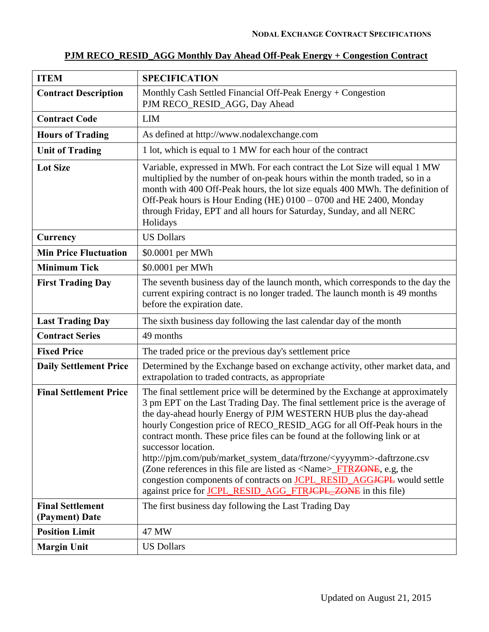| <b>ITEM</b>                               | <b>SPECIFICATION</b>                                                                                                                                                                                                                                                                                                                                                                                                                                                                                                                                                                                                                                                                                                                                                    |  |
|-------------------------------------------|-------------------------------------------------------------------------------------------------------------------------------------------------------------------------------------------------------------------------------------------------------------------------------------------------------------------------------------------------------------------------------------------------------------------------------------------------------------------------------------------------------------------------------------------------------------------------------------------------------------------------------------------------------------------------------------------------------------------------------------------------------------------------|--|
| <b>Contract Description</b>               | Monthly Cash Settled Financial Off-Peak Energy + Congestion<br>PJM RECO_RESID_AGG, Day Ahead                                                                                                                                                                                                                                                                                                                                                                                                                                                                                                                                                                                                                                                                            |  |
| <b>Contract Code</b>                      | <b>LIM</b>                                                                                                                                                                                                                                                                                                                                                                                                                                                                                                                                                                                                                                                                                                                                                              |  |
| <b>Hours of Trading</b>                   | As defined at http://www.nodalexchange.com                                                                                                                                                                                                                                                                                                                                                                                                                                                                                                                                                                                                                                                                                                                              |  |
| <b>Unit of Trading</b>                    | 1 lot, which is equal to 1 MW for each hour of the contract                                                                                                                                                                                                                                                                                                                                                                                                                                                                                                                                                                                                                                                                                                             |  |
| <b>Lot Size</b>                           | Variable, expressed in MWh. For each contract the Lot Size will equal 1 MW<br>multiplied by the number of on-peak hours within the month traded, so in a<br>month with 400 Off-Peak hours, the lot size equals 400 MWh. The definition of<br>Off-Peak hours is Hour Ending (HE) 0100 - 0700 and HE 2400, Monday<br>through Friday, EPT and all hours for Saturday, Sunday, and all NERC<br>Holidays                                                                                                                                                                                                                                                                                                                                                                     |  |
| Currency                                  | <b>US Dollars</b>                                                                                                                                                                                                                                                                                                                                                                                                                                                                                                                                                                                                                                                                                                                                                       |  |
| <b>Min Price Fluctuation</b>              | \$0.0001 per MWh                                                                                                                                                                                                                                                                                                                                                                                                                                                                                                                                                                                                                                                                                                                                                        |  |
| <b>Minimum Tick</b>                       | \$0.0001 per MWh                                                                                                                                                                                                                                                                                                                                                                                                                                                                                                                                                                                                                                                                                                                                                        |  |
| <b>First Trading Day</b>                  | The seventh business day of the launch month, which corresponds to the day the<br>current expiring contract is no longer traded. The launch month is 49 months<br>before the expiration date.                                                                                                                                                                                                                                                                                                                                                                                                                                                                                                                                                                           |  |
| <b>Last Trading Day</b>                   | The sixth business day following the last calendar day of the month                                                                                                                                                                                                                                                                                                                                                                                                                                                                                                                                                                                                                                                                                                     |  |
| <b>Contract Series</b>                    | 49 months                                                                                                                                                                                                                                                                                                                                                                                                                                                                                                                                                                                                                                                                                                                                                               |  |
| <b>Fixed Price</b>                        | The traded price or the previous day's settlement price                                                                                                                                                                                                                                                                                                                                                                                                                                                                                                                                                                                                                                                                                                                 |  |
| <b>Daily Settlement Price</b>             | Determined by the Exchange based on exchange activity, other market data, and<br>extrapolation to traded contracts, as appropriate                                                                                                                                                                                                                                                                                                                                                                                                                                                                                                                                                                                                                                      |  |
| <b>Final Settlement Price</b>             | The final settlement price will be determined by the Exchange at approximately<br>3 pm EPT on the Last Trading Day. The final settlement price is the average of<br>the day-ahead hourly Energy of PJM WESTERN HUB plus the day-ahead<br>hourly Congestion price of RECO_RESID_AGG for all Off-Peak hours in the<br>contract month. These price files can be found at the following link or at<br>successor location.<br>http://pjm.com/pub/market_system_data/ftrzone/ <yyyymm>-daftrzone.csv<br/>(Zone references in this file are listed as <math>\langle</math>Name<math>\rangle</math>_FTRZONE, e.g, the<br/>congestion components of contracts on <b>JCPL_RESID_AGGJCPL</b> would settle<br/>against price for JCPL_RESID_AGG_FTRJCPL_ZONE in this file)</yyyymm> |  |
| <b>Final Settlement</b><br>(Payment) Date | The first business day following the Last Trading Day                                                                                                                                                                                                                                                                                                                                                                                                                                                                                                                                                                                                                                                                                                                   |  |
| <b>Position Limit</b>                     | 47 MW                                                                                                                                                                                                                                                                                                                                                                                                                                                                                                                                                                                                                                                                                                                                                                   |  |
| <b>Margin Unit</b>                        | <b>US Dollars</b>                                                                                                                                                                                                                                                                                                                                                                                                                                                                                                                                                                                                                                                                                                                                                       |  |